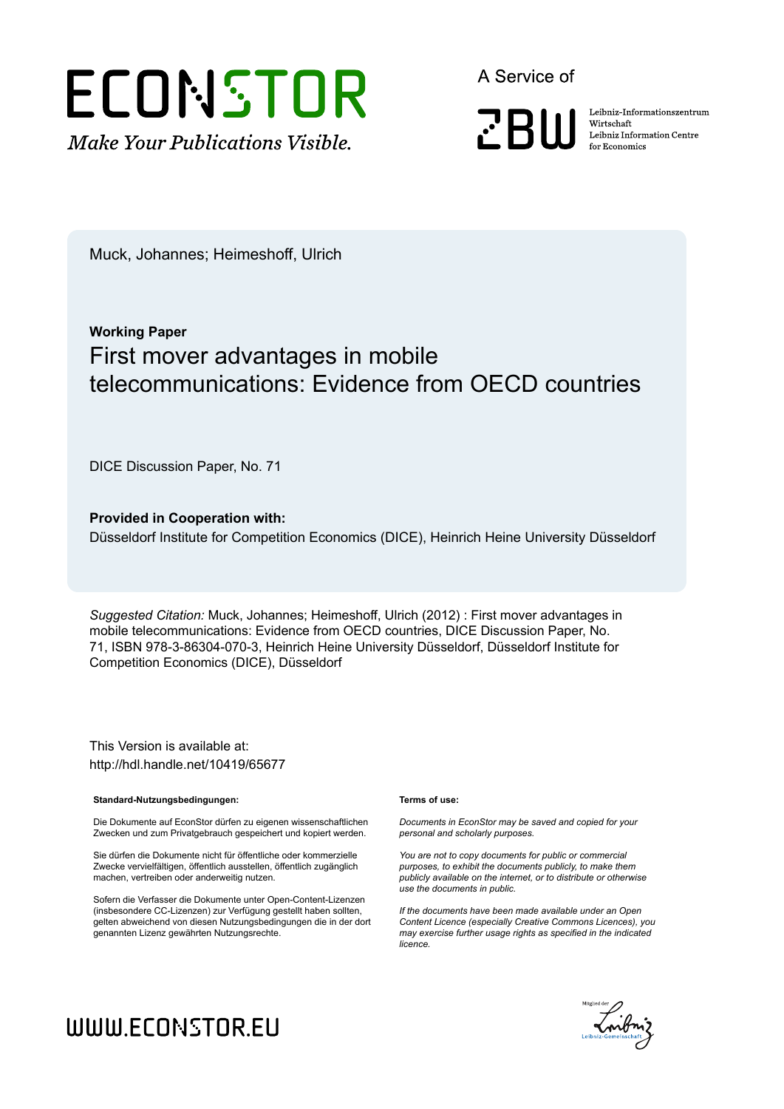

A Service of

**PRIII** 

Leibniz Informationszentrum Wirtschaft Leibniz Information Centre for Economics

Muck, Johannes; Heimeshoff, Ulrich

# **Working Paper** First mover advantages in mobile telecommunications: Evidence from OECD countries

DICE Discussion Paper, No. 71

**Provided in Cooperation with:** Düsseldorf Institute for Competition Economics (DICE), Heinrich Heine University Düsseldorf

*Suggested Citation:* Muck, Johannes; Heimeshoff, Ulrich (2012) : First mover advantages in mobile telecommunications: Evidence from OECD countries, DICE Discussion Paper, No. 71, ISBN 978-3-86304-070-3, Heinrich Heine University Düsseldorf, Düsseldorf Institute for Competition Economics (DICE), Düsseldorf

This Version is available at: http://hdl.handle.net/10419/65677

#### **Standard-Nutzungsbedingungen:**

Die Dokumente auf EconStor dürfen zu eigenen wissenschaftlichen Zwecken und zum Privatgebrauch gespeichert und kopiert werden.

Sie dürfen die Dokumente nicht für öffentliche oder kommerzielle Zwecke vervielfältigen, öffentlich ausstellen, öffentlich zugänglich machen, vertreiben oder anderweitig nutzen.

Sofern die Verfasser die Dokumente unter Open-Content-Lizenzen (insbesondere CC-Lizenzen) zur Verfügung gestellt haben sollten, gelten abweichend von diesen Nutzungsbedingungen die in der dort genannten Lizenz gewährten Nutzungsrechte.

#### **Terms of use:**

*Documents in EconStor may be saved and copied for your personal and scholarly purposes.*

*You are not to copy documents for public or commercial purposes, to exhibit the documents publicly, to make them publicly available on the internet, or to distribute or otherwise use the documents in public.*

*If the documents have been made available under an Open Content Licence (especially Creative Commons Licences), you may exercise further usage rights as specified in the indicated licence.*



# WWW.ECONSTOR.EU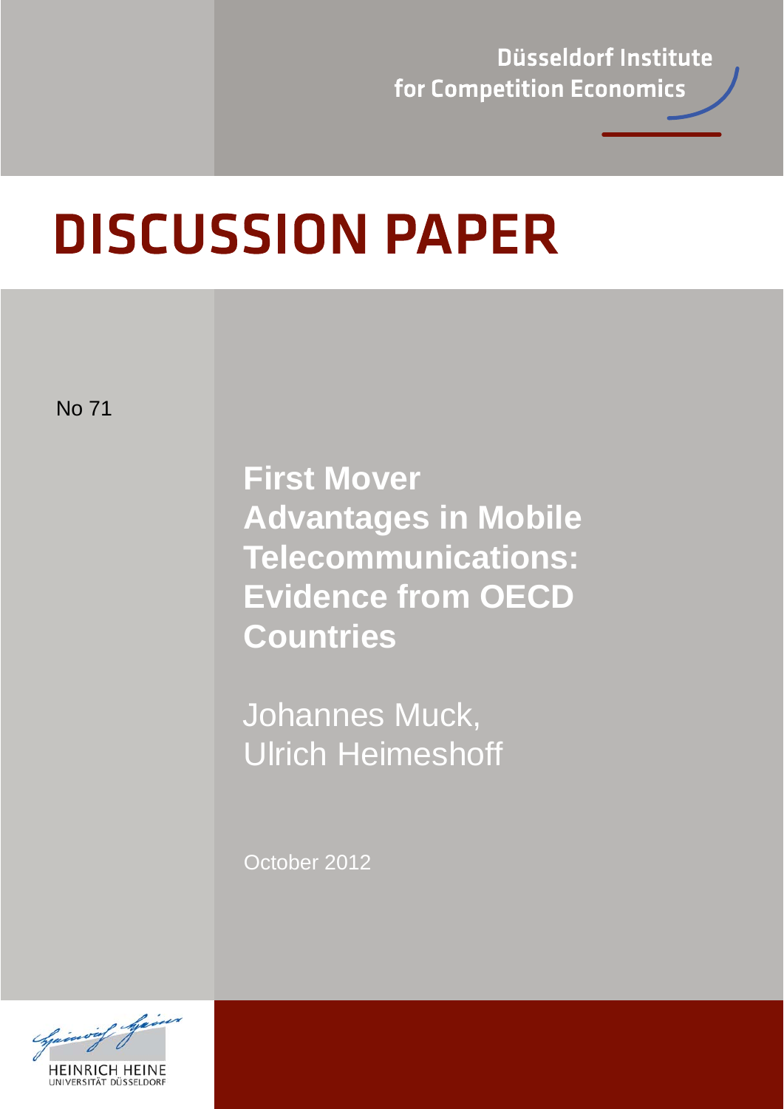Düsseldorf Institute for Competition Economics

# **DISCUSSION PAPER**

No 71

**First Mover Advantages in Mobile Telecommunications: Evidence from OECD Countries** 

 Johannes Muck, Ulrich Heimeshoff

October 2012

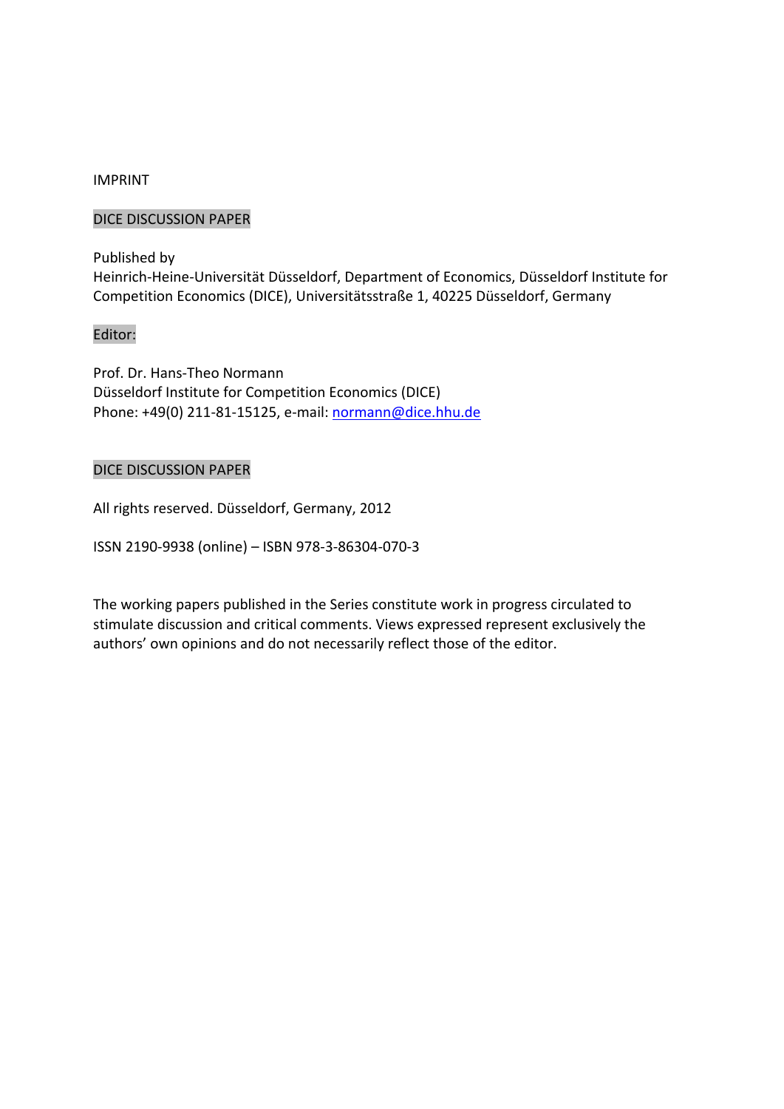### IMPRINT

### DICE DISCUSSION PAPER

Published by Heinrich‐Heine‐Universität Düsseldorf, Department of Economics, Düsseldorf Institute for Competition Economics (DICE), Universitätsstraße 1, 40225 Düsseldorf, Germany

### Editor:

Prof. Dr. Hans‐Theo Normann Düsseldorf Institute for Competition Economics (DICE) Phone: +49(0) 211‐81‐15125, e‐mail: normann@dice.hhu.de

### DICE DISCUSSION PAPER

All rights reserved. Düsseldorf, Germany, 2012

ISSN 2190‐9938 (online) – ISBN 978‐3‐86304‐070‐3

The working papers published in the Series constitute work in progress circulated to stimulate discussion and critical comments. Views expressed represent exclusively the authors' own opinions and do not necessarily reflect those of the editor.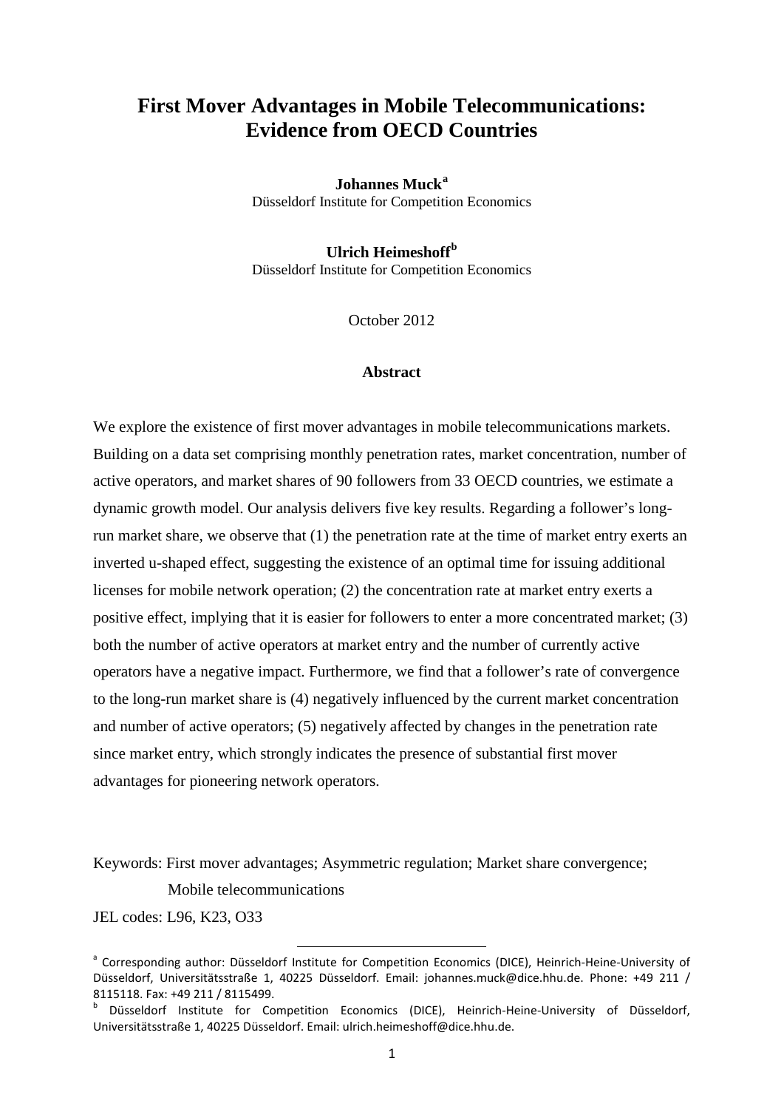### **First Mover Advantages in Mobile Telecommunications: Evidence from OECD Countries**

**Johannes Muck[a](#page-3-0)** Düsseldorf Institute for Competition Economics

**Ulrich Heimeshoff[b](#page-3-1)** Düsseldorf Institute for Competition Economics

October 2012

### **Abstract**

We explore the existence of first mover advantages in mobile telecommunications markets. Building on a data set comprising monthly penetration rates, market concentration, number of active operators, and market shares of 90 followers from 33 OECD countries, we estimate a dynamic growth model. Our analysis delivers five key results. Regarding a follower's longrun market share, we observe that (1) the penetration rate at the time of market entry exerts an inverted u-shaped effect, suggesting the existence of an optimal time for issuing additional licenses for mobile network operation; (2) the concentration rate at market entry exerts a positive effect, implying that it is easier for followers to enter a more concentrated market; (3) both the number of active operators at market entry and the number of currently active operators have a negative impact. Furthermore, we find that a follower's rate of convergence to the long-run market share is (4) negatively influenced by the current market concentration and number of active operators; (5) negatively affected by changes in the penetration rate since market entry, which strongly indicates the presence of substantial first mover advantages for pioneering network operators.

Keywords: First mover advantages; Asymmetric regulation; Market share convergence;

Mobile telecommunications

JEL codes: L96, K23, O33

<span id="page-3-0"></span><sup>&</sup>lt;sup>a</sup> Corresponding author: Düsseldorf Institute for Competition Economics (DICE), Heinrich-Heine-University of Düsseldorf, Universitätsstraße 1, 40225 Düsseldorf. Email: johannes.muck@dice.hhu.de. Phone: +49 211 / 8115118. Fax: +49 211 / 8115499.

<span id="page-3-1"></span><sup>b</sup> Düsseldorf Institute for Competition Economics (DICE), Heinrich-Heine-University of Düsseldorf, Universitätsstraße 1, 40225 Düsseldorf. Email: ulrich.heimeshoff@dice.hhu.de.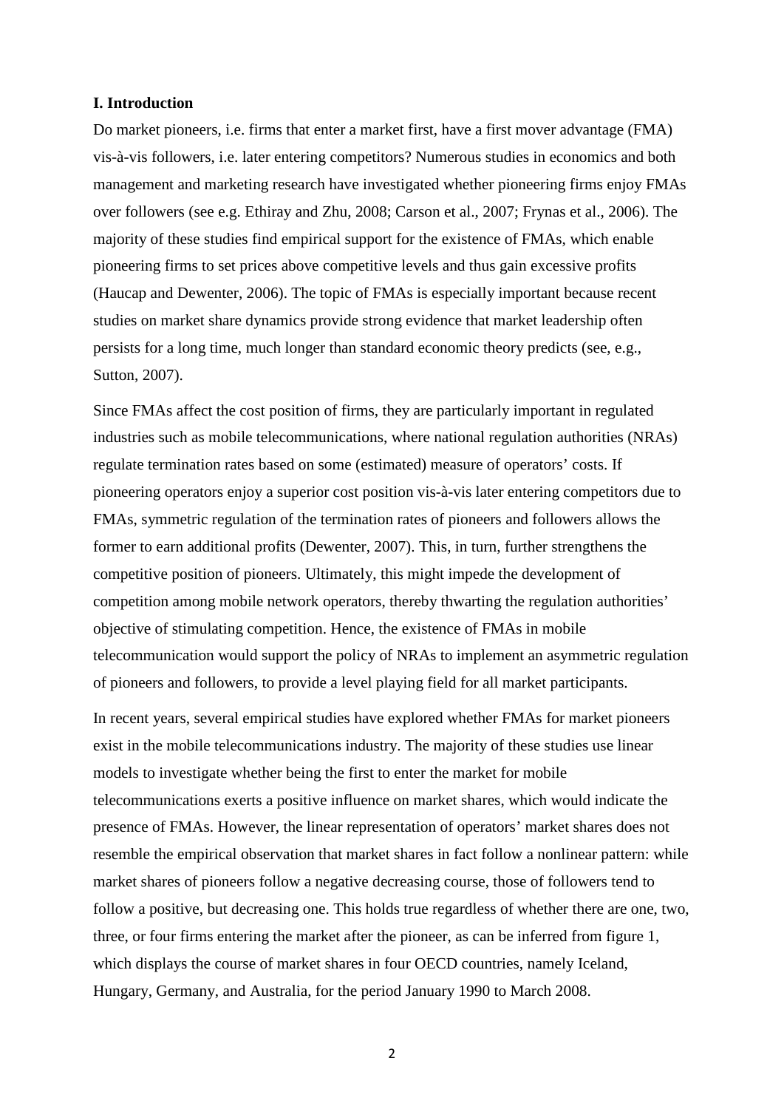### **I. Introduction**

Do market pioneers, i.e. firms that enter a market first, have a first mover advantage (FMA) vis-à-vis followers, i.e. later entering competitors? Numerous studies in economics and both management and marketing research have investigated whether pioneering firms enjoy FMAs over followers (see e.g. Ethiray and Zhu, 2008; Carson et al., 2007; Frynas et al., 2006). The majority of these studies find empirical support for the existence of FMAs, which enable pioneering firms to set prices above competitive levels and thus gain excessive profits (Haucap and Dewenter, 2006). The topic of FMAs is especially important because recent studies on market share dynamics provide strong evidence that market leadership often persists for a long time, much longer than standard economic theory predicts (see, e.g., Sutton, 2007).

Since FMAs affect the cost position of firms, they are particularly important in regulated industries such as mobile telecommunications, where national regulation authorities (NRAs) regulate termination rates based on some (estimated) measure of operators' costs. If pioneering operators enjoy a superior cost position vis-à-vis later entering competitors due to FMAs, symmetric regulation of the termination rates of pioneers and followers allows the former to earn additional profits (Dewenter, 2007). This, in turn, further strengthens the competitive position of pioneers. Ultimately, this might impede the development of competition among mobile network operators, thereby thwarting the regulation authorities' objective of stimulating competition. Hence, the existence of FMAs in mobile telecommunication would support the policy of NRAs to implement an asymmetric regulation of pioneers and followers, to provide a level playing field for all market participants.

In recent years, several empirical studies have explored whether FMAs for market pioneers exist in the mobile telecommunications industry. The majority of these studies use linear models to investigate whether being the first to enter the market for mobile telecommunications exerts a positive influence on market shares, which would indicate the presence of FMAs. However, the linear representation of operators' market shares does not resemble the empirical observation that market shares in fact follow a nonlinear pattern: while market shares of pioneers follow a negative decreasing course, those of followers tend to follow a positive, but decreasing one. This holds true regardless of whether there are one, two, three, or four firms entering the market after the pioneer, as can be inferred from figure 1, which displays the course of market shares in four OECD countries, namely Iceland, Hungary, Germany, and Australia, for the period January 1990 to March 2008.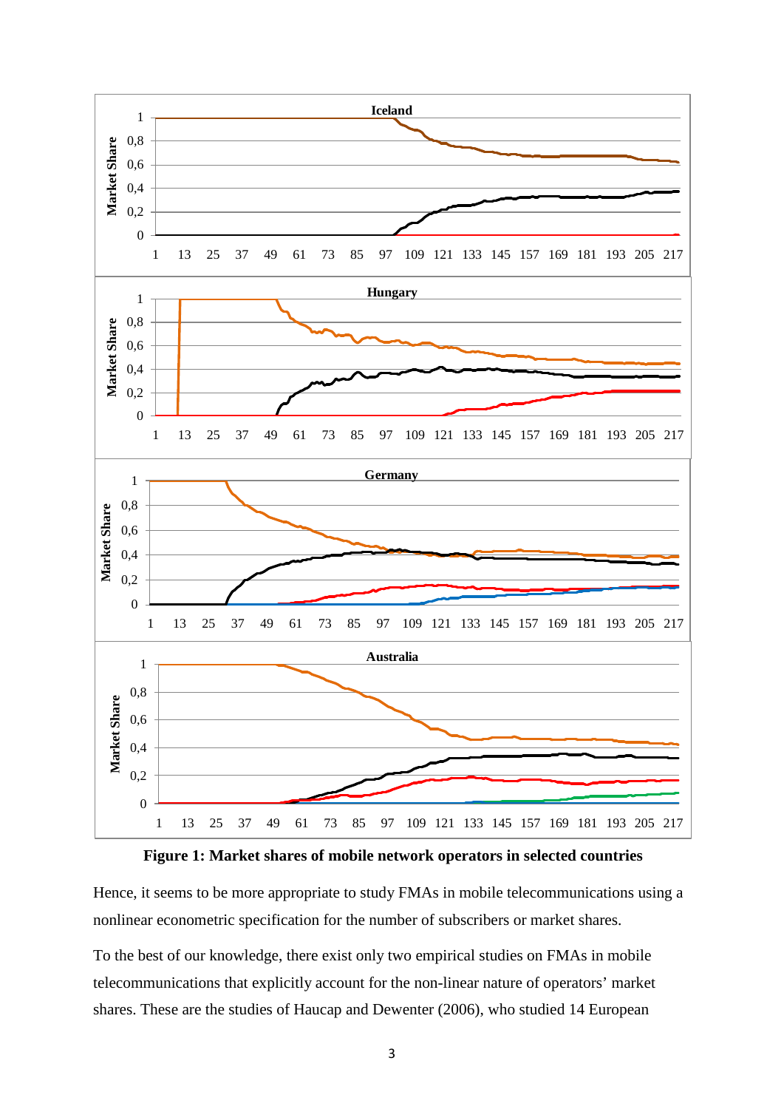



Hence, it seems to be more appropriate to study FMAs in mobile telecommunications using a nonlinear econometric specification for the number of subscribers or market shares.

To the best of our knowledge, there exist only two empirical studies on FMAs in mobile telecommunications that explicitly account for the non-linear nature of operators' market shares. These are the studies of Haucap and Dewenter (2006), who studied 14 European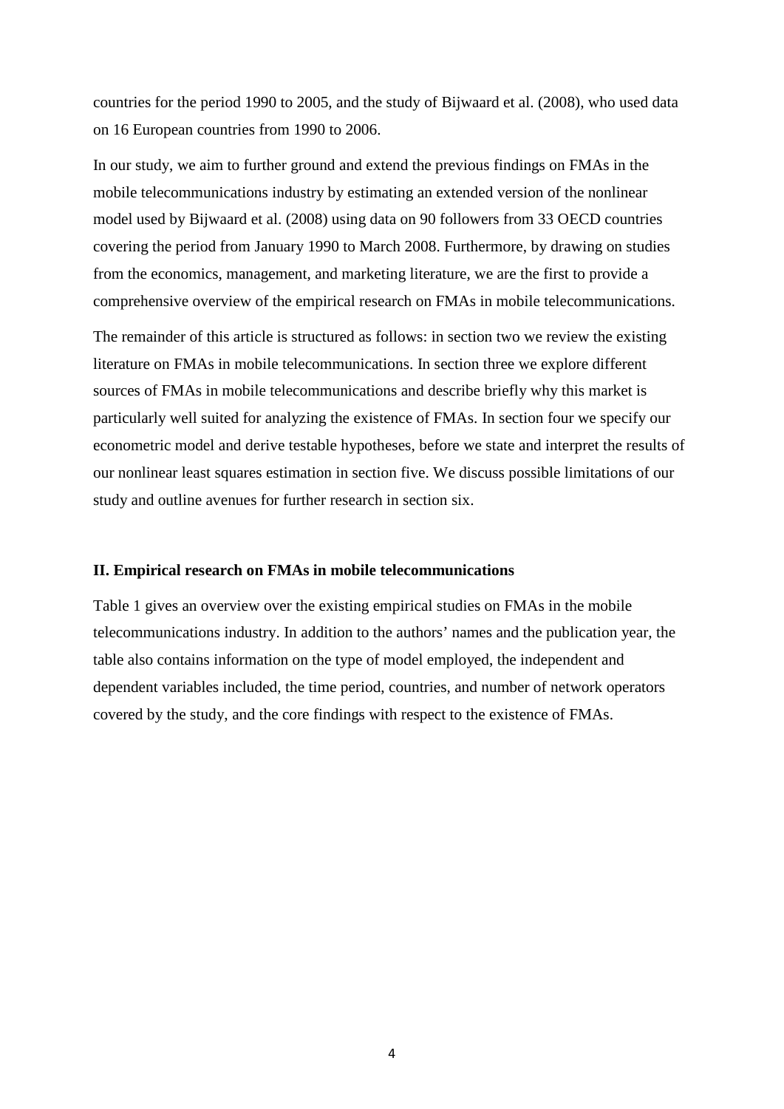countries for the period 1990 to 2005, and the study of Bijwaard et al. (2008), who used data on 16 European countries from 1990 to 2006.

In our study, we aim to further ground and extend the previous findings on FMAs in the mobile telecommunications industry by estimating an extended version of the nonlinear model used by Bijwaard et al. (2008) using data on 90 followers from 33 OECD countries covering the period from January 1990 to March 2008. Furthermore, by drawing on studies from the economics, management, and marketing literature, we are the first to provide a comprehensive overview of the empirical research on FMAs in mobile telecommunications.

The remainder of this article is structured as follows: in section two we review the existing literature on FMAs in mobile telecommunications. In section three we explore different sources of FMAs in mobile telecommunications and describe briefly why this market is particularly well suited for analyzing the existence of FMAs. In section four we specify our econometric model and derive testable hypotheses, before we state and interpret the results of our nonlinear least squares estimation in section five. We discuss possible limitations of our study and outline avenues for further research in section six.

### **II. Empirical research on FMAs in mobile telecommunications**

Table 1 gives an overview over the existing empirical studies on FMAs in the mobile telecommunications industry. In addition to the authors' names and the publication year, the table also contains information on the type of model employed, the independent and dependent variables included, the time period, countries, and number of network operators covered by the study, and the core findings with respect to the existence of FMAs.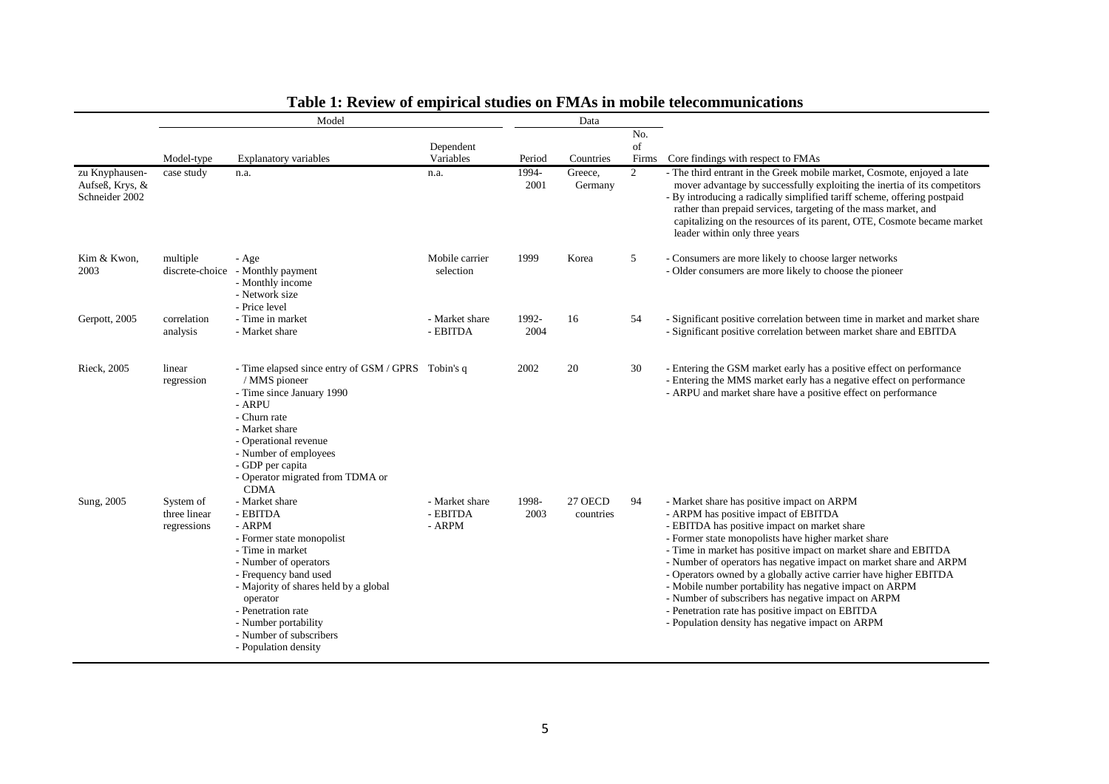|                                                     | Model                                    |                                                                                                                                                                                                                                                                                               |                                      | Data          |                      |                    |                                                                                                                                                                                                                                                                                                                                                                                                                                                                                                                                                                                                                                   |  |
|-----------------------------------------------------|------------------------------------------|-----------------------------------------------------------------------------------------------------------------------------------------------------------------------------------------------------------------------------------------------------------------------------------------------|--------------------------------------|---------------|----------------------|--------------------|-----------------------------------------------------------------------------------------------------------------------------------------------------------------------------------------------------------------------------------------------------------------------------------------------------------------------------------------------------------------------------------------------------------------------------------------------------------------------------------------------------------------------------------------------------------------------------------------------------------------------------------|--|
|                                                     | Model-type                               | <b>Explanatory variables</b>                                                                                                                                                                                                                                                                  | Dependent<br>Variables               | Period        | Countries            | No.<br>of<br>Firms | Core findings with respect to FMAs                                                                                                                                                                                                                                                                                                                                                                                                                                                                                                                                                                                                |  |
| zu Knyphausen-<br>Aufseß, Krys, &<br>Schneider 2002 | case study                               | n.a.                                                                                                                                                                                                                                                                                          | n.a.                                 | 1994-<br>2001 | Greece,<br>Germany   | $\overline{2}$     | - The third entrant in the Greek mobile market, Cosmote, enjoyed a late<br>mover advantage by successfully exploiting the inertia of its competitors<br>- By introducing a radically simplified tariff scheme, offering postpaid<br>rather than prepaid services, targeting of the mass market, and<br>capitalizing on the resources of its parent, OTE, Cosmote became market<br>leader within only three years                                                                                                                                                                                                                  |  |
| Kim & Kwon,<br>2003                                 | multiple                                 | - Age<br>discrete-choice - Monthly payment<br>- Monthly income<br>- Network size<br>- Price level                                                                                                                                                                                             | Mobile carrier<br>selection          | 1999          | Korea                | 5                  | - Consumers are more likely to choose larger networks<br>- Older consumers are more likely to choose the pioneer                                                                                                                                                                                                                                                                                                                                                                                                                                                                                                                  |  |
| Gerpott, 2005                                       | correlation<br>analysis                  | - Time in market<br>- Market share                                                                                                                                                                                                                                                            | - Market share<br>- EBITDA           | 1992-<br>2004 | 16                   | 54                 | - Significant positive correlation between time in market and market share<br>- Significant positive correlation between market share and EBITDA                                                                                                                                                                                                                                                                                                                                                                                                                                                                                  |  |
| Rieck, 2005                                         | linear<br>regression                     | - Time elapsed since entry of GSM / GPRS Tobin's q<br>/ MMS pioneer<br>- Time since January 1990<br>- ARPU<br>- Churn rate<br>- Market share<br>- Operational revenue<br>- Number of employees<br>- GDP per capita<br>- Operator migrated from TDMA or<br><b>CDMA</b>                         |                                      | 2002          | 20                   | 30                 | - Entering the GSM market early has a positive effect on performance<br>- Entering the MMS market early has a negative effect on performance<br>- ARPU and market share have a positive effect on performance                                                                                                                                                                                                                                                                                                                                                                                                                     |  |
| Sung, 2005                                          | System of<br>three linear<br>regressions | - Market share<br>- EBITDA<br>- ARPM<br>- Former state monopolist<br>- Time in market<br>- Number of operators<br>- Frequency band used<br>- Majority of shares held by a global<br>operator<br>- Penetration rate<br>- Number portability<br>- Number of subscribers<br>- Population density | - Market share<br>- EBITDA<br>- ARPM | 1998-<br>2003 | 27 OECD<br>countries | 94                 | - Market share has positive impact on ARPM<br>- ARPM has positive impact of EBITDA<br>- EBITDA has positive impact on market share<br>- Former state monopolists have higher market share<br>- Time in market has positive impact on market share and EBITDA<br>- Number of operators has negative impact on market share and ARPM<br>- Operators owned by a globally active carrier have higher EBITDA<br>- Mobile number portability has negative impact on ARPM<br>- Number of subscribers has negative impact on ARPM<br>- Penetration rate has positive impact on EBITDA<br>- Population density has negative impact on ARPM |  |

# **Table 1: Review of empirical studies on FMAs in mobile telecommunications**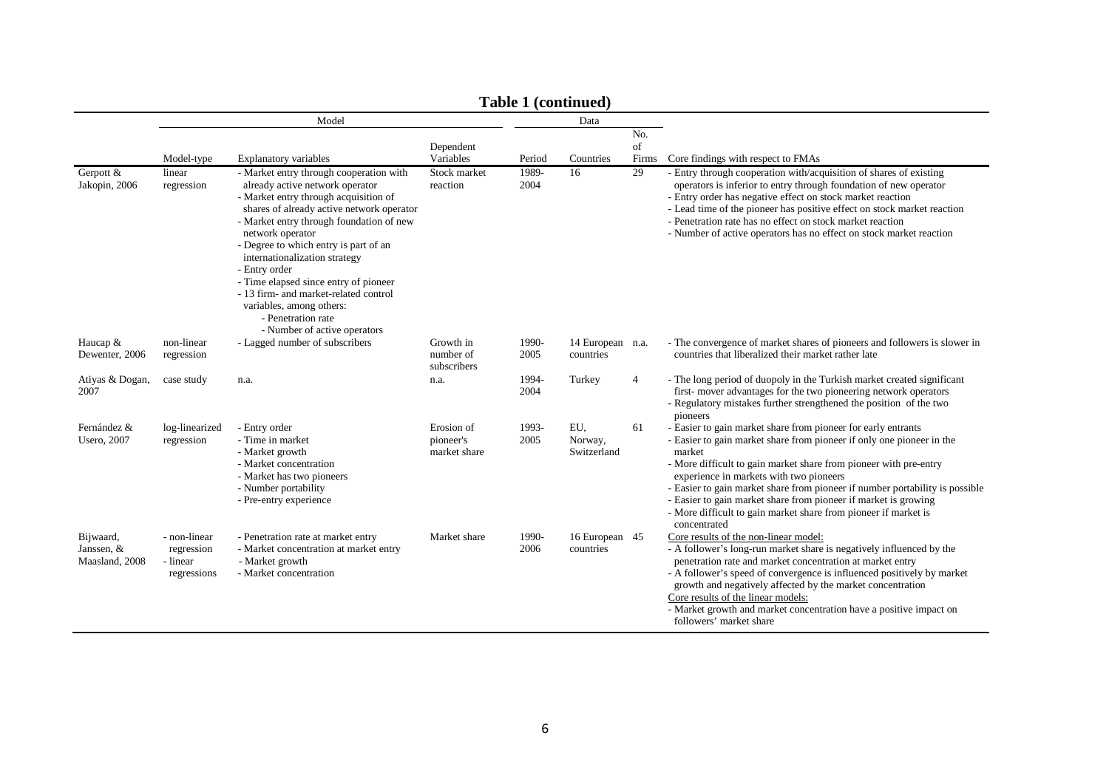|                                           | $1$ and $1$ (continued)<br>Model<br>Data              |                                                                                                                                                                                                                                                                                                                                                                                                                                                                                                 |                                         |               |                               |                    |                                                                                                                                                                                                                                                                                                                                                                                                                                                                                                        |
|-------------------------------------------|-------------------------------------------------------|-------------------------------------------------------------------------------------------------------------------------------------------------------------------------------------------------------------------------------------------------------------------------------------------------------------------------------------------------------------------------------------------------------------------------------------------------------------------------------------------------|-----------------------------------------|---------------|-------------------------------|--------------------|--------------------------------------------------------------------------------------------------------------------------------------------------------------------------------------------------------------------------------------------------------------------------------------------------------------------------------------------------------------------------------------------------------------------------------------------------------------------------------------------------------|
|                                           | Model-type                                            | <b>Explanatory variables</b>                                                                                                                                                                                                                                                                                                                                                                                                                                                                    | Dependent<br>Variables                  | Period        | Countries                     | No.<br>of<br>Firms | Core findings with respect to FMAs                                                                                                                                                                                                                                                                                                                                                                                                                                                                     |
| Gerpott &<br>Jakopin, 2006                | linear<br>regression                                  | - Market entry through cooperation with<br>already active network operator<br>- Market entry through acquisition of<br>shares of already active network operator<br>- Market entry through foundation of new<br>network operator<br>- Degree to which entry is part of an<br>internationalization strategy<br>- Entry order<br>- Time elapsed since entry of pioneer<br>- 13 firm- and market-related control<br>variables, among others:<br>- Penetration rate<br>- Number of active operators | Stock market<br>reaction                | 1989-<br>2004 | 16                            | 29                 | - Entry through cooperation with/acquisition of shares of existing<br>operators is inferior to entry through foundation of new operator<br>- Entry order has negative effect on stock market reaction<br>- Lead time of the pioneer has positive effect on stock market reaction<br>- Penetration rate has no effect on stock market reaction<br>- Number of active operators has no effect on stock market reaction                                                                                   |
| Haucap $&$<br>Dewenter, 2006              | non-linear<br>regression                              | - Lagged number of subscribers                                                                                                                                                                                                                                                                                                                                                                                                                                                                  | Growth in<br>number of<br>subscribers   | 1990-<br>2005 | 14 European n.a.<br>countries |                    | - The convergence of market shares of pioneers and followers is slower in<br>countries that liberalized their market rather late                                                                                                                                                                                                                                                                                                                                                                       |
| Atiyas & Dogan,<br>2007                   | case study                                            | n.a.                                                                                                                                                                                                                                                                                                                                                                                                                                                                                            | n.a.                                    | 1994-<br>2004 | Turkey                        | $\overline{4}$     | - The long period of duopoly in the Turkish market created significant<br>first- mover advantages for the two pioneering network operators<br>- Regulatory mistakes further strengthened the position of the two<br>pioneers                                                                                                                                                                                                                                                                           |
| Fernández &<br><b>Usero</b> , 2007        | log-linearized<br>regression                          | - Entry order<br>- Time in market<br>- Market growth<br>- Market concentration<br>- Market has two pioneers<br>- Number portability<br>- Pre-entry experience                                                                                                                                                                                                                                                                                                                                   | Erosion of<br>pioneer's<br>market share | 1993-<br>2005 | EU,<br>Norway,<br>Switzerland | 61                 | - Easier to gain market share from pioneer for early entrants<br>- Easier to gain market share from pioneer if only one pioneer in the<br>market<br>- More difficult to gain market share from pioneer with pre-entry<br>experience in markets with two pioneers<br>- Easier to gain market share from pioneer if number portability is possible<br>- Easier to gain market share from pioneer if market is growing<br>- More difficult to gain market share from pioneer if market is<br>concentrated |
| Bijwaard,<br>Janssen, &<br>Maasland, 2008 | - non-linear<br>regression<br>- linear<br>regressions | - Penetration rate at market entry<br>- Market concentration at market entry<br>- Market growth<br>- Market concentration                                                                                                                                                                                                                                                                                                                                                                       | Market share                            | 1990-<br>2006 | 16 European 45<br>countries   |                    | Core results of the non-linear model:<br>- A follower's long-run market share is negatively influenced by the<br>penetration rate and market concentration at market entry<br>- A follower's speed of convergence is influenced positively by market<br>growth and negatively affected by the market concentration<br>Core results of the linear models:<br>- Market growth and market concentration have a positive impact on<br>followers' market share                                              |

### **Table 1 (continued)**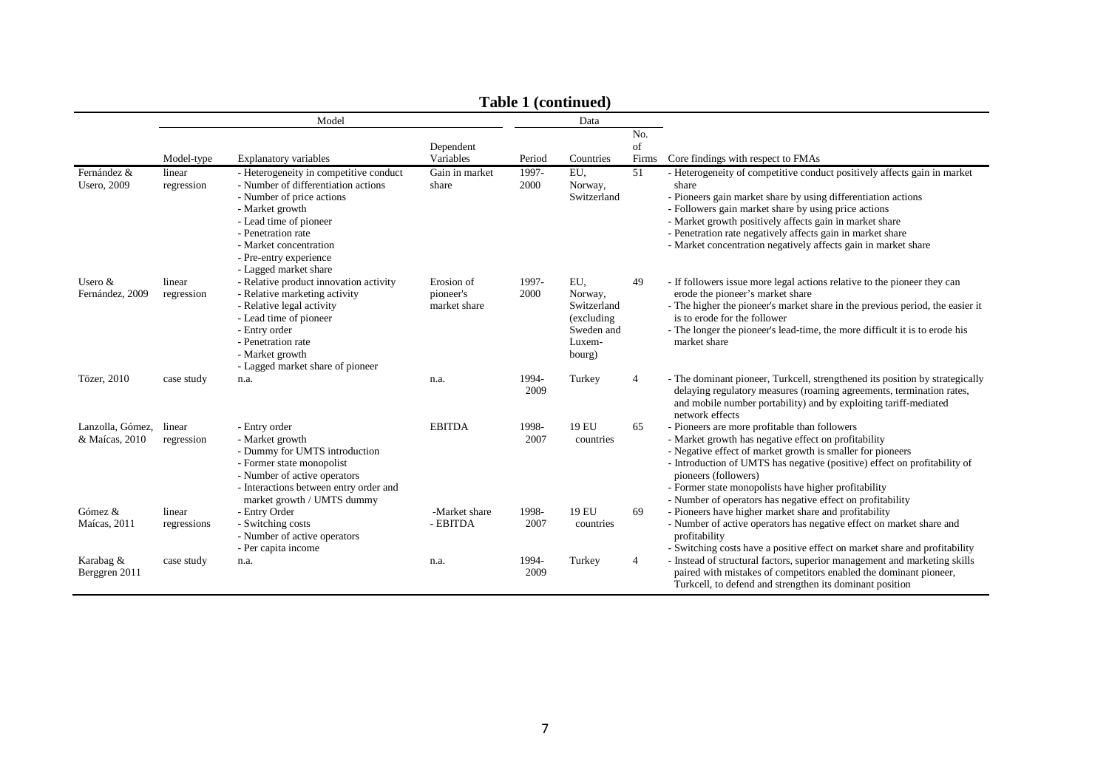|                                    |                       |                                                                                                                                                                                                                                                            |                                         |               | $10001$ $10011$                                                                |                    |                                                                                                                                                                                                                                                                                                                                                                                                       |
|------------------------------------|-----------------------|------------------------------------------------------------------------------------------------------------------------------------------------------------------------------------------------------------------------------------------------------------|-----------------------------------------|---------------|--------------------------------------------------------------------------------|--------------------|-------------------------------------------------------------------------------------------------------------------------------------------------------------------------------------------------------------------------------------------------------------------------------------------------------------------------------------------------------------------------------------------------------|
|                                    |                       | Model                                                                                                                                                                                                                                                      |                                         |               | Data                                                                           |                    |                                                                                                                                                                                                                                                                                                                                                                                                       |
|                                    | Model-type            | <b>Explanatory variables</b>                                                                                                                                                                                                                               | Dependent<br>Variables                  | Period        | Countries                                                                      | No.<br>of<br>Firms | Core findings with respect to FMAs                                                                                                                                                                                                                                                                                                                                                                    |
| Fernández &<br><b>Usero</b> , 2009 | linear<br>regression  | - Heterogeneity in competitive conduct<br>- Number of differentiation actions<br>- Number of price actions<br>- Market growth<br>- Lead time of pioneer<br>- Penetration rate<br>- Market concentration<br>- Pre-entry experience<br>- Lagged market share | Gain in market<br>share                 | 1997-<br>2000 | EU,<br>Norway,<br>Switzerland                                                  | 51                 | - Heterogeneity of competitive conduct positively affects gain in market<br>share<br>- Pioneers gain market share by using differentiation actions<br>- Followers gain market share by using price actions<br>- Market growth positively affects gain in market share<br>- Penetration rate negatively affects gain in market share<br>- Market concentration negatively affects gain in market share |
| Usero &<br>Fernández, 2009         | linear<br>regression  | - Relative product innovation activity<br>- Relative marketing activity<br>- Relative legal activity<br>- Lead time of pioneer<br>- Entry order<br>- Penetration rate<br>- Market growth<br>- Lagged market share of pioneer                               | Erosion of<br>pioneer's<br>market share | 1997-<br>2000 | EU,<br>Norway,<br>Switzerland<br>(excluding)<br>Sweden and<br>Luxem-<br>bourg) | 49                 | - If followers issue more legal actions relative to the pioneer they can<br>erode the pioneer's market share<br>- The higher the pioneer's market share in the previous period, the easier it<br>is to erode for the follower<br>- The longer the pioneer's lead-time, the more difficult it is to erode his<br>market share                                                                          |
| Tözer, 2010                        | case study            | n.a.                                                                                                                                                                                                                                                       | n.a.                                    | 1994-<br>2009 | Turkey                                                                         | 4                  | - The dominant pioneer, Turkcell, strengthened its position by strategically<br>delaying regulatory measures (roaming agreements, termination rates,<br>and mobile number portability) and by exploiting tariff-mediated<br>network effects                                                                                                                                                           |
| Lanzolla, Gómez,<br>& Maícas, 2010 | linear<br>regression  | - Entry order<br>- Market growth<br>- Dummy for UMTS introduction<br>- Former state monopolist<br>- Number of active operators<br>- Interactions between entry order and<br>market growth / UMTS dummy                                                     | <b>EBITDA</b>                           | 1998-<br>2007 | 19 EU<br>countries                                                             | 65                 | - Pioneers are more profitable than followers<br>- Market growth has negative effect on profitability<br>- Negative effect of market growth is smaller for pioneers<br>- Introduction of UMTS has negative (positive) effect on profitability of<br>pioneers (followers)<br>- Former state monopolists have higher profitability<br>- Number of operators has negative effect on profitability        |
| Gómez &<br>Maícas, 2011            | linear<br>regressions | - Entry Order<br>- Switching costs<br>- Number of active operators                                                                                                                                                                                         | -Market share<br>- EBITDA               | 1998-<br>2007 | 19 EU<br>countries                                                             | 69                 | - Pioneers have higher market share and profitability<br>- Number of active operators has negative effect on market share and<br>profitability                                                                                                                                                                                                                                                        |
| Karabag &<br>Berggren 2011         | case study            | - Per capita income<br>n.a.                                                                                                                                                                                                                                | n.a.                                    | 1994-<br>2009 | Turkey                                                                         | 4                  | - Switching costs have a positive effect on market share and profitability<br>- Instead of structural factors, superior management and marketing skills<br>paired with mistakes of competitors enabled the dominant pioneer,<br>Turkcell, to defend and strengthen its dominant position                                                                                                              |

**Table 1 (continued)**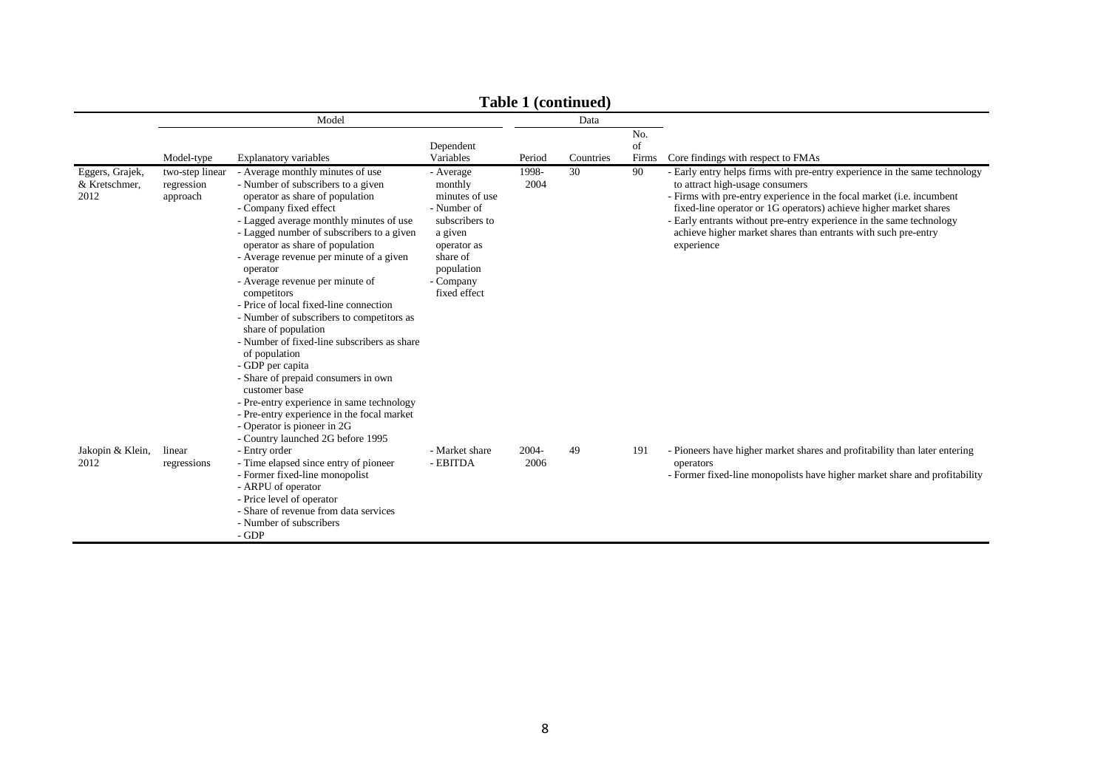|                                          | Table 1 (continued)                       |                                                                                                                                                                                                                                                                                                                                                                                                                                                                                                                                                                                                                                                                                                                                                                                                  |                                                                                                                                                          |                  |           |                    |                                                                                                                                                                                                                                                                                                                                                                                                                     |
|------------------------------------------|-------------------------------------------|--------------------------------------------------------------------------------------------------------------------------------------------------------------------------------------------------------------------------------------------------------------------------------------------------------------------------------------------------------------------------------------------------------------------------------------------------------------------------------------------------------------------------------------------------------------------------------------------------------------------------------------------------------------------------------------------------------------------------------------------------------------------------------------------------|----------------------------------------------------------------------------------------------------------------------------------------------------------|------------------|-----------|--------------------|---------------------------------------------------------------------------------------------------------------------------------------------------------------------------------------------------------------------------------------------------------------------------------------------------------------------------------------------------------------------------------------------------------------------|
|                                          |                                           | Model                                                                                                                                                                                                                                                                                                                                                                                                                                                                                                                                                                                                                                                                                                                                                                                            |                                                                                                                                                          |                  | Data      |                    |                                                                                                                                                                                                                                                                                                                                                                                                                     |
|                                          | Model-type                                | <b>Explanatory variables</b>                                                                                                                                                                                                                                                                                                                                                                                                                                                                                                                                                                                                                                                                                                                                                                     | Dependent<br>Variables                                                                                                                                   | Period           | Countries | No.<br>of<br>Firms | Core findings with respect to FMAs                                                                                                                                                                                                                                                                                                                                                                                  |
| Eggers, Grajek,<br>& Kretschmer,<br>2012 | two-step linear<br>regression<br>approach | - Average monthly minutes of use<br>- Number of subscribers to a given<br>operator as share of population<br>- Company fixed effect<br>- Lagged average monthly minutes of use<br>- Lagged number of subscribers to a given<br>operator as share of population<br>- Average revenue per minute of a given<br>operator<br>- Average revenue per minute of<br>competitors<br>- Price of local fixed-line connection<br>- Number of subscribers to competitors as<br>share of population<br>- Number of fixed-line subscribers as share<br>of population<br>- GDP per capita<br>- Share of prepaid consumers in own<br>customer base<br>- Pre-entry experience in same technology<br>- Pre-entry experience in the focal market<br>- Operator is pioneer in 2G<br>- Country launched 2G before 1995 | - Average<br>monthly<br>minutes of use<br>- Number of<br>subscribers to<br>a given<br>operator as<br>share of<br>population<br>- Company<br>fixed effect | 1998-<br>2004    | 30        | 90                 | - Early entry helps firms with pre-entry experience in the same technology<br>to attract high-usage consumers<br>- Firms with pre-entry experience in the focal market (i.e. incumbent<br>fixed-line operator or 1G operators) achieve higher market shares<br>- Early entrants without pre-entry experience in the same technology<br>achieve higher market shares than entrants with such pre-entry<br>experience |
| Jakopin & Klein,<br>2012                 | linear<br>regressions                     | - Entry order<br>- Time elapsed since entry of pioneer<br>- Former fixed-line monopolist<br>- ARPU of operator<br>- Price level of operator<br>- Share of revenue from data services<br>- Number of subscribers<br>- GDP                                                                                                                                                                                                                                                                                                                                                                                                                                                                                                                                                                         | - Market share<br>- EBITDA                                                                                                                               | $2004 -$<br>2006 | 49        | 191                | - Pioneers have higher market shares and profitability than later entering<br>operators<br>- Former fixed-line monopolists have higher market share and profitability                                                                                                                                                                                                                                               |

**Table 1 (continued)**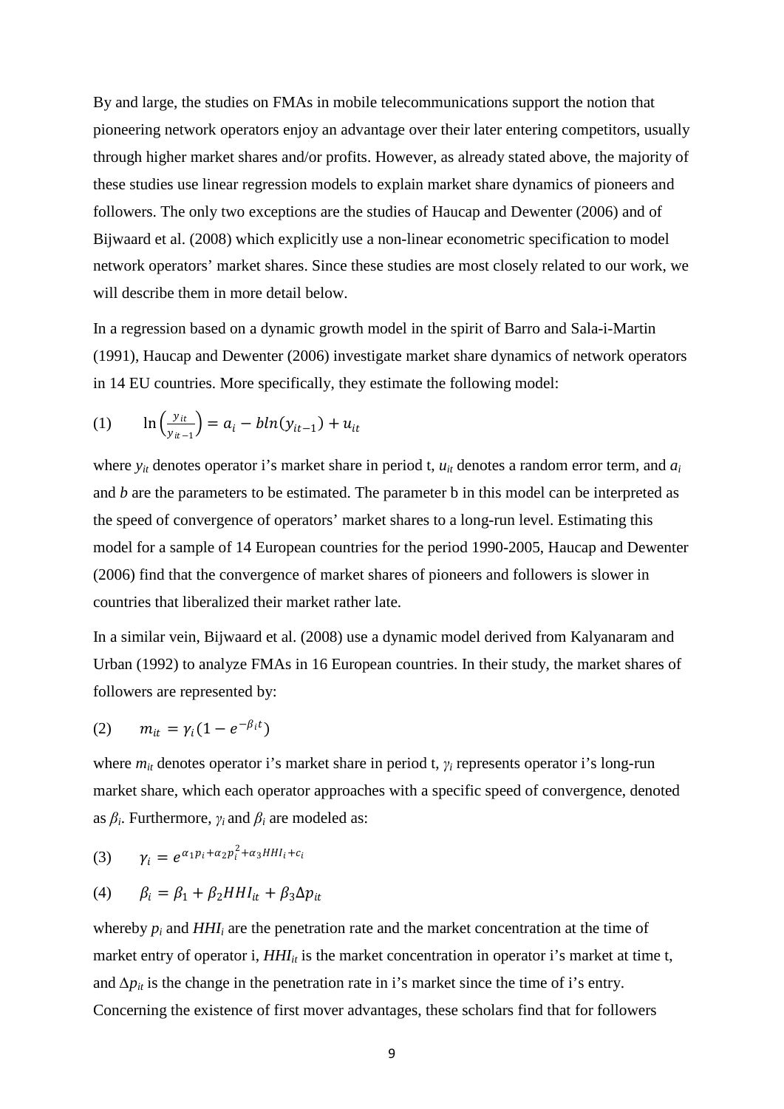By and large, the studies on FMAs in mobile telecommunications support the notion that pioneering network operators enjoy an advantage over their later entering competitors, usually through higher market shares and/or profits. However, as already stated above, the majority of these studies use linear regression models to explain market share dynamics of pioneers and followers. The only two exceptions are the studies of Haucap and Dewenter (2006) and of Bijwaard et al. (2008) which explicitly use a non-linear econometric specification to model network operators' market shares. Since these studies are most closely related to our work, we will describe them in more detail below.

In a regression based on a dynamic growth model in the spirit of Barro and Sala-i-Martin (1991), Haucap and Dewenter (2006) investigate market share dynamics of network operators in 14 EU countries. More specifically, they estimate the following model:

(1) 
$$
\ln \left( \frac{y_{it}}{y_{it-1}} \right) = a_i - b \ln(y_{it-1}) + u_{it}
$$

where  $y_{it}$  denotes operator i's market share in period t,  $u_{it}$  denotes a random error term, and  $a_i$ and *b* are the parameters to be estimated. The parameter b in this model can be interpreted as the speed of convergence of operators' market shares to a long-run level. Estimating this model for a sample of 14 European countries for the period 1990-2005, Haucap and Dewenter (2006) find that the convergence of market shares of pioneers and followers is slower in countries that liberalized their market rather late.

In a similar vein, Bijwaard et al. (2008) use a dynamic model derived from Kalyanaram and Urban (1992) to analyze FMAs in 16 European countries. In their study, the market shares of followers are represented by:

$$
(2) \qquad m_{it} = \gamma_i (1 - e^{-\beta_i t})
$$

where *mit* denotes operator i's market share in period t, *γ<sup>i</sup>* represents operator i's long-run market share, which each operator approaches with a specific speed of convergence, denoted as  $\beta_i$ . Furthermore,  $\gamma_i$  and  $\beta_i$  are modeled as:

$$
(3) \qquad \gamma_i = e^{\alpha_1 p_i + \alpha_2 p_i^2 + \alpha_3 H H I_i + c_i}
$$

$$
(4) \qquad \beta_i = \beta_1 + \beta_2 H H I_{it} + \beta_3 \Delta p_{it}
$$

whereby  $p_i$  and  $HHI_i$  are the penetration rate and the market concentration at the time of market entry of operator i,  $HHI_{it}$  is the market concentration in operator i's market at time t, and  $\Delta p_{it}$  is the change in the penetration rate in i's market since the time of i's entry. Concerning the existence of first mover advantages, these scholars find that for followers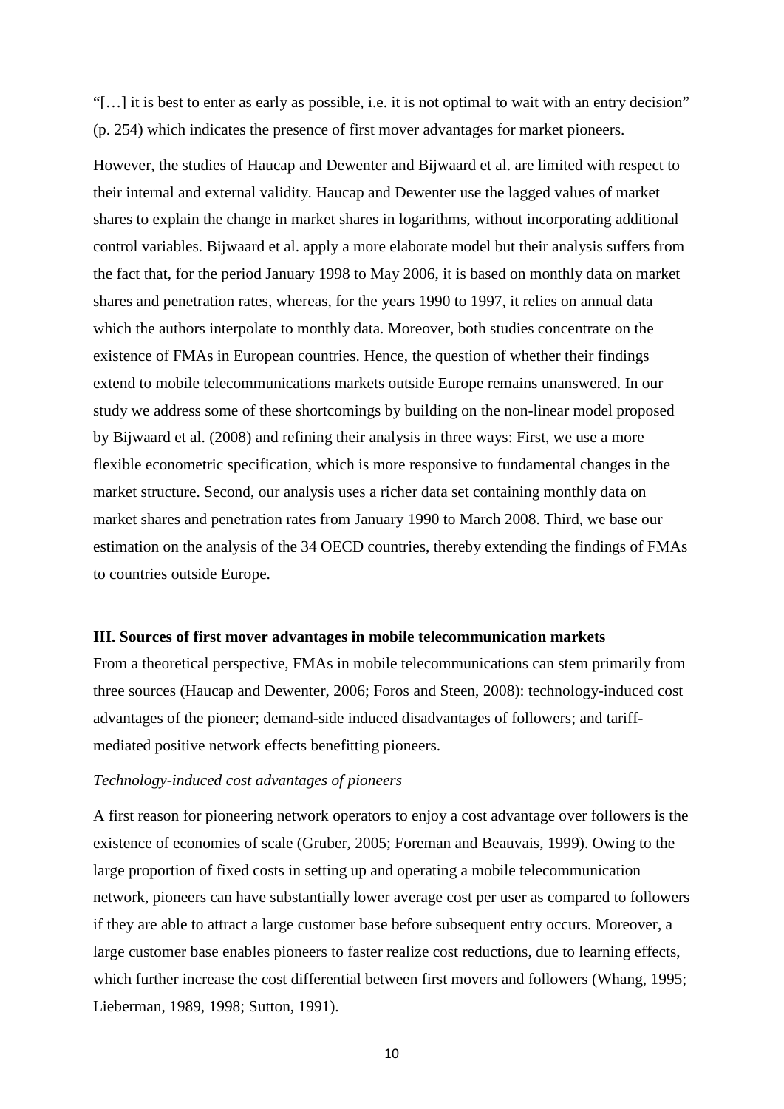"[…] it is best to enter as early as possible, i.e. it is not optimal to wait with an entry decision" (p. 254) which indicates the presence of first mover advantages for market pioneers.

However, the studies of Haucap and Dewenter and Bijwaard et al. are limited with respect to their internal and external validity. Haucap and Dewenter use the lagged values of market shares to explain the change in market shares in logarithms, without incorporating additional control variables. Bijwaard et al. apply a more elaborate model but their analysis suffers from the fact that, for the period January 1998 to May 2006, it is based on monthly data on market shares and penetration rates, whereas, for the years 1990 to 1997, it relies on annual data which the authors interpolate to monthly data. Moreover, both studies concentrate on the existence of FMAs in European countries. Hence, the question of whether their findings extend to mobile telecommunications markets outside Europe remains unanswered. In our study we address some of these shortcomings by building on the non-linear model proposed by Bijwaard et al. (2008) and refining their analysis in three ways: First, we use a more flexible econometric specification, which is more responsive to fundamental changes in the market structure. Second, our analysis uses a richer data set containing monthly data on market shares and penetration rates from January 1990 to March 2008. Third, we base our estimation on the analysis of the 34 OECD countries, thereby extending the findings of FMAs to countries outside Europe.

### **III. Sources of first mover advantages in mobile telecommunication markets**

From a theoretical perspective, FMAs in mobile telecommunications can stem primarily from three sources (Haucap and Dewenter, 2006; Foros and Steen, 2008): technology-induced cost advantages of the pioneer; demand-side induced disadvantages of followers; and tariffmediated positive network effects benefitting pioneers.

### *Technology-induced cost advantages of pioneers*

A first reason for pioneering network operators to enjoy a cost advantage over followers is the existence of economies of scale (Gruber, 2005; Foreman and Beauvais, 1999). Owing to the large proportion of fixed costs in setting up and operating a mobile telecommunication network, pioneers can have substantially lower average cost per user as compared to followers if they are able to attract a large customer base before subsequent entry occurs. Moreover, a large customer base enables pioneers to faster realize cost reductions, due to learning effects, which further increase the cost differential between first movers and followers (Whang, 1995; Lieberman, 1989, 1998; Sutton, 1991).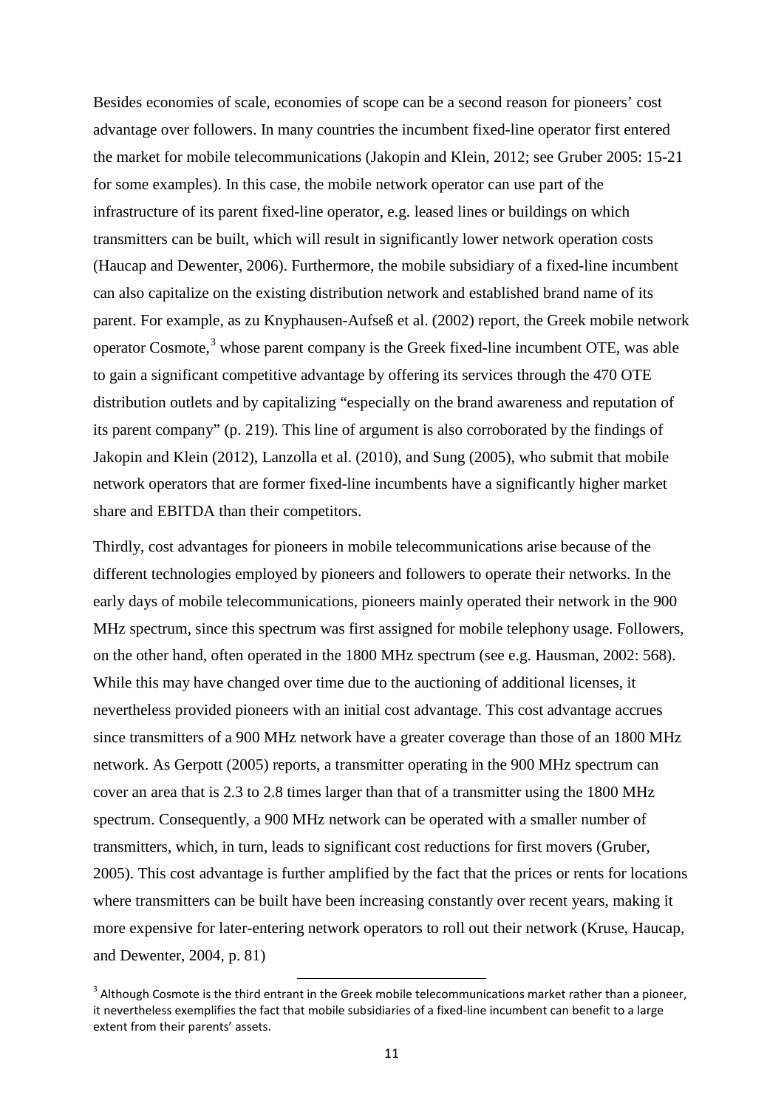Besides economies of scale, economies of scope can be a second reason for pioneers' cost advantage over followers. In many countries the incumbent fixed-line operator first entered the market for mobile telecommunications (Jakopin and Klein, 2012; see Gruber 2005: 15-21 for some examples). In this case, the mobile network operator can use part of the infrastructure of its parent fixed-line operator, e.g. leased lines or buildings on which transmitters can be built, which will result in significantly lower network operation costs (Haucap and Dewenter, 2006). Furthermore, the mobile subsidiary of a fixed-line incumbent can also capitalize on the existing distribution network and established brand name of its parent. For example, as zu Knyphausen-Aufseß et al. (2002) report, the Greek mobile network operator Cosmote,<sup>[3](#page-13-0)</sup> whose parent company is the Greek fixed-line incumbent OTE, was able to gain a significant competitive advantage by offering its services through the 470 OTE distribution outlets and by capitalizing "especially on the brand awareness and reputation of its parent company" (p. 219). This line of argument is also corroborated by the findings of Jakopin and Klein (2012), Lanzolla et al. (2010), and Sung (2005), who submit that mobile network operators that are former fixed-line incumbents have a significantly higher market share and EBITDA than their competitors.

Thirdly, cost advantages for pioneers in mobile telecommunications arise because of the different technologies employed by pioneers and followers to operate their networks. In the early days of mobile telecommunications, pioneers mainly operated their network in the 900 MHz spectrum, since this spectrum was first assigned for mobile telephony usage. Followers, on the other hand, often operated in the 1800 MHz spectrum (see e.g. Hausman, 2002: 568). While this may have changed over time due to the auctioning of additional licenses, it nevertheless provided pioneers with an initial cost advantage. This cost advantage accrues since transmitters of a 900 MHz network have a greater coverage than those of an 1800 MHz network. As Gerpott (2005) reports, a transmitter operating in the 900 MHz spectrum can cover an area that is 2.3 to 2.8 times larger than that of a transmitter using the 1800 MHz spectrum. Consequently, a 900 MHz network can be operated with a smaller number of transmitters, which, in turn, leads to significant cost reductions for first movers (Gruber, 2005). This cost advantage is further amplified by the fact that the prices or rents for locations where transmitters can be built have been increasing constantly over recent years, making it more expensive for later-entering network operators to roll out their network (Kruse, Haucap, and Dewenter, 2004, p. 81)

<span id="page-13-0"></span><sup>&</sup>lt;sup>3</sup> Although Cosmote is the third entrant in the Greek mobile telecommunications market rather than a pioneer, it nevertheless exemplifies the fact that mobile subsidiaries of a fixed-line incumbent can benefit to a large extent from their parents' assets.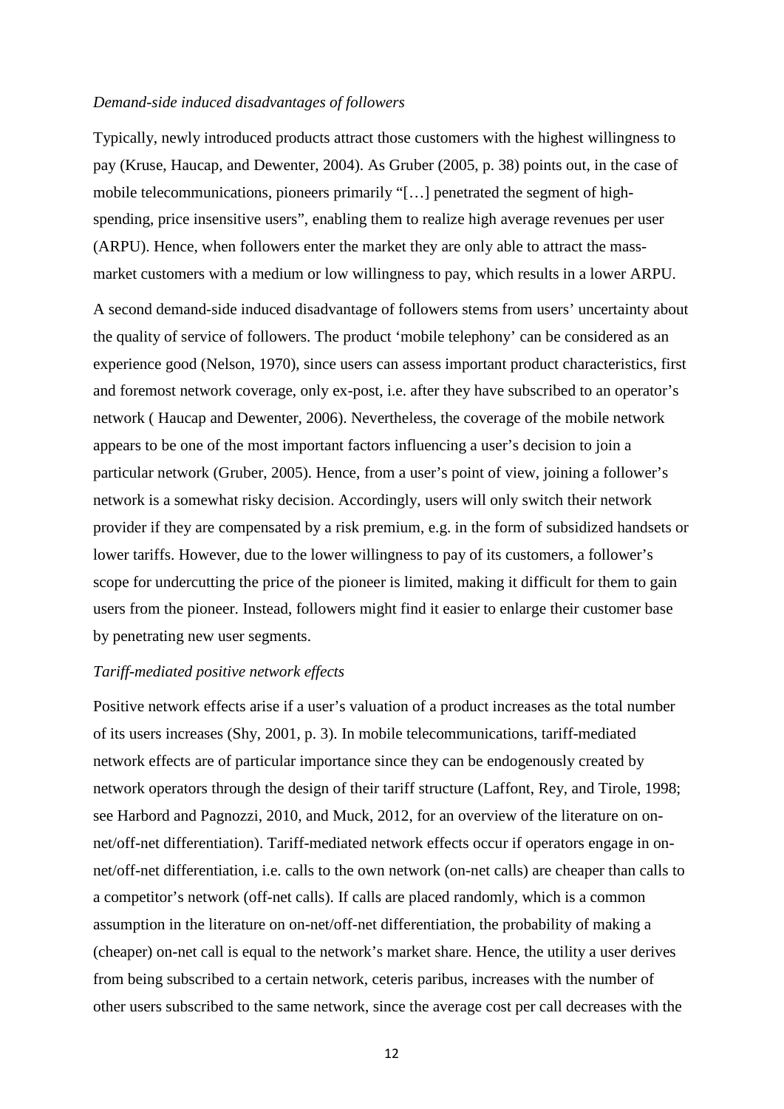### *Demand-side induced disadvantages of followers*

Typically, newly introduced products attract those customers with the highest willingness to pay (Kruse, Haucap, and Dewenter, 2004). As Gruber (2005, p. 38) points out, in the case of mobile telecommunications, pioneers primarily "[…] penetrated the segment of highspending, price insensitive users", enabling them to realize high average revenues per user (ARPU). Hence, when followers enter the market they are only able to attract the massmarket customers with a medium or low willingness to pay, which results in a lower ARPU.

A second demand-side induced disadvantage of followers stems from users' uncertainty about the quality of service of followers. The product 'mobile telephony' can be considered as an experience good (Nelson, 1970), since users can assess important product characteristics, first and foremost network coverage, only ex-post, i.e. after they have subscribed to an operator's network ( Haucap and Dewenter, 2006). Nevertheless, the coverage of the mobile network appears to be one of the most important factors influencing a user's decision to join a particular network (Gruber, 2005). Hence, from a user's point of view, joining a follower's network is a somewhat risky decision. Accordingly, users will only switch their network provider if they are compensated by a risk premium, e.g. in the form of subsidized handsets or lower tariffs. However, due to the lower willingness to pay of its customers, a follower's scope for undercutting the price of the pioneer is limited, making it difficult for them to gain users from the pioneer. Instead, followers might find it easier to enlarge their customer base by penetrating new user segments.

### *Tariff-mediated positive network effects*

Positive network effects arise if a user's valuation of a product increases as the total number of its users increases (Shy, 2001, p. 3). In mobile telecommunications, tariff-mediated network effects are of particular importance since they can be endogenously created by network operators through the design of their tariff structure (Laffont, Rey, and Tirole, 1998; see Harbord and Pagnozzi, 2010, and Muck, 2012, for an overview of the literature on onnet/off-net differentiation). Tariff-mediated network effects occur if operators engage in onnet/off-net differentiation, i.e. calls to the own network (on-net calls) are cheaper than calls to a competitor's network (off-net calls). If calls are placed randomly, which is a common assumption in the literature on on-net/off-net differentiation, the probability of making a (cheaper) on-net call is equal to the network's market share. Hence, the utility a user derives from being subscribed to a certain network, ceteris paribus, increases with the number of other users subscribed to the same network, since the average cost per call decreases with the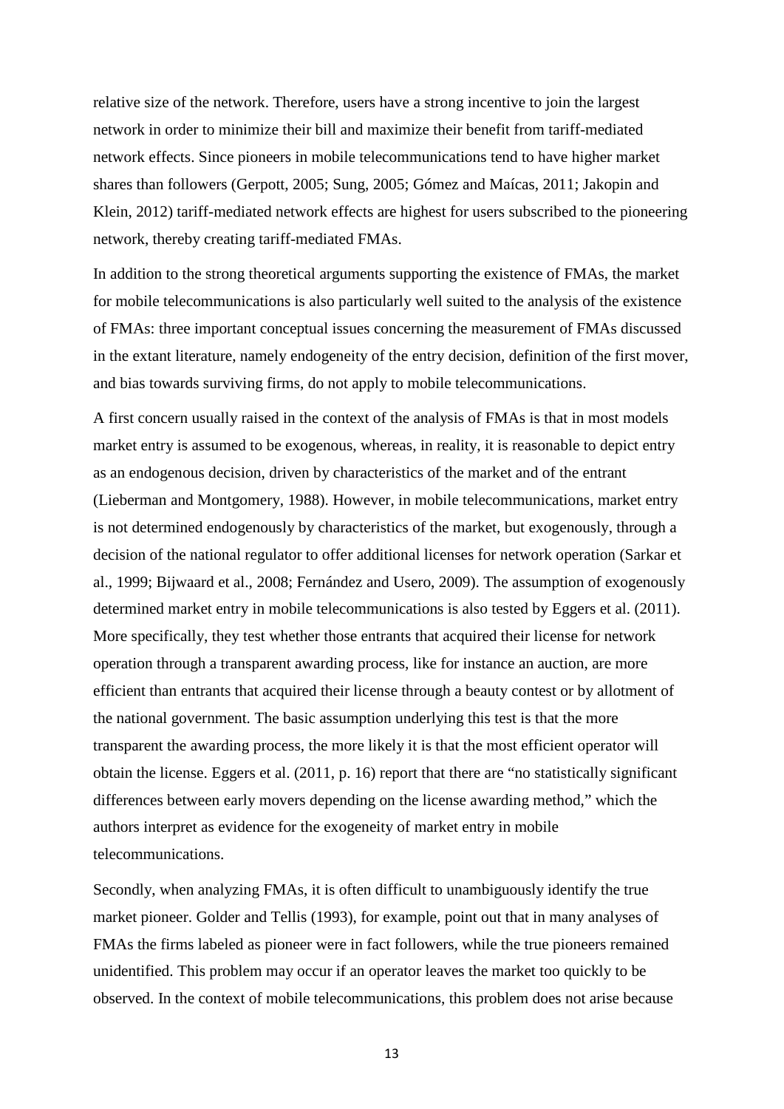relative size of the network. Therefore, users have a strong incentive to join the largest network in order to minimize their bill and maximize their benefit from tariff-mediated network effects. Since pioneers in mobile telecommunications tend to have higher market shares than followers (Gerpott, 2005; Sung, 2005; Gómez and Maícas, 2011; Jakopin and Klein, 2012) tariff-mediated network effects are highest for users subscribed to the pioneering network, thereby creating tariff-mediated FMAs.

In addition to the strong theoretical arguments supporting the existence of FMAs, the market for mobile telecommunications is also particularly well suited to the analysis of the existence of FMAs: three important conceptual issues concerning the measurement of FMAs discussed in the extant literature, namely endogeneity of the entry decision, definition of the first mover, and bias towards surviving firms, do not apply to mobile telecommunications.

A first concern usually raised in the context of the analysis of FMAs is that in most models market entry is assumed to be exogenous, whereas, in reality, it is reasonable to depict entry as an endogenous decision, driven by characteristics of the market and of the entrant (Lieberman and Montgomery, 1988). However, in mobile telecommunications, market entry is not determined endogenously by characteristics of the market, but exogenously, through a decision of the national regulator to offer additional licenses for network operation (Sarkar et al., 1999; Bijwaard et al., 2008; Fernández and Usero, 2009). The assumption of exogenously determined market entry in mobile telecommunications is also tested by Eggers et al. (2011). More specifically, they test whether those entrants that acquired their license for network operation through a transparent awarding process, like for instance an auction, are more efficient than entrants that acquired their license through a beauty contest or by allotment of the national government. The basic assumption underlying this test is that the more transparent the awarding process, the more likely it is that the most efficient operator will obtain the license. Eggers et al. (2011, p. 16) report that there are "no statistically significant differences between early movers depending on the license awarding method," which the authors interpret as evidence for the exogeneity of market entry in mobile telecommunications.

Secondly, when analyzing FMAs, it is often difficult to unambiguously identify the true market pioneer. Golder and Tellis (1993), for example, point out that in many analyses of FMAs the firms labeled as pioneer were in fact followers, while the true pioneers remained unidentified. This problem may occur if an operator leaves the market too quickly to be observed. In the context of mobile telecommunications, this problem does not arise because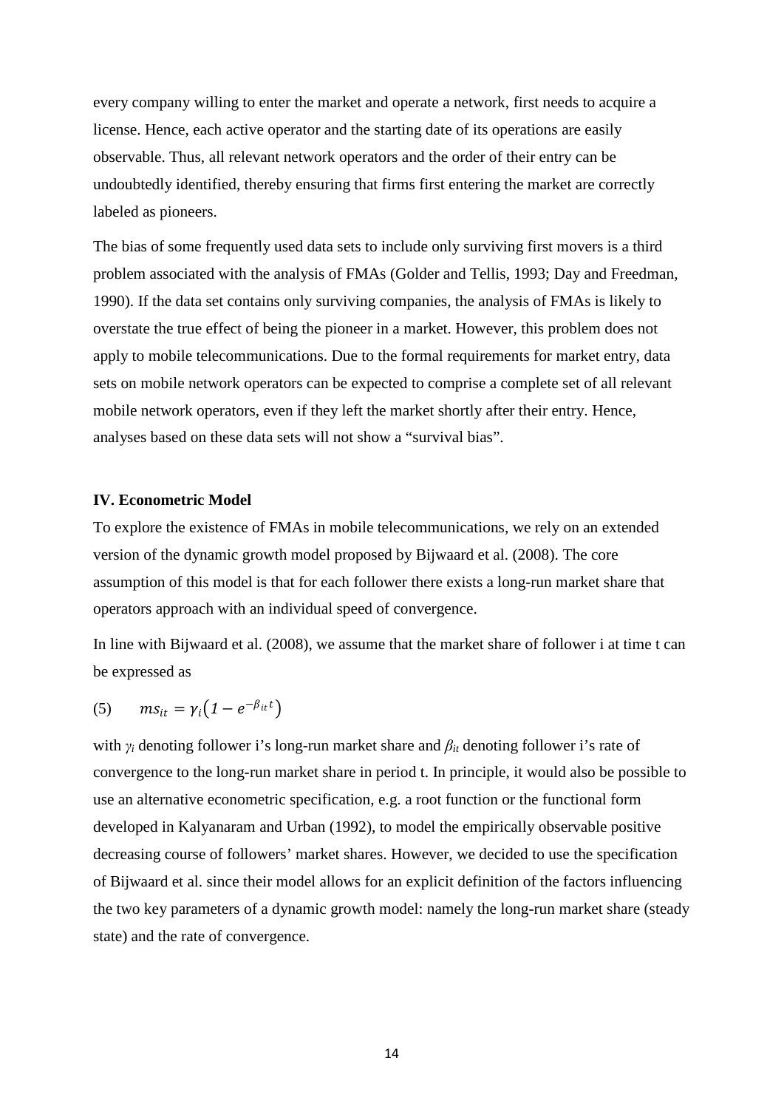every company willing to enter the market and operate a network, first needs to acquire a license. Hence, each active operator and the starting date of its operations are easily observable. Thus, all relevant network operators and the order of their entry can be undoubtedly identified, thereby ensuring that firms first entering the market are correctly labeled as pioneers.

The bias of some frequently used data sets to include only surviving first movers is a third problem associated with the analysis of FMAs (Golder and Tellis, 1993; Day and Freedman, 1990). If the data set contains only surviving companies, the analysis of FMAs is likely to overstate the true effect of being the pioneer in a market. However, this problem does not apply to mobile telecommunications. Due to the formal requirements for market entry, data sets on mobile network operators can be expected to comprise a complete set of all relevant mobile network operators, even if they left the market shortly after their entry. Hence, analyses based on these data sets will not show a "survival bias".

### **IV. Econometric Model**

To explore the existence of FMAs in mobile telecommunications, we rely on an extended version of the dynamic growth model proposed by Bijwaard et al. (2008). The core assumption of this model is that for each follower there exists a long-run market share that operators approach with an individual speed of convergence.

In line with Bijwaard et al. (2008), we assume that the market share of follower i at time t can be expressed as

$$
(5) \qquad ms_{it} = \gamma_i \big( 1 - e^{-\beta_{it} t} \big)
$$

with *γ<sup>i</sup>* denoting follower i's long-run market share and *βit* denoting follower i's rate of convergence to the long-run market share in period t. In principle, it would also be possible to use an alternative econometric specification, e.g. a root function or the functional form developed in Kalyanaram and Urban (1992), to model the empirically observable positive decreasing course of followers' market shares. However, we decided to use the specification of Bijwaard et al. since their model allows for an explicit definition of the factors influencing the two key parameters of a dynamic growth model: namely the long-run market share (steady state) and the rate of convergence.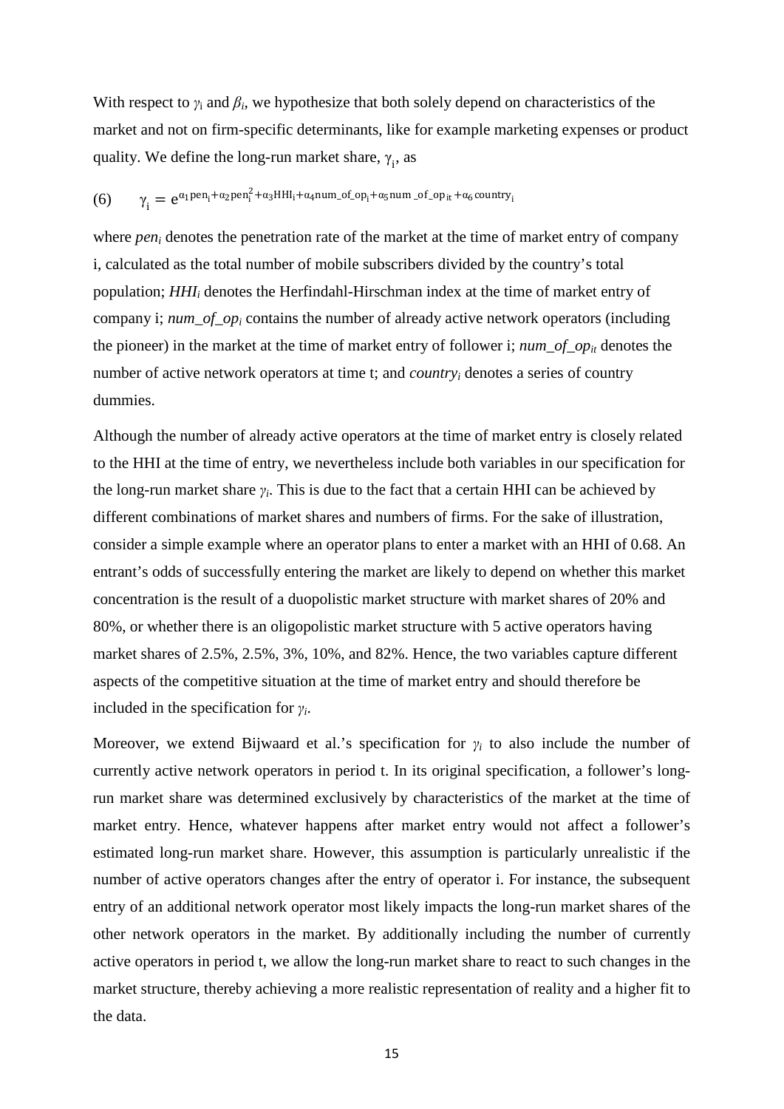With respect to  $\gamma_i$  and  $\beta_i$ , we hypothesize that both solely depend on characteristics of the market and not on firm-specific determinants, like for example marketing expenses or product quality. We define the long-run market share,  $\gamma_i$ , as

# (6)  $\gamma_i = e^{\alpha_1 \text{pen}_i + \alpha_2 \text{pen}_i^2 + \alpha_3 \text{HHI}_i + \alpha_4 \text{num\_of\_op}_i + \alpha_5 \text{num\_of\_op}_{it} + \alpha_6 \text{country}_i}$

where *pen<sub>i</sub>* denotes the penetration rate of the market at the time of market entry of company i, calculated as the total number of mobile subscribers divided by the country's total population; *HHIi* denotes the Herfindahl-Hirschman index at the time of market entry of company i; *num\_of\_opi* contains the number of already active network operators (including the pioneer) in the market at the time of market entry of follower i; *num\_of\_op<sub>it</sub>* denotes the number of active network operators at time t; and *countryi* denotes a series of country dummies.

Although the number of already active operators at the time of market entry is closely related to the HHI at the time of entry, we nevertheless include both variables in our specification for the long-run market share  $\gamma_i$ . This is due to the fact that a certain HHI can be achieved by different combinations of market shares and numbers of firms. For the sake of illustration, consider a simple example where an operator plans to enter a market with an HHI of 0.68. An entrant's odds of successfully entering the market are likely to depend on whether this market concentration is the result of a duopolistic market structure with market shares of 20% and 80%, or whether there is an oligopolistic market structure with 5 active operators having market shares of 2.5%, 2.5%, 3%, 10%, and 82%. Hence, the two variables capture different aspects of the competitive situation at the time of market entry and should therefore be included in the specification for *γi*.

Moreover, we extend Bijwaard et al.'s specification for  $\gamma_i$  to also include the number of currently active network operators in period t. In its original specification, a follower's longrun market share was determined exclusively by characteristics of the market at the time of market entry. Hence, whatever happens after market entry would not affect a follower's estimated long-run market share. However, this assumption is particularly unrealistic if the number of active operators changes after the entry of operator i. For instance, the subsequent entry of an additional network operator most likely impacts the long-run market shares of the other network operators in the market. By additionally including the number of currently active operators in period t, we allow the long-run market share to react to such changes in the market structure, thereby achieving a more realistic representation of reality and a higher fit to the data.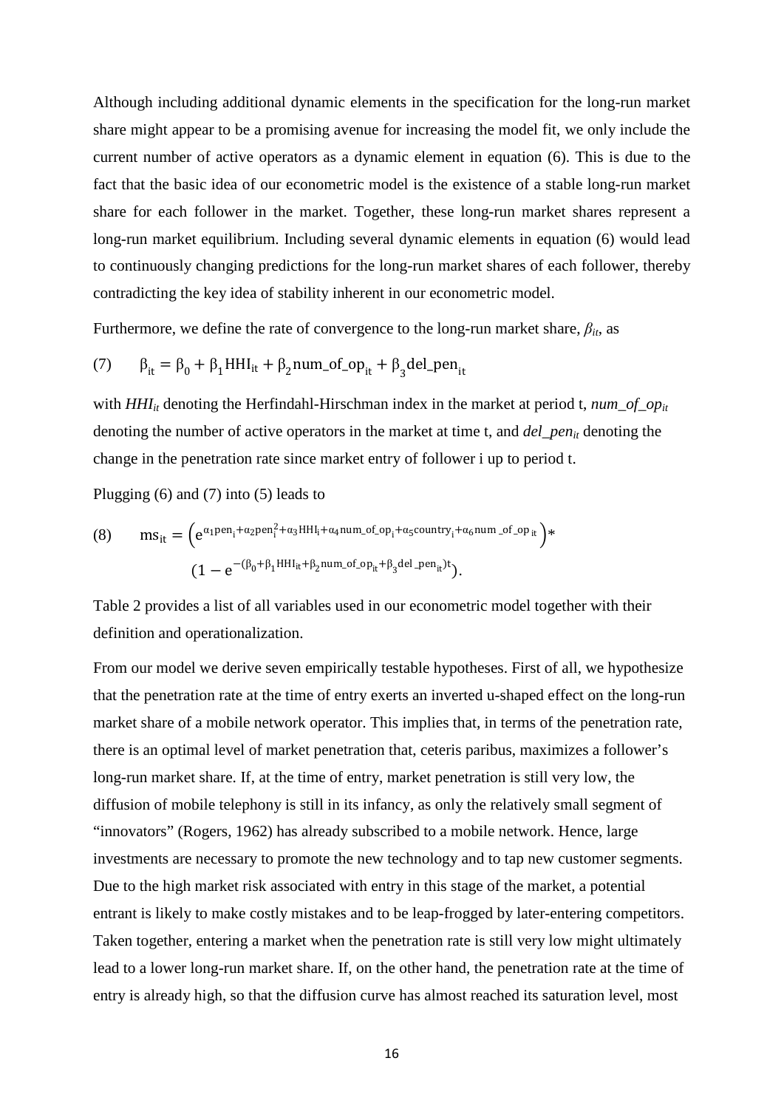Although including additional dynamic elements in the specification for the long-run market share might appear to be a promising avenue for increasing the model fit, we only include the current number of active operators as a dynamic element in equation (6). This is due to the fact that the basic idea of our econometric model is the existence of a stable long-run market share for each follower in the market. Together, these long-run market shares represent a long-run market equilibrium. Including several dynamic elements in equation (6) would lead to continuously changing predictions for the long-run market shares of each follower, thereby contradicting the key idea of stability inherent in our econometric model.

Furthermore, we define the rate of convergence to the long-run market share,  $\beta_{it}$ , as

(7) 
$$
\beta_{it} = \beta_0 + \beta_1 H H I_{it} + \beta_2 n u m_{\text{of}} \text{op}_{it} + \beta_3 \text{del}_{\text{open}} t_{it}
$$

with  $HHI_{it}$  denoting the Herfindahl-Hirschman index in the market at period t,  $num\_of\_op_{it}$ denoting the number of active operators in the market at time t, and *del pen<sub>it</sub>* denoting the change in the penetration rate since market entry of follower i up to period t.

Plugging (6) and (7) into (5) leads to

(8) 
$$
ms_{it} = \left(e^{\alpha_1 pen_i + \alpha_2 pen_i^2 + \alpha_3 HHl_i + \alpha_4 num\_of\_op_i + \alpha_5 country_i + \alpha_6 num\_of\_op_{it}}\right) * \n\left(1 - e^{-(\beta_0 + \beta_1 HHl_{it} + \beta_2 num\_of\_op_{it} + \beta_3 del\_pen_{it}}\right).
$$

Table 2 provides a list of all variables used in our econometric model together with their definition and operationalization.

From our model we derive seven empirically testable hypotheses. First of all, we hypothesize that the penetration rate at the time of entry exerts an inverted u-shaped effect on the long-run market share of a mobile network operator. This implies that, in terms of the penetration rate, there is an optimal level of market penetration that, ceteris paribus, maximizes a follower's long-run market share. If, at the time of entry, market penetration is still very low, the diffusion of mobile telephony is still in its infancy, as only the relatively small segment of "innovators" (Rogers, 1962) has already subscribed to a mobile network. Hence, large investments are necessary to promote the new technology and to tap new customer segments. Due to the high market risk associated with entry in this stage of the market, a potential entrant is likely to make costly mistakes and to be leap-frogged by later-entering competitors. Taken together, entering a market when the penetration rate is still very low might ultimately lead to a lower long-run market share. If, on the other hand, the penetration rate at the time of entry is already high, so that the diffusion curve has almost reached its saturation level, most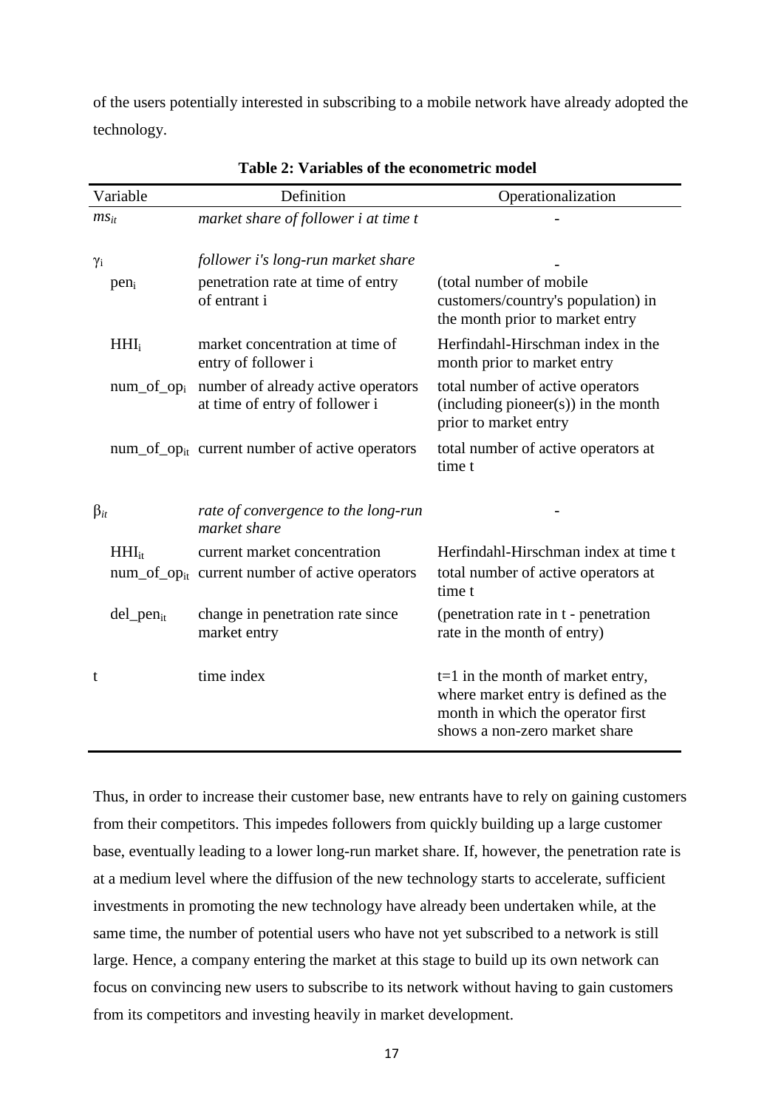of the users potentially interested in subscribing to a mobile network have already adopted the technology.

|              | Variable         | Definition                                                                                 | Operationalization                                                                                                                                |
|--------------|------------------|--------------------------------------------------------------------------------------------|---------------------------------------------------------------------------------------------------------------------------------------------------|
| $ms_{it}$    |                  | market share of follower i at time t                                                       |                                                                                                                                                   |
| $\gamma_i$   |                  | follower i's long-run market share                                                         |                                                                                                                                                   |
|              | pen <sub>i</sub> | penetration rate at time of entry<br>of entrant i                                          | (total number of mobile)<br>customers/country's population) in<br>the month prior to market entry                                                 |
|              | $HHI_i$          | market concentration at time of<br>entry of follower i                                     | Herfindahl-Hirschman index in the<br>month prior to market entry                                                                                  |
|              | $num_of_op_i$    | number of already active operators<br>at time of entry of follower i                       | total number of active operators<br>$(including~pioneer(s))$ in the month<br>prior to market entry                                                |
|              |                  | $num\_of\_op_{it}$ current number of active operators                                      | total number of active operators at<br>time t                                                                                                     |
| $\beta_{it}$ |                  | rate of convergence to the long-run<br>market share                                        |                                                                                                                                                   |
|              | $HHI_{it}$       | current market concentration<br>num_of_op <sub>it</sub> current number of active operators | Herfindahl-Hirschman index at time t<br>total number of active operators at<br>time t                                                             |
|              | $del\_pen_{it}$  | change in penetration rate since<br>market entry                                           | (penetration rate in t - penetration<br>rate in the month of entry)                                                                               |
| t            |                  | time index                                                                                 | $t=1$ in the month of market entry,<br>where market entry is defined as the<br>month in which the operator first<br>shows a non-zero market share |

**Table 2: Variables of the econometric model**

Thus, in order to increase their customer base, new entrants have to rely on gaining customers from their competitors. This impedes followers from quickly building up a large customer base, eventually leading to a lower long-run market share. If, however, the penetration rate is at a medium level where the diffusion of the new technology starts to accelerate, sufficient investments in promoting the new technology have already been undertaken while, at the same time, the number of potential users who have not yet subscribed to a network is still large. Hence, a company entering the market at this stage to build up its own network can focus on convincing new users to subscribe to its network without having to gain customers from its competitors and investing heavily in market development.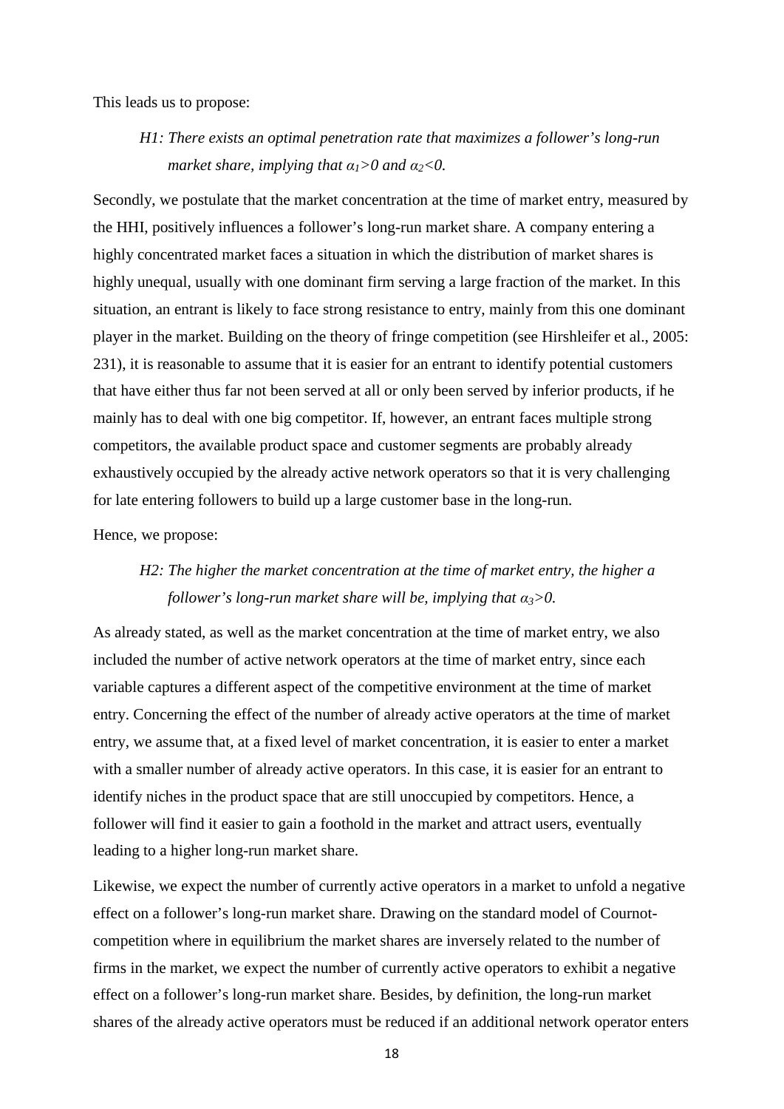This leads us to propose:

*H1: There exists an optimal penetration rate that maximizes a follower's long-run market share, implying that*  $\alpha_1 > 0$  *and*  $\alpha_2 < 0$ .

Secondly, we postulate that the market concentration at the time of market entry, measured by the HHI, positively influences a follower's long-run market share. A company entering a highly concentrated market faces a situation in which the distribution of market shares is highly unequal, usually with one dominant firm serving a large fraction of the market. In this situation, an entrant is likely to face strong resistance to entry, mainly from this one dominant player in the market. Building on the theory of fringe competition (see Hirshleifer et al., 2005: 231), it is reasonable to assume that it is easier for an entrant to identify potential customers that have either thus far not been served at all or only been served by inferior products, if he mainly has to deal with one big competitor. If, however, an entrant faces multiple strong competitors, the available product space and customer segments are probably already exhaustively occupied by the already active network operators so that it is very challenging for late entering followers to build up a large customer base in the long-run.

Hence, we propose:

### *H2: The higher the market concentration at the time of market entry, the higher a follower's long-run market share will be, implying that*  $\alpha_3$ >0.

As already stated, as well as the market concentration at the time of market entry, we also included the number of active network operators at the time of market entry, since each variable captures a different aspect of the competitive environment at the time of market entry. Concerning the effect of the number of already active operators at the time of market entry, we assume that, at a fixed level of market concentration, it is easier to enter a market with a smaller number of already active operators. In this case, it is easier for an entrant to identify niches in the product space that are still unoccupied by competitors. Hence, a follower will find it easier to gain a foothold in the market and attract users, eventually leading to a higher long-run market share.

Likewise, we expect the number of currently active operators in a market to unfold a negative effect on a follower's long-run market share. Drawing on the standard model of Cournotcompetition where in equilibrium the market shares are inversely related to the number of firms in the market, we expect the number of currently active operators to exhibit a negative effect on a follower's long-run market share. Besides, by definition, the long-run market shares of the already active operators must be reduced if an additional network operator enters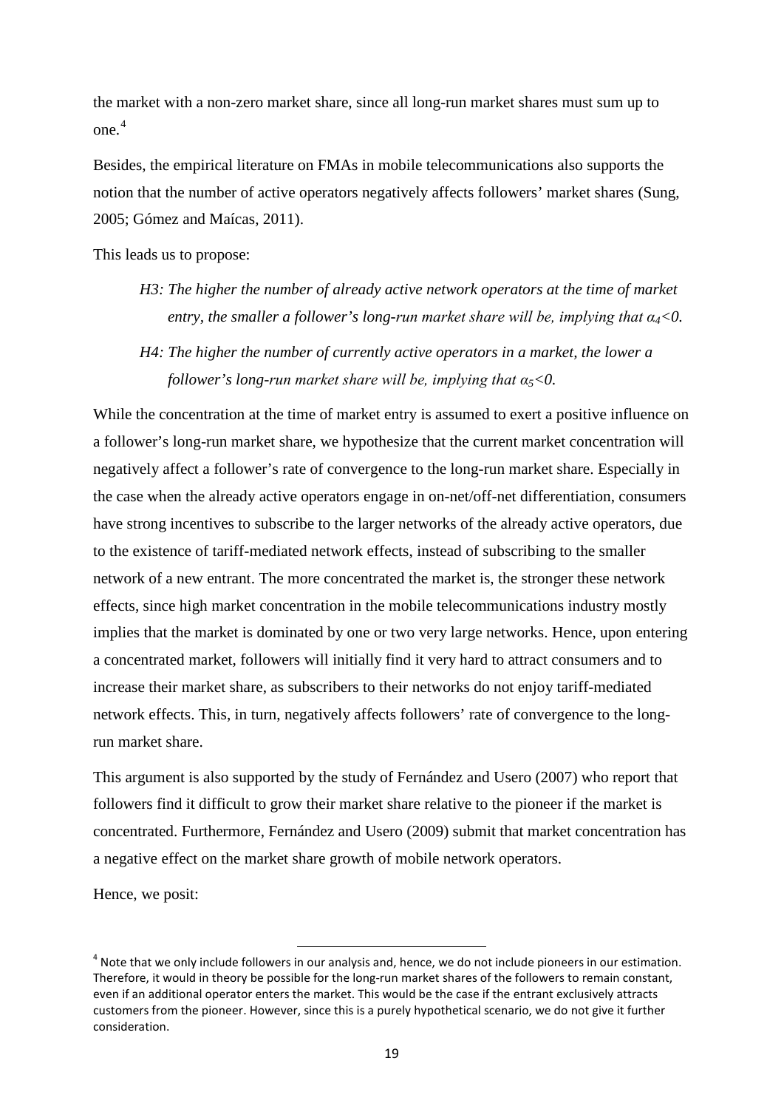the market with a non-zero market share, since all long-run market shares must sum up to one. [4](#page-21-0)

Besides, the empirical literature on FMAs in mobile telecommunications also supports the notion that the number of active operators negatively affects followers' market shares (Sung, 2005; Gómez and Maícas, 2011).

This leads us to propose:

- *H3: The higher the number of already active network operators at the time of market entry, the smaller a follower's long-run market share will be, implying that α4<0.*
- *H4: The higher the number of currently active operators in a market, the lower a follower's long-run market share will be, implying that α5<0.*

While the concentration at the time of market entry is assumed to exert a positive influence on a follower's long-run market share, we hypothesize that the current market concentration will negatively affect a follower's rate of convergence to the long-run market share. Especially in the case when the already active operators engage in on-net/off-net differentiation, consumers have strong incentives to subscribe to the larger networks of the already active operators, due to the existence of tariff-mediated network effects, instead of subscribing to the smaller network of a new entrant. The more concentrated the market is, the stronger these network effects, since high market concentration in the mobile telecommunications industry mostly implies that the market is dominated by one or two very large networks. Hence, upon entering a concentrated market, followers will initially find it very hard to attract consumers and to increase their market share, as subscribers to their networks do not enjoy tariff-mediated network effects. This, in turn, negatively affects followers' rate of convergence to the longrun market share.

This argument is also supported by the study of Fernández and Usero (2007) who report that followers find it difficult to grow their market share relative to the pioneer if the market is concentrated. Furthermore, Fernández and Usero (2009) submit that market concentration has a negative effect on the market share growth of mobile network operators.

Hence, we posit:

<span id="page-21-0"></span><sup>&</sup>lt;sup>4</sup> Note that we only include followers in our analysis and, hence, we do not include pioneers in our estimation. Therefore, it would in theory be possible for the long-run market shares of the followers to remain constant, even if an additional operator enters the market. This would be the case if the entrant exclusively attracts customers from the pioneer. However, since this is a purely hypothetical scenario, we do not give it further consideration.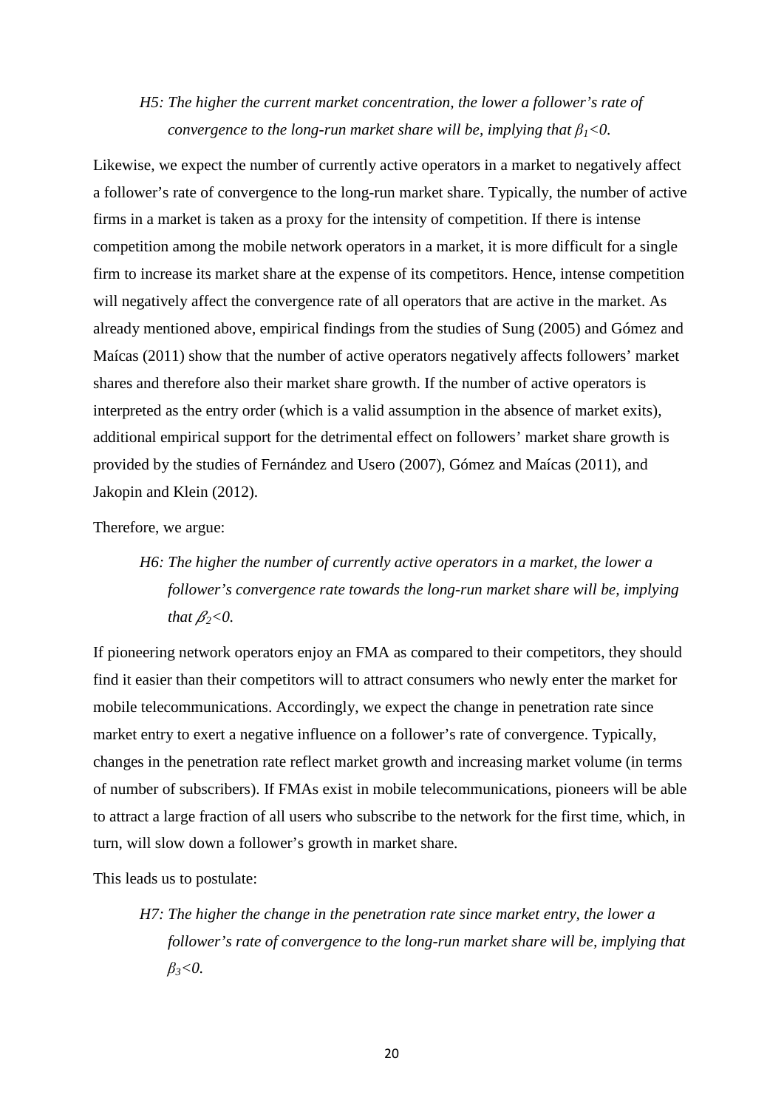### *H5: The higher the current market concentration, the lower a follower's rate of convergence to the long-run market share will be, implying that*  $\beta_1 < 0$ .

Likewise, we expect the number of currently active operators in a market to negatively affect a follower's rate of convergence to the long-run market share. Typically, the number of active firms in a market is taken as a proxy for the intensity of competition. If there is intense competition among the mobile network operators in a market, it is more difficult for a single firm to increase its market share at the expense of its competitors. Hence, intense competition will negatively affect the convergence rate of all operators that are active in the market. As already mentioned above, empirical findings from the studies of Sung (2005) and Gómez and Maícas (2011) show that the number of active operators negatively affects followers' market shares and therefore also their market share growth. If the number of active operators is interpreted as the entry order (which is a valid assumption in the absence of market exits), additional empirical support for the detrimental effect on followers' market share growth is provided by the studies of Fernández and Usero (2007), Gómez and Maícas (2011), and Jakopin and Klein (2012).

Therefore, we argue:

# *H6: The higher the number of currently active operators in a market, the lower a follower's convergence rate towards the long-run market share will be, implying that*  $\beta$ <sub>2</sub> < 0.

If pioneering network operators enjoy an FMA as compared to their competitors, they should find it easier than their competitors will to attract consumers who newly enter the market for mobile telecommunications. Accordingly, we expect the change in penetration rate since market entry to exert a negative influence on a follower's rate of convergence. Typically, changes in the penetration rate reflect market growth and increasing market volume (in terms of number of subscribers). If FMAs exist in mobile telecommunications, pioneers will be able to attract a large fraction of all users who subscribe to the network for the first time, which, in turn, will slow down a follower's growth in market share.

This leads us to postulate:

*H7: The higher the change in the penetration rate since market entry, the lower a follower's rate of convergence to the long-run market share will be, implying that β3<0.*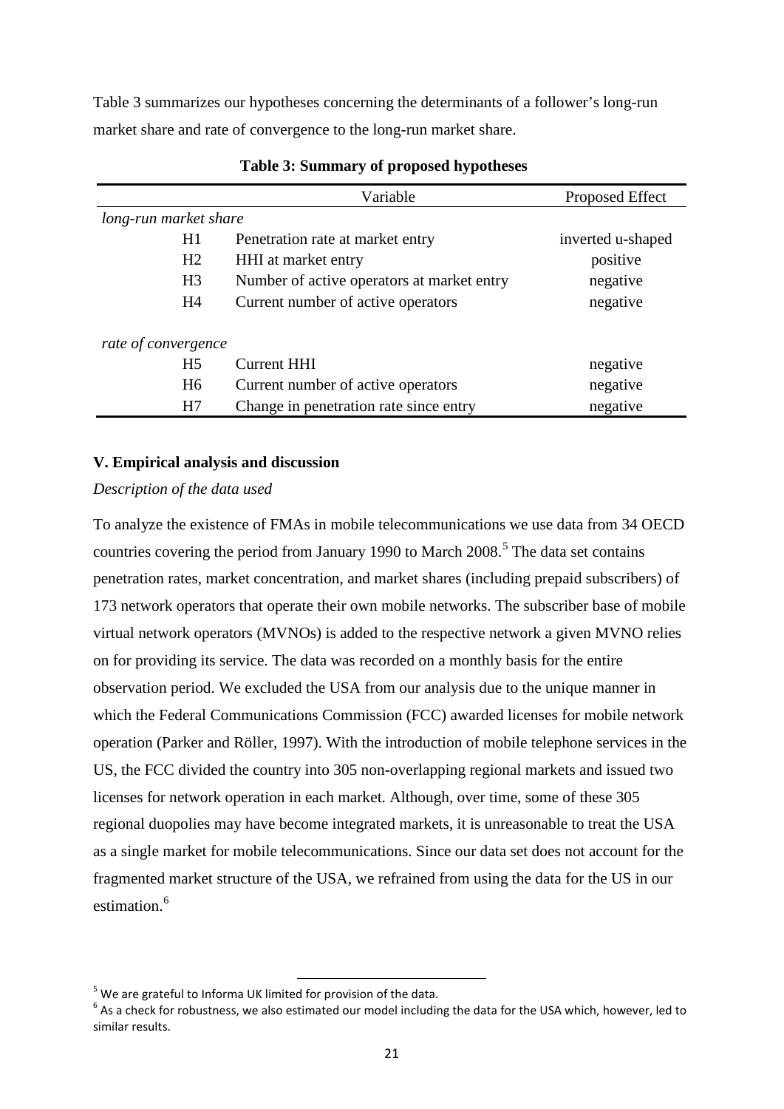Table 3 summarizes our hypotheses concerning the determinants of a follower's long-run market share and rate of convergence to the long-run market share.

|                       | Variable                                   | Proposed Effect   |  |  |  |
|-----------------------|--------------------------------------------|-------------------|--|--|--|
| long-run market share |                                            |                   |  |  |  |
| H1                    | Penetration rate at market entry           | inverted u-shaped |  |  |  |
| H <sub>2</sub>        | HHI at market entry                        | positive          |  |  |  |
| H <sub>3</sub>        | Number of active operators at market entry | negative          |  |  |  |
| H <sub>4</sub>        | Current number of active operators         | negative          |  |  |  |
| rate of convergence   |                                            |                   |  |  |  |
| H <sub>5</sub>        | <b>Current HHI</b>                         | negative          |  |  |  |
| H <sub>6</sub>        | Current number of active operators         | negative          |  |  |  |
| H7                    | Change in penetration rate since entry     | negative          |  |  |  |

### **Table 3: Summary of proposed hypotheses**

### **V. Empirical analysis and discussion**

### *Description of the data used*

To analyze the existence of FMAs in mobile telecommunications we use data from 34 OECD countries covering the period from January 1990 to March 2008.<sup>[5](#page-23-0)</sup> The data set contains penetration rates, market concentration, and market shares (including prepaid subscribers) of 173 network operators that operate their own mobile networks. The subscriber base of mobile virtual network operators (MVNOs) is added to the respective network a given MVNO relies on for providing its service. The data was recorded on a monthly basis for the entire observation period. We excluded the USA from our analysis due to the unique manner in which the Federal Communications Commission (FCC) awarded licenses for mobile network operation (Parker and Röller, 1997). With the introduction of mobile telephone services in the US, the FCC divided the country into 305 non-overlapping regional markets and issued two licenses for network operation in each market. Although, over time, some of these 305 regional duopolies may have become integrated markets, it is unreasonable to treat the USA as a single market for mobile telecommunications. Since our data set does not account for the fragmented market structure of the USA, we refrained from using the data for the US in our estimation.<sup>[6](#page-23-1)</sup>

<span id="page-23-0"></span> $5$  We are grateful to Informa UK limited for provision of the data.

<span id="page-23-1"></span><sup>&</sup>lt;sup>6</sup> As a check for robustness, we also estimated our model including the data for the USA which, however, led to similar results.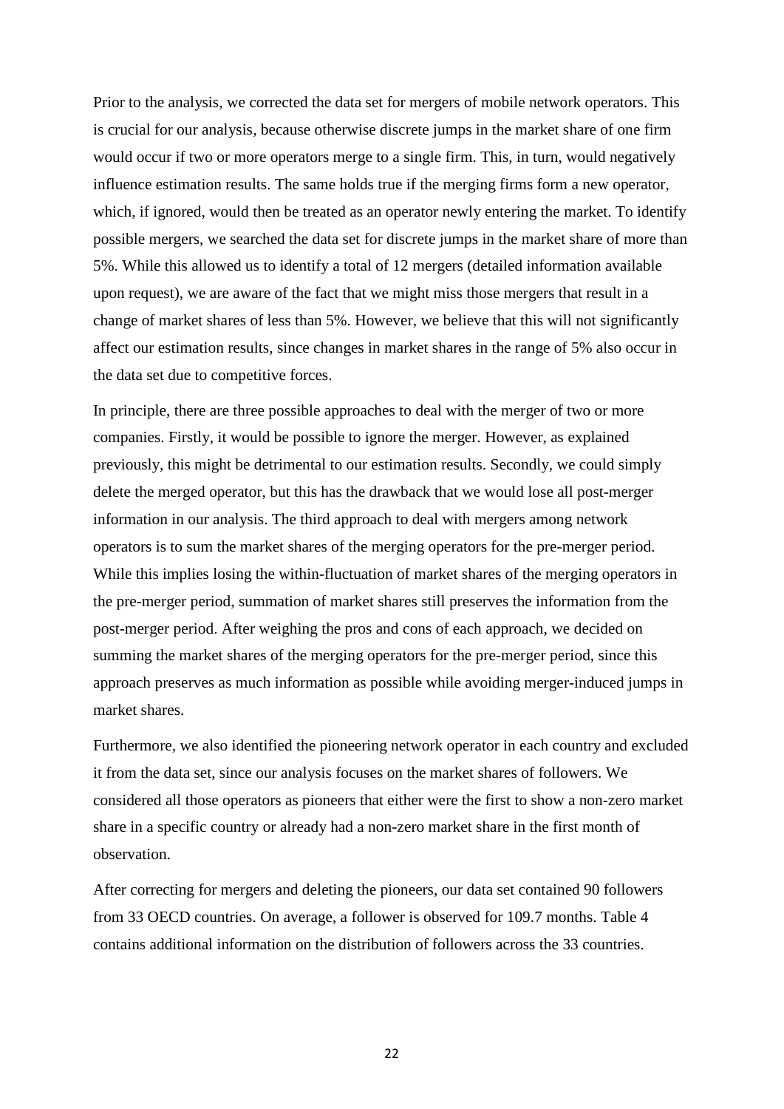Prior to the analysis, we corrected the data set for mergers of mobile network operators. This is crucial for our analysis, because otherwise discrete jumps in the market share of one firm would occur if two or more operators merge to a single firm. This, in turn, would negatively influence estimation results. The same holds true if the merging firms form a new operator, which, if ignored, would then be treated as an operator newly entering the market. To identify possible mergers, we searched the data set for discrete jumps in the market share of more than 5%. While this allowed us to identify a total of 12 mergers (detailed information available upon request), we are aware of the fact that we might miss those mergers that result in a change of market shares of less than 5%. However, we believe that this will not significantly affect our estimation results, since changes in market shares in the range of 5% also occur in the data set due to competitive forces.

In principle, there are three possible approaches to deal with the merger of two or more companies. Firstly, it would be possible to ignore the merger. However, as explained previously, this might be detrimental to our estimation results. Secondly, we could simply delete the merged operator, but this has the drawback that we would lose all post-merger information in our analysis. The third approach to deal with mergers among network operators is to sum the market shares of the merging operators for the pre-merger period. While this implies losing the within-fluctuation of market shares of the merging operators in the pre-merger period, summation of market shares still preserves the information from the post-merger period. After weighing the pros and cons of each approach, we decided on summing the market shares of the merging operators for the pre-merger period, since this approach preserves as much information as possible while avoiding merger-induced jumps in market shares.

Furthermore, we also identified the pioneering network operator in each country and excluded it from the data set, since our analysis focuses on the market shares of followers. We considered all those operators as pioneers that either were the first to show a non-zero market share in a specific country or already had a non-zero market share in the first month of observation.

After correcting for mergers and deleting the pioneers, our data set contained 90 followers from 33 OECD countries. On average, a follower is observed for 109.7 months. Table 4 contains additional information on the distribution of followers across the 33 countries.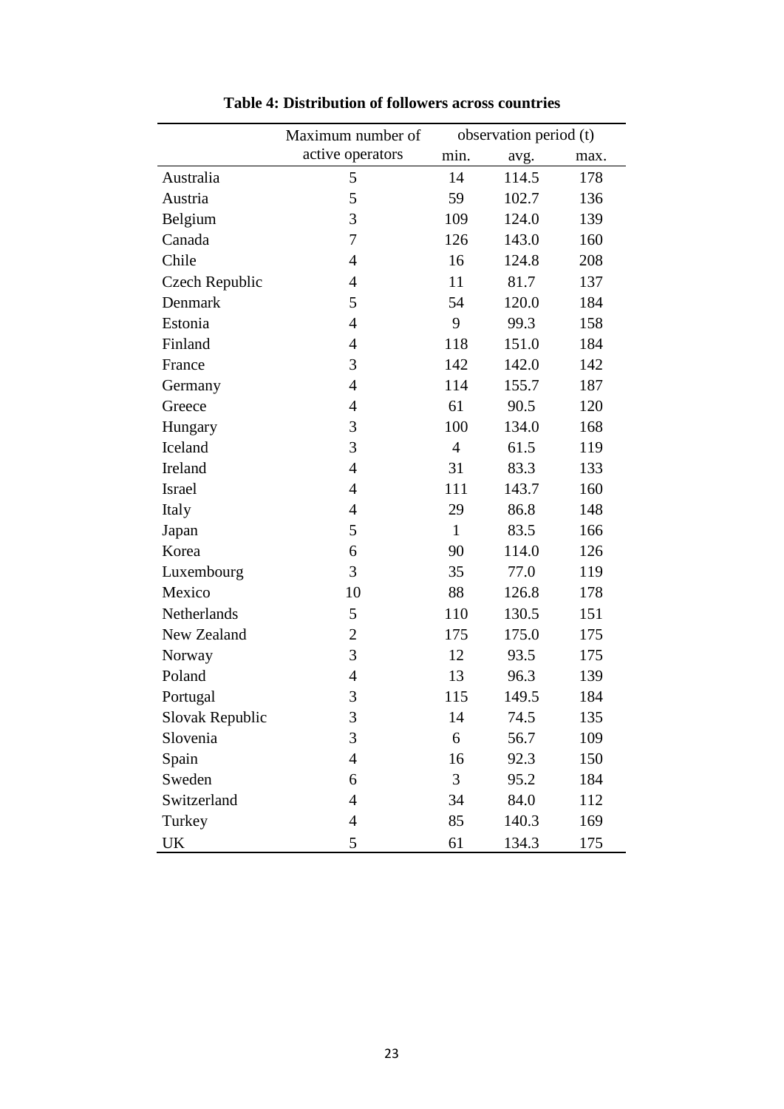|                                   | Maximum number of |                | observation period (t) |      |
|-----------------------------------|-------------------|----------------|------------------------|------|
|                                   | active operators  | min.           | avg.                   | max. |
| Australia                         | 5                 | 14             | 114.5                  | 178  |
| Austria                           | 5                 | 59             | 102.7                  | 136  |
| Belgium                           | 3                 | 109            | 124.0                  | 139  |
| Canada                            | 7                 | 126            | 143.0                  | 160  |
| Chile                             | $\overline{4}$    | 16             | 124.8                  | 208  |
| Czech Republic                    | $\overline{4}$    | 11             | 81.7                   | 137  |
| Denmark                           | 5                 | 54             | 120.0                  | 184  |
| Estonia                           | $\overline{4}$    | 9              | 99.3                   | 158  |
| Finland                           | $\overline{4}$    | 118            | 151.0                  | 184  |
| France                            | 3                 | 142            | 142.0                  | 142  |
| Germany                           | $\overline{4}$    | 114            | 155.7                  | 187  |
| Greece                            | $\overline{4}$    | 61             | 90.5                   | 120  |
| Hungary                           | 3                 | 100            | 134.0                  | 168  |
| Iceland                           | 3                 | $\overline{4}$ | 61.5                   | 119  |
| Ireland                           | $\overline{4}$    | 31             | 83.3                   | 133  |
| Israel                            | $\overline{4}$    | 111            | 143.7                  | 160  |
| Italy                             | $\overline{4}$    | 29             | 86.8                   | 148  |
| Japan                             | 5                 | $\mathbf{1}$   | 83.5                   | 166  |
| Korea                             | 6                 | 90             | 114.0                  | 126  |
| Luxembourg                        | 3                 | 35             | 77.0                   | 119  |
| Mexico                            | 10                | 88             | 126.8                  | 178  |
| Netherlands                       | 5                 | 110            | 130.5                  | 151  |
| New Zealand                       | $\overline{2}$    | 175            | 175.0                  | 175  |
| Norway                            | 3                 | 12             | 93.5                   | 175  |
| Poland                            | $\overline{4}$    | 13             | 96.3                   | 139  |
| Portugal                          | 3                 | 115            | 149.5                  | 184  |
| Slovak Republic                   | 3                 | 14             | 74.5                   | 135  |
| Slovenia                          | 3                 | 6              | 56.7                   | 109  |
| Spain                             | $\overline{4}$    | 16             | 92.3                   | 150  |
| Sweden                            | 6                 | 3              | 95.2                   | 184  |
| Switzerland                       | $\overline{4}$    | 34             | 84.0                   | 112  |
| Turkey                            | $\overline{4}$    | 85             | 140.3                  | 169  |
| $\ensuremath{\mathrm{UK}}\xspace$ | 5                 | 61             | 134.3                  | 175  |

**Table 4: Distribution of followers across countries**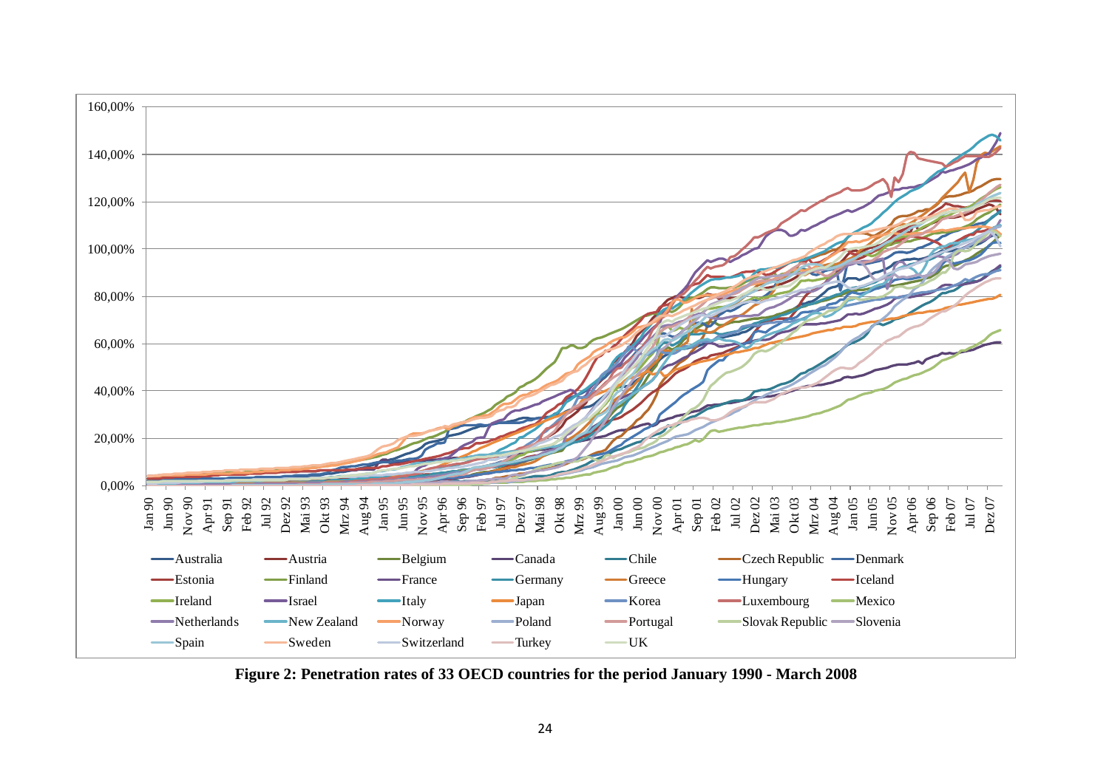

**Figure 2: Penetration rates of 33 OECD countries for the period January 1990 - March 2008**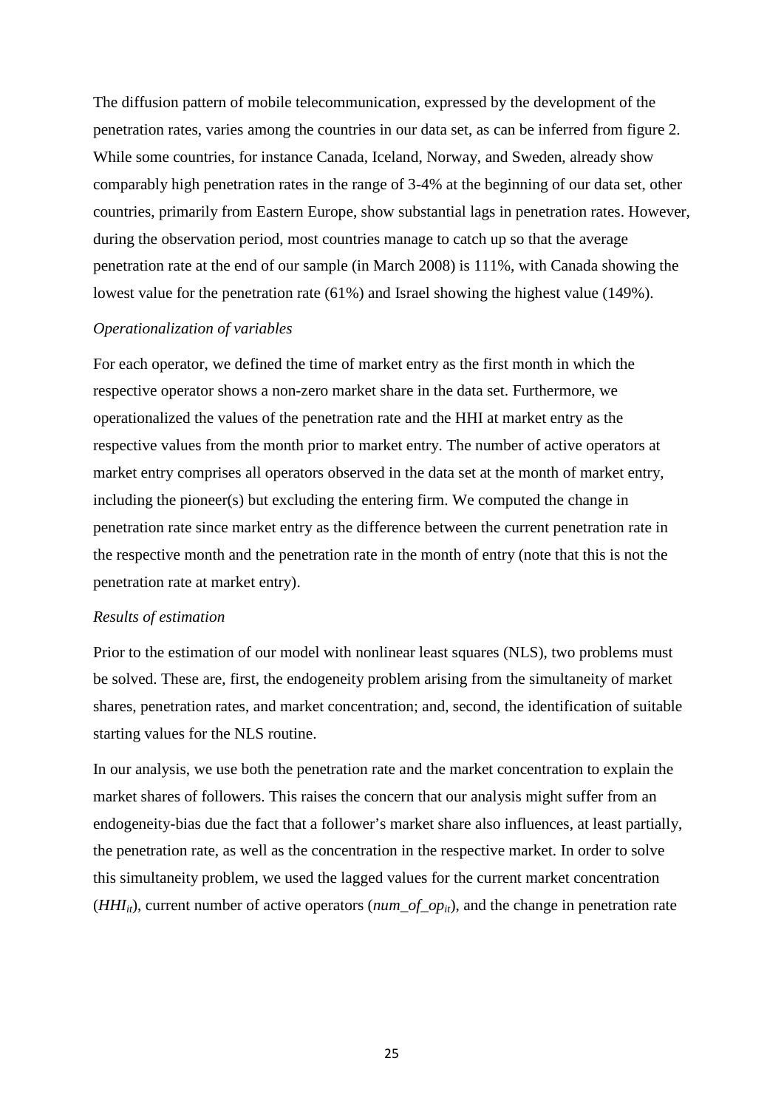The diffusion pattern of mobile telecommunication, expressed by the development of the penetration rates, varies among the countries in our data set, as can be inferred from figure 2. While some countries, for instance Canada, Iceland, Norway, and Sweden, already show comparably high penetration rates in the range of 3-4% at the beginning of our data set, other countries, primarily from Eastern Europe, show substantial lags in penetration rates. However, during the observation period, most countries manage to catch up so that the average penetration rate at the end of our sample (in March 2008) is 111%, with Canada showing the lowest value for the penetration rate (61%) and Israel showing the highest value (149%).

#### *Operationalization of variables*

For each operator, we defined the time of market entry as the first month in which the respective operator shows a non-zero market share in the data set. Furthermore, we operationalized the values of the penetration rate and the HHI at market entry as the respective values from the month prior to market entry. The number of active operators at market entry comprises all operators observed in the data set at the month of market entry, including the pioneer(s) but excluding the entering firm. We computed the change in penetration rate since market entry as the difference between the current penetration rate in the respective month and the penetration rate in the month of entry (note that this is not the penetration rate at market entry).

### *Results of estimation*

Prior to the estimation of our model with nonlinear least squares (NLS), two problems must be solved. These are, first, the endogeneity problem arising from the simultaneity of market shares, penetration rates, and market concentration; and, second, the identification of suitable starting values for the NLS routine.

In our analysis, we use both the penetration rate and the market concentration to explain the market shares of followers. This raises the concern that our analysis might suffer from an endogeneity-bias due the fact that a follower's market share also influences, at least partially, the penetration rate, as well as the concentration in the respective market. In order to solve this simultaneity problem, we used the lagged values for the current market concentration (*HHI<sub>it</sub>*), current number of active operators ( $num\_of\_op_{it}$ ), and the change in penetration rate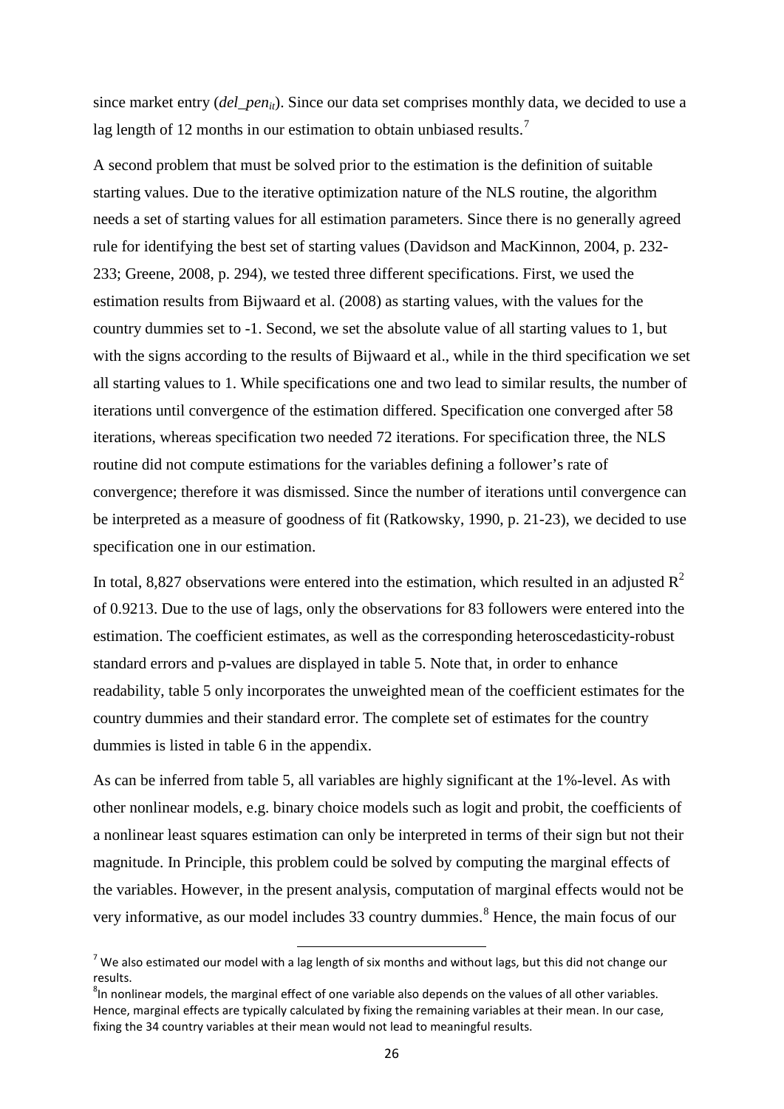since market entry (*del\_pen<sub>it</sub>*). Since our data set comprises monthly data, we decided to use a lag length of 12 months in our estimation to obtain unbiased results.<sup>[7](#page-28-0)</sup>

A second problem that must be solved prior to the estimation is the definition of suitable starting values. Due to the iterative optimization nature of the NLS routine, the algorithm needs a set of starting values for all estimation parameters. Since there is no generally agreed rule for identifying the best set of starting values (Davidson and MacKinnon, 2004, p. 232- 233; Greene, 2008, p. 294), we tested three different specifications. First, we used the estimation results from Bijwaard et al. (2008) as starting values, with the values for the country dummies set to -1. Second, we set the absolute value of all starting values to 1, but with the signs according to the results of Bijwaard et al., while in the third specification we set all starting values to 1. While specifications one and two lead to similar results, the number of iterations until convergence of the estimation differed. Specification one converged after 58 iterations, whereas specification two needed 72 iterations. For specification three, the NLS routine did not compute estimations for the variables defining a follower's rate of convergence; therefore it was dismissed. Since the number of iterations until convergence can be interpreted as a measure of goodness of fit (Ratkowsky, 1990, p. 21-23), we decided to use specification one in our estimation.

In total, 8,827 observations were entered into the estimation, which resulted in an adjusted  $R^2$ of 0.9213. Due to the use of lags, only the observations for 83 followers were entered into the estimation. The coefficient estimates, as well as the corresponding heteroscedasticity-robust standard errors and p-values are displayed in table 5. Note that, in order to enhance readability, table 5 only incorporates the unweighted mean of the coefficient estimates for the country dummies and their standard error. The complete set of estimates for the country dummies is listed in table 6 in the appendix.

As can be inferred from table 5, all variables are highly significant at the 1%-level. As with other nonlinear models, e.g. binary choice models such as logit and probit, the coefficients of a nonlinear least squares estimation can only be interpreted in terms of their sign but not their magnitude. In Principle, this problem could be solved by computing the marginal effects of the variables. However, in the present analysis, computation of marginal effects would not be very informative, as our model includes 33 country dummies.<sup>[8](#page-28-1)</sup> Hence, the main focus of our

<span id="page-28-0"></span> $7$  We also estimated our model with a lag length of six months and without lags, but this did not change our results.

<span id="page-28-1"></span><sup>&</sup>lt;sup>8</sup>In nonlinear models, the marginal effect of one variable also depends on the values of all other variables. Hence, marginal effects are typically calculated by fixing the remaining variables at their mean. In our case, fixing the 34 country variables at their mean would not lead to meaningful results.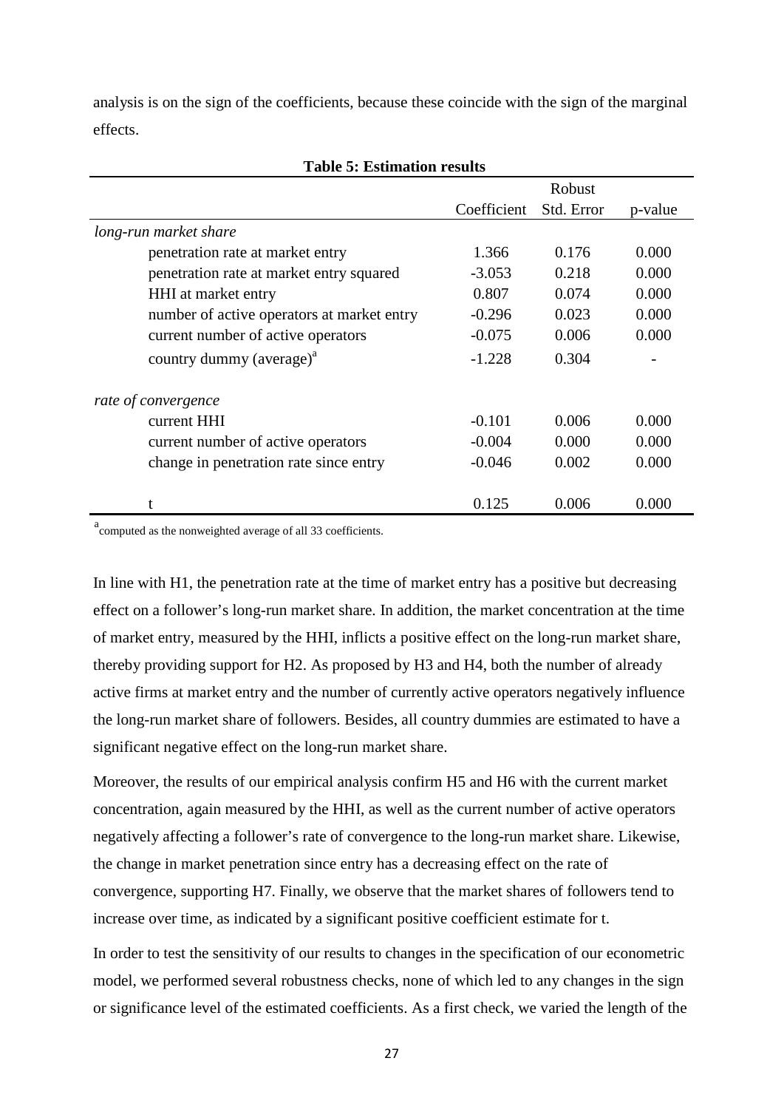analysis is on the sign of the coefficients, because these coincide with the sign of the marginal effects.

|                                                   |             | Robust     |         |
|---------------------------------------------------|-------------|------------|---------|
|                                                   | Coefficient | Std. Error | p-value |
| long-run market share                             |             |            |         |
| penetration rate at market entry                  | 1.366       | 0.176      | 0.000   |
| penetration rate at market entry squared          | $-3.053$    | 0.218      | 0.000   |
| HHI at market entry                               | 0.807       | 0.074      | 0.000   |
| number of active operators at market entry        | $-0.296$    | 0.023      | 0.000   |
| current number of active operators                | $-0.075$    | 0.006      | 0.000   |
| country dummy (average) <sup><math>a</math></sup> | $-1.228$    | 0.304      |         |
| rate of convergence                               |             |            |         |
| current HHI                                       | $-0.101$    | 0.006      | 0.000   |
| current number of active operators                | $-0.004$    | 0.000      | 0.000   |
| change in penetration rate since entry            | $-0.046$    | 0.002      | 0.000   |
| t                                                 | 0.125       | 0.006      | 0.000   |

### **Table 5: Estimation results**

a<br>computed as the nonweighted average of all 33 coefficients.

In line with H1, the penetration rate at the time of market entry has a positive but decreasing effect on a follower's long-run market share. In addition, the market concentration at the time of market entry, measured by the HHI, inflicts a positive effect on the long-run market share, thereby providing support for H2. As proposed by H3 and H4, both the number of already active firms at market entry and the number of currently active operators negatively influence the long-run market share of followers. Besides, all country dummies are estimated to have a significant negative effect on the long-run market share.

Moreover, the results of our empirical analysis confirm H5 and H6 with the current market concentration, again measured by the HHI, as well as the current number of active operators negatively affecting a follower's rate of convergence to the long-run market share. Likewise, the change in market penetration since entry has a decreasing effect on the rate of convergence, supporting H7. Finally, we observe that the market shares of followers tend to increase over time, as indicated by a significant positive coefficient estimate for t.

In order to test the sensitivity of our results to changes in the specification of our econometric model, we performed several robustness checks, none of which led to any changes in the sign or significance level of the estimated coefficients. As a first check, we varied the length of the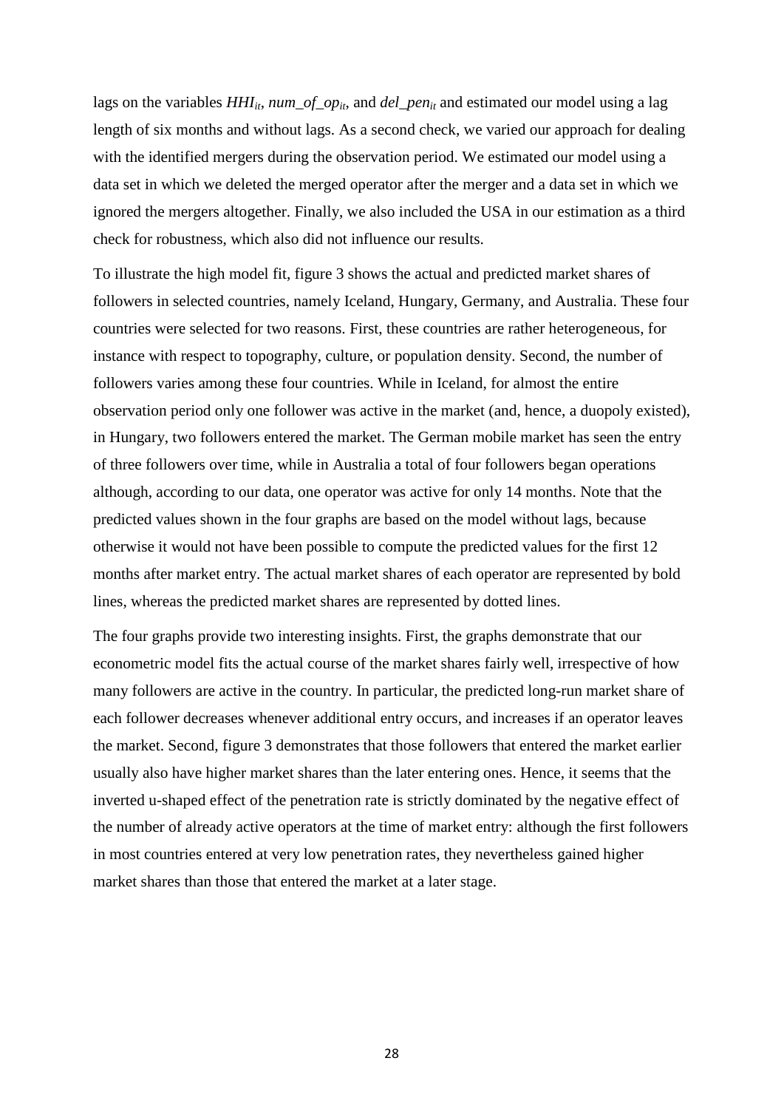lags on the variables  $HH_{it}$ ,  $num\_of\_op_{it}$ , and *del\_pen<sub>it</sub>* and estimated our model using a lag length of six months and without lags. As a second check, we varied our approach for dealing with the identified mergers during the observation period. We estimated our model using a data set in which we deleted the merged operator after the merger and a data set in which we ignored the mergers altogether. Finally, we also included the USA in our estimation as a third check for robustness, which also did not influence our results.

To illustrate the high model fit, figure 3 shows the actual and predicted market shares of followers in selected countries, namely Iceland, Hungary, Germany, and Australia. These four countries were selected for two reasons. First, these countries are rather heterogeneous, for instance with respect to topography, culture, or population density. Second, the number of followers varies among these four countries. While in Iceland, for almost the entire observation period only one follower was active in the market (and, hence, a duopoly existed), in Hungary, two followers entered the market. The German mobile market has seen the entry of three followers over time, while in Australia a total of four followers began operations although, according to our data, one operator was active for only 14 months. Note that the predicted values shown in the four graphs are based on the model without lags, because otherwise it would not have been possible to compute the predicted values for the first 12 months after market entry. The actual market shares of each operator are represented by bold lines, whereas the predicted market shares are represented by dotted lines.

The four graphs provide two interesting insights. First, the graphs demonstrate that our econometric model fits the actual course of the market shares fairly well, irrespective of how many followers are active in the country. In particular, the predicted long-run market share of each follower decreases whenever additional entry occurs, and increases if an operator leaves the market. Second, figure 3 demonstrates that those followers that entered the market earlier usually also have higher market shares than the later entering ones. Hence, it seems that the inverted u-shaped effect of the penetration rate is strictly dominated by the negative effect of the number of already active operators at the time of market entry: although the first followers in most countries entered at very low penetration rates, they nevertheless gained higher market shares than those that entered the market at a later stage.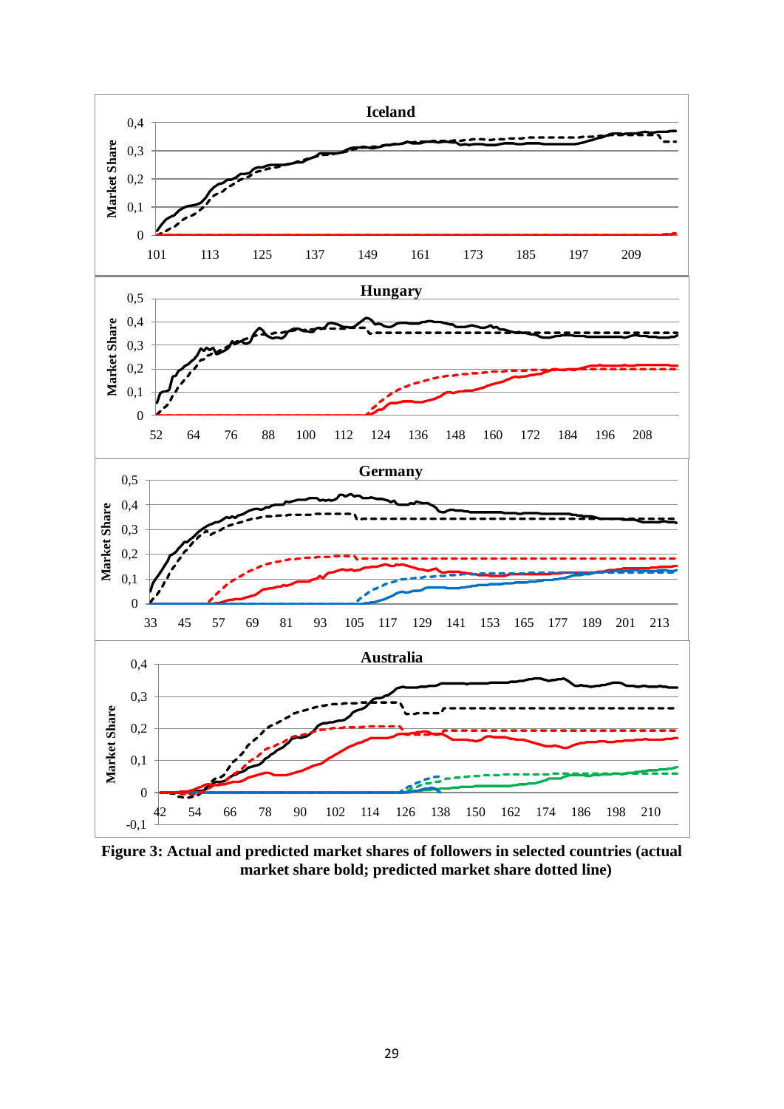

**Figure 3: Actual and predicted market shares of followers in selected countries (actual market share bold; predicted market share dotted line)**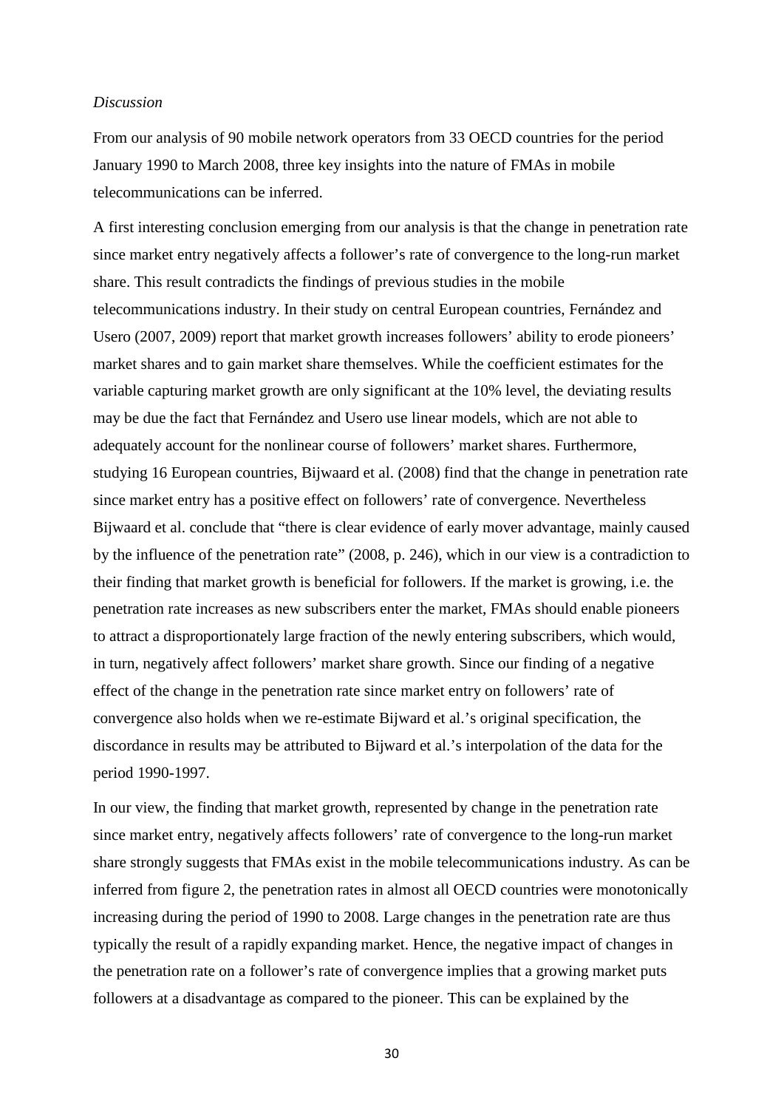### *Discussion*

From our analysis of 90 mobile network operators from 33 OECD countries for the period January 1990 to March 2008, three key insights into the nature of FMAs in mobile telecommunications can be inferred.

A first interesting conclusion emerging from our analysis is that the change in penetration rate since market entry negatively affects a follower's rate of convergence to the long-run market share. This result contradicts the findings of previous studies in the mobile telecommunications industry. In their study on central European countries, Fernández and Usero (2007, 2009) report that market growth increases followers' ability to erode pioneers' market shares and to gain market share themselves. While the coefficient estimates for the variable capturing market growth are only significant at the 10% level, the deviating results may be due the fact that Fernández and Usero use linear models, which are not able to adequately account for the nonlinear course of followers' market shares. Furthermore, studying 16 European countries, Bijwaard et al. (2008) find that the change in penetration rate since market entry has a positive effect on followers' rate of convergence. Nevertheless Bijwaard et al. conclude that "there is clear evidence of early mover advantage, mainly caused by the influence of the penetration rate" (2008, p. 246), which in our view is a contradiction to their finding that market growth is beneficial for followers. If the market is growing, i.e. the penetration rate increases as new subscribers enter the market, FMAs should enable pioneers to attract a disproportionately large fraction of the newly entering subscribers, which would, in turn, negatively affect followers' market share growth. Since our finding of a negative effect of the change in the penetration rate since market entry on followers' rate of convergence also holds when we re-estimate Bijward et al.'s original specification, the discordance in results may be attributed to Bijward et al.'s interpolation of the data for the period 1990-1997.

In our view, the finding that market growth, represented by change in the penetration rate since market entry, negatively affects followers' rate of convergence to the long-run market share strongly suggests that FMAs exist in the mobile telecommunications industry. As can be inferred from figure 2, the penetration rates in almost all OECD countries were monotonically increasing during the period of 1990 to 2008. Large changes in the penetration rate are thus typically the result of a rapidly expanding market. Hence, the negative impact of changes in the penetration rate on a follower's rate of convergence implies that a growing market puts followers at a disadvantage as compared to the pioneer. This can be explained by the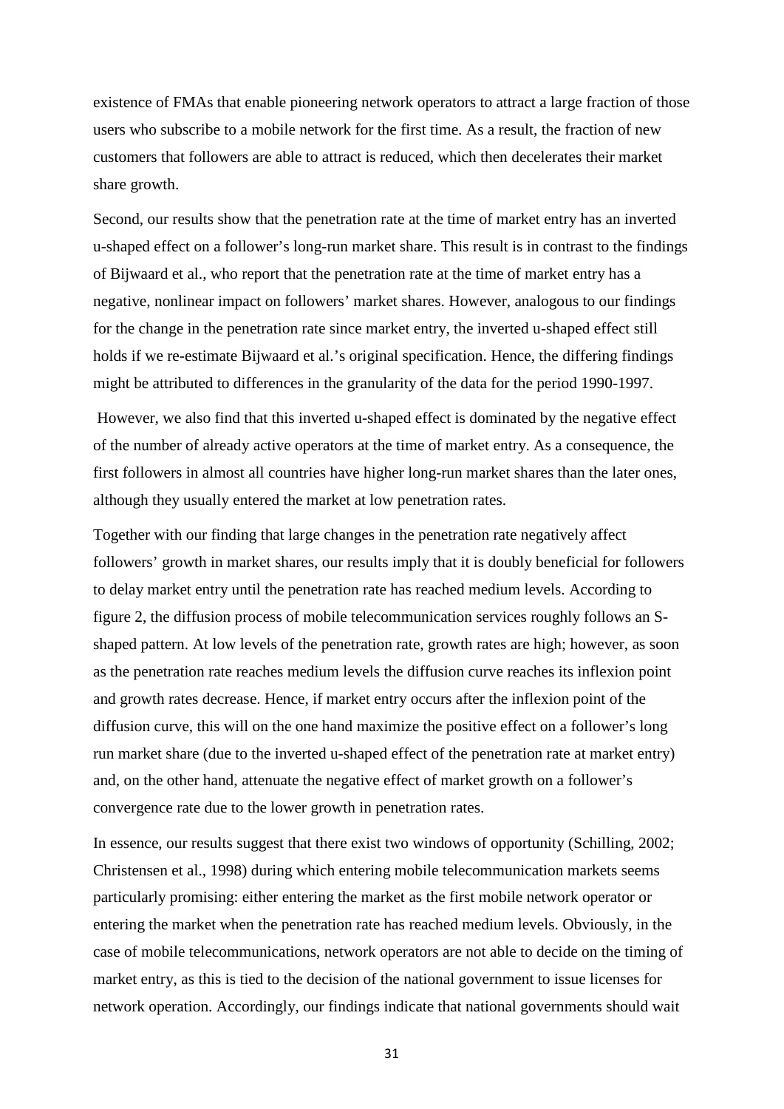existence of FMAs that enable pioneering network operators to attract a large fraction of those users who subscribe to a mobile network for the first time. As a result, the fraction of new customers that followers are able to attract is reduced, which then decelerates their market share growth.

Second, our results show that the penetration rate at the time of market entry has an inverted u-shaped effect on a follower's long-run market share. This result is in contrast to the findings of Bijwaard et al., who report that the penetration rate at the time of market entry has a negative, nonlinear impact on followers' market shares. However, analogous to our findings for the change in the penetration rate since market entry, the inverted u-shaped effect still holds if we re-estimate Bijwaard et al.'s original specification. Hence, the differing findings might be attributed to differences in the granularity of the data for the period 1990-1997.

However, we also find that this inverted u-shaped effect is dominated by the negative effect of the number of already active operators at the time of market entry. As a consequence, the first followers in almost all countries have higher long-run market shares than the later ones, although they usually entered the market at low penetration rates.

Together with our finding that large changes in the penetration rate negatively affect followers' growth in market shares, our results imply that it is doubly beneficial for followers to delay market entry until the penetration rate has reached medium levels. According to figure 2, the diffusion process of mobile telecommunication services roughly follows an Sshaped pattern. At low levels of the penetration rate, growth rates are high; however, as soon as the penetration rate reaches medium levels the diffusion curve reaches its inflexion point and growth rates decrease. Hence, if market entry occurs after the inflexion point of the diffusion curve, this will on the one hand maximize the positive effect on a follower's long run market share (due to the inverted u-shaped effect of the penetration rate at market entry) and, on the other hand, attenuate the negative effect of market growth on a follower's convergence rate due to the lower growth in penetration rates.

In essence, our results suggest that there exist two windows of opportunity (Schilling, 2002; Christensen et al., 1998) during which entering mobile telecommunication markets seems particularly promising: either entering the market as the first mobile network operator or entering the market when the penetration rate has reached medium levels. Obviously, in the case of mobile telecommunications, network operators are not able to decide on the timing of market entry, as this is tied to the decision of the national government to issue licenses for network operation. Accordingly, our findings indicate that national governments should wait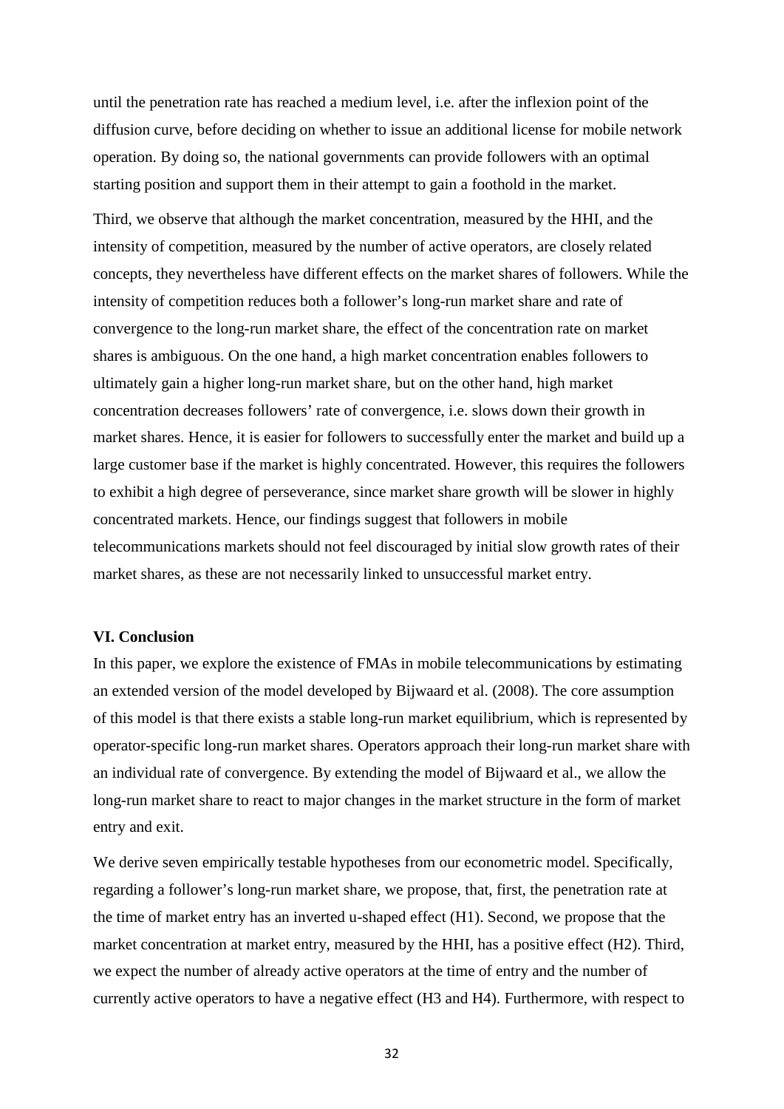until the penetration rate has reached a medium level, i.e. after the inflexion point of the diffusion curve, before deciding on whether to issue an additional license for mobile network operation. By doing so, the national governments can provide followers with an optimal starting position and support them in their attempt to gain a foothold in the market.

Third, we observe that although the market concentration, measured by the HHI, and the intensity of competition, measured by the number of active operators, are closely related concepts, they nevertheless have different effects on the market shares of followers. While the intensity of competition reduces both a follower's long-run market share and rate of convergence to the long-run market share, the effect of the concentration rate on market shares is ambiguous. On the one hand, a high market concentration enables followers to ultimately gain a higher long-run market share, but on the other hand, high market concentration decreases followers' rate of convergence, i.e. slows down their growth in market shares. Hence, it is easier for followers to successfully enter the market and build up a large customer base if the market is highly concentrated. However, this requires the followers to exhibit a high degree of perseverance, since market share growth will be slower in highly concentrated markets. Hence, our findings suggest that followers in mobile telecommunications markets should not feel discouraged by initial slow growth rates of their market shares, as these are not necessarily linked to unsuccessful market entry.

### **VI. Conclusion**

In this paper, we explore the existence of FMAs in mobile telecommunications by estimating an extended version of the model developed by Bijwaard et al. (2008). The core assumption of this model is that there exists a stable long-run market equilibrium, which is represented by operator-specific long-run market shares. Operators approach their long-run market share with an individual rate of convergence. By extending the model of Bijwaard et al., we allow the long-run market share to react to major changes in the market structure in the form of market entry and exit.

We derive seven empirically testable hypotheses from our econometric model. Specifically, regarding a follower's long-run market share, we propose, that, first, the penetration rate at the time of market entry has an inverted u-shaped effect (H1). Second, we propose that the market concentration at market entry, measured by the HHI, has a positive effect (H2). Third, we expect the number of already active operators at the time of entry and the number of currently active operators to have a negative effect (H3 and H4). Furthermore, with respect to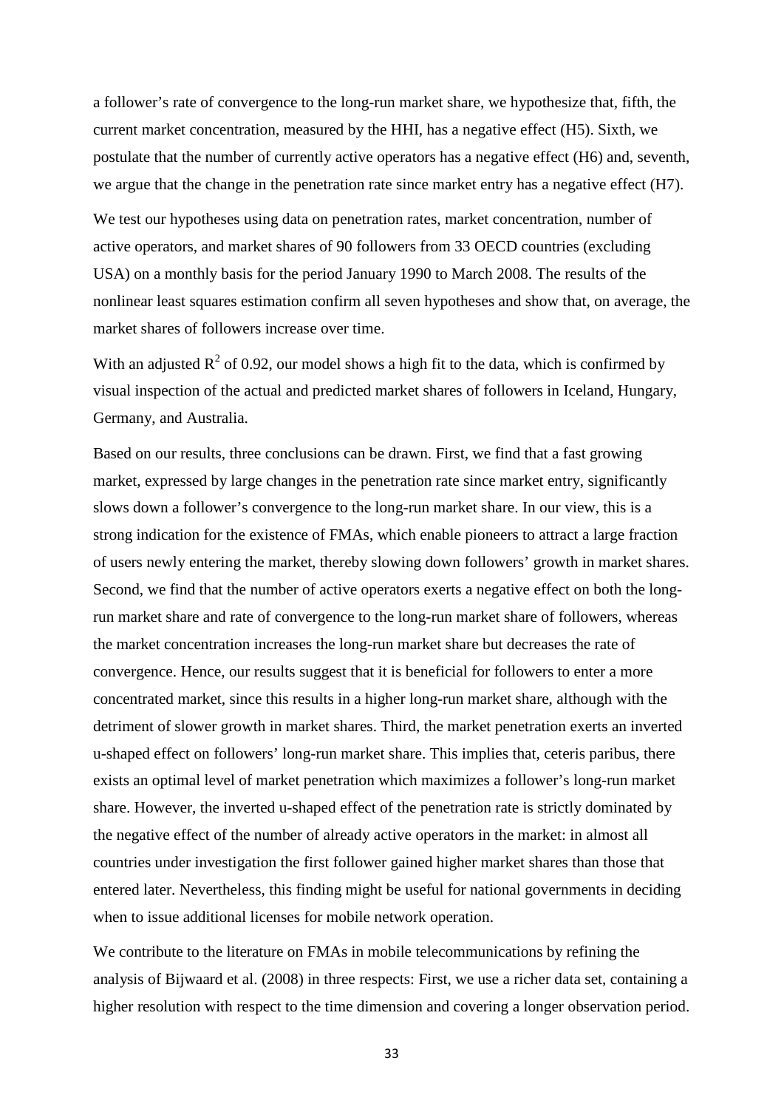a follower's rate of convergence to the long-run market share, we hypothesize that, fifth, the current market concentration, measured by the HHI, has a negative effect (H5). Sixth, we postulate that the number of currently active operators has a negative effect (H6) and, seventh, we argue that the change in the penetration rate since market entry has a negative effect (H7).

We test our hypotheses using data on penetration rates, market concentration, number of active operators, and market shares of 90 followers from 33 OECD countries (excluding USA) on a monthly basis for the period January 1990 to March 2008. The results of the nonlinear least squares estimation confirm all seven hypotheses and show that, on average, the market shares of followers increase over time.

With an adjusted  $R^2$  of 0.92, our model shows a high fit to the data, which is confirmed by visual inspection of the actual and predicted market shares of followers in Iceland, Hungary, Germany, and Australia.

Based on our results, three conclusions can be drawn. First, we find that a fast growing market, expressed by large changes in the penetration rate since market entry, significantly slows down a follower's convergence to the long-run market share. In our view, this is a strong indication for the existence of FMAs, which enable pioneers to attract a large fraction of users newly entering the market, thereby slowing down followers' growth in market shares. Second, we find that the number of active operators exerts a negative effect on both the longrun market share and rate of convergence to the long-run market share of followers, whereas the market concentration increases the long-run market share but decreases the rate of convergence. Hence, our results suggest that it is beneficial for followers to enter a more concentrated market, since this results in a higher long-run market share, although with the detriment of slower growth in market shares. Third, the market penetration exerts an inverted u-shaped effect on followers' long-run market share. This implies that, ceteris paribus, there exists an optimal level of market penetration which maximizes a follower's long-run market share. However, the inverted u-shaped effect of the penetration rate is strictly dominated by the negative effect of the number of already active operators in the market: in almost all countries under investigation the first follower gained higher market shares than those that entered later. Nevertheless, this finding might be useful for national governments in deciding when to issue additional licenses for mobile network operation.

We contribute to the literature on FMAs in mobile telecommunications by refining the analysis of Bijwaard et al. (2008) in three respects: First, we use a richer data set, containing a higher resolution with respect to the time dimension and covering a longer observation period.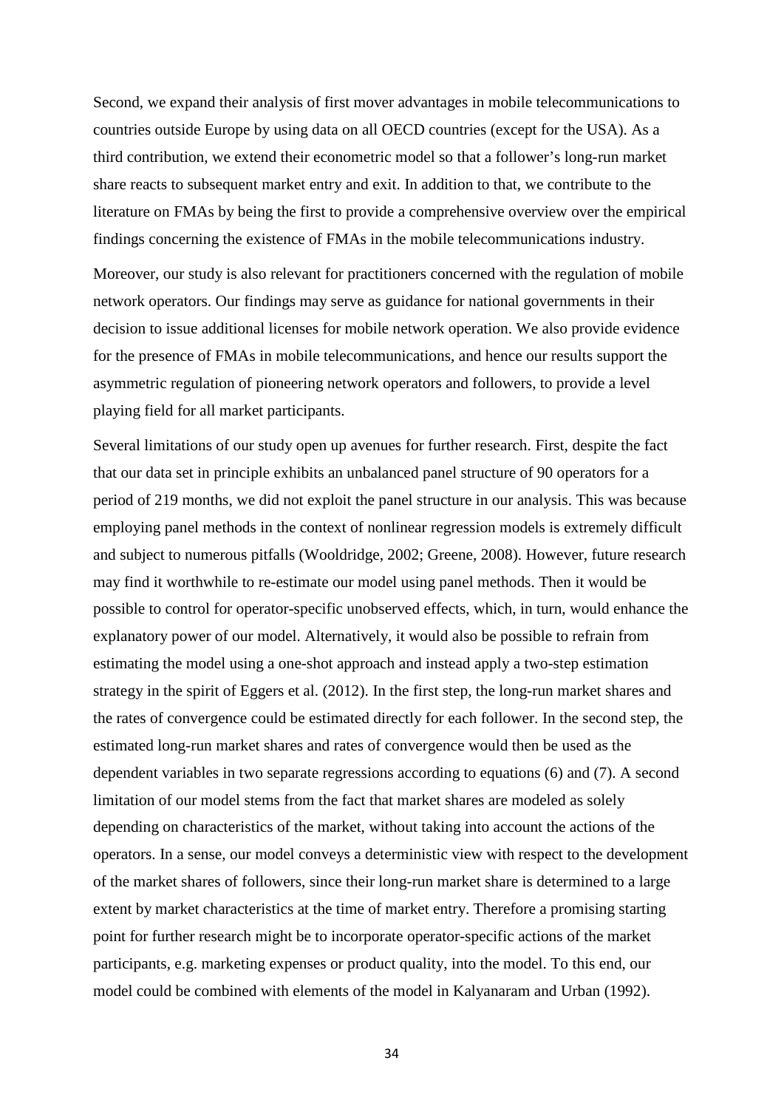Second, we expand their analysis of first mover advantages in mobile telecommunications to countries outside Europe by using data on all OECD countries (except for the USA). As a third contribution, we extend their econometric model so that a follower's long-run market share reacts to subsequent market entry and exit. In addition to that, we contribute to the literature on FMAs by being the first to provide a comprehensive overview over the empirical findings concerning the existence of FMAs in the mobile telecommunications industry.

Moreover, our study is also relevant for practitioners concerned with the regulation of mobile network operators. Our findings may serve as guidance for national governments in their decision to issue additional licenses for mobile network operation. We also provide evidence for the presence of FMAs in mobile telecommunications, and hence our results support the asymmetric regulation of pioneering network operators and followers, to provide a level playing field for all market participants.

Several limitations of our study open up avenues for further research. First, despite the fact that our data set in principle exhibits an unbalanced panel structure of 90 operators for a period of 219 months, we did not exploit the panel structure in our analysis. This was because employing panel methods in the context of nonlinear regression models is extremely difficult and subject to numerous pitfalls (Wooldridge, 2002; Greene, 2008). However, future research may find it worthwhile to re-estimate our model using panel methods. Then it would be possible to control for operator-specific unobserved effects, which, in turn, would enhance the explanatory power of our model. Alternatively, it would also be possible to refrain from estimating the model using a one-shot approach and instead apply a two-step estimation strategy in the spirit of Eggers et al. (2012). In the first step, the long-run market shares and the rates of convergence could be estimated directly for each follower. In the second step, the estimated long-run market shares and rates of convergence would then be used as the dependent variables in two separate regressions according to equations (6) and (7). A second limitation of our model stems from the fact that market shares are modeled as solely depending on characteristics of the market, without taking into account the actions of the operators. In a sense, our model conveys a deterministic view with respect to the development of the market shares of followers, since their long-run market share is determined to a large extent by market characteristics at the time of market entry. Therefore a promising starting point for further research might be to incorporate operator-specific actions of the market participants, e.g. marketing expenses or product quality, into the model. To this end, our model could be combined with elements of the model in Kalyanaram and Urban (1992).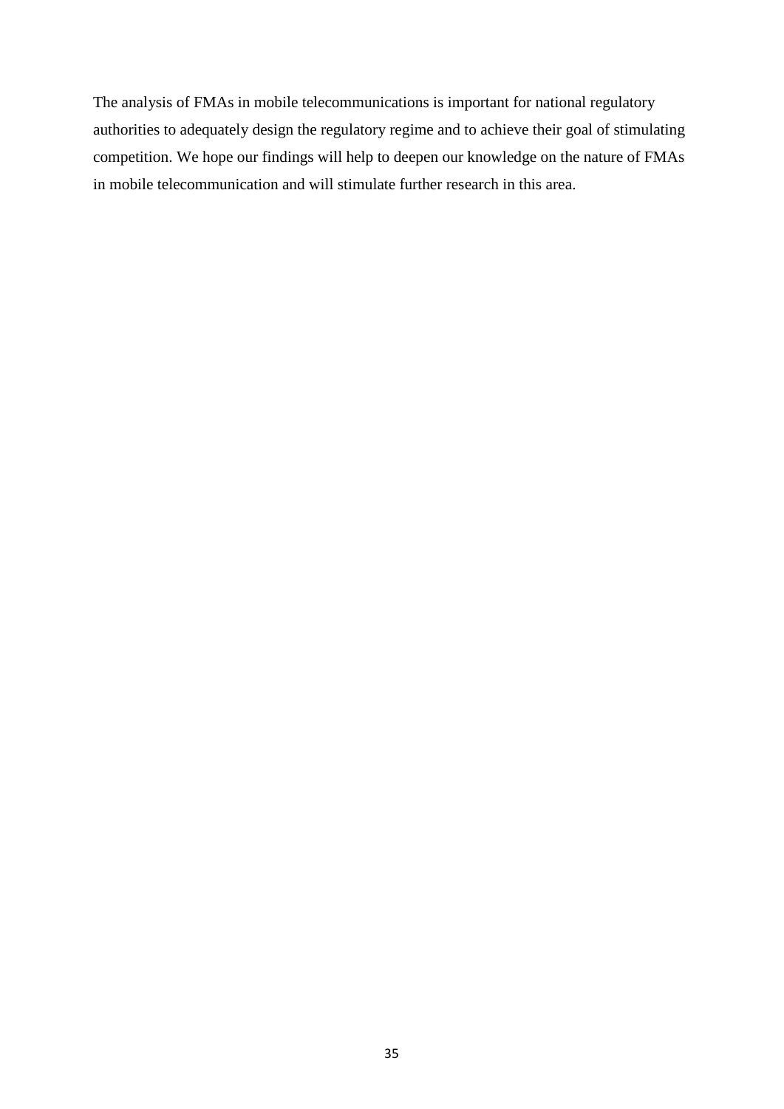The analysis of FMAs in mobile telecommunications is important for national regulatory authorities to adequately design the regulatory regime and to achieve their goal of stimulating competition. We hope our findings will help to deepen our knowledge on the nature of FMAs in mobile telecommunication and will stimulate further research in this area.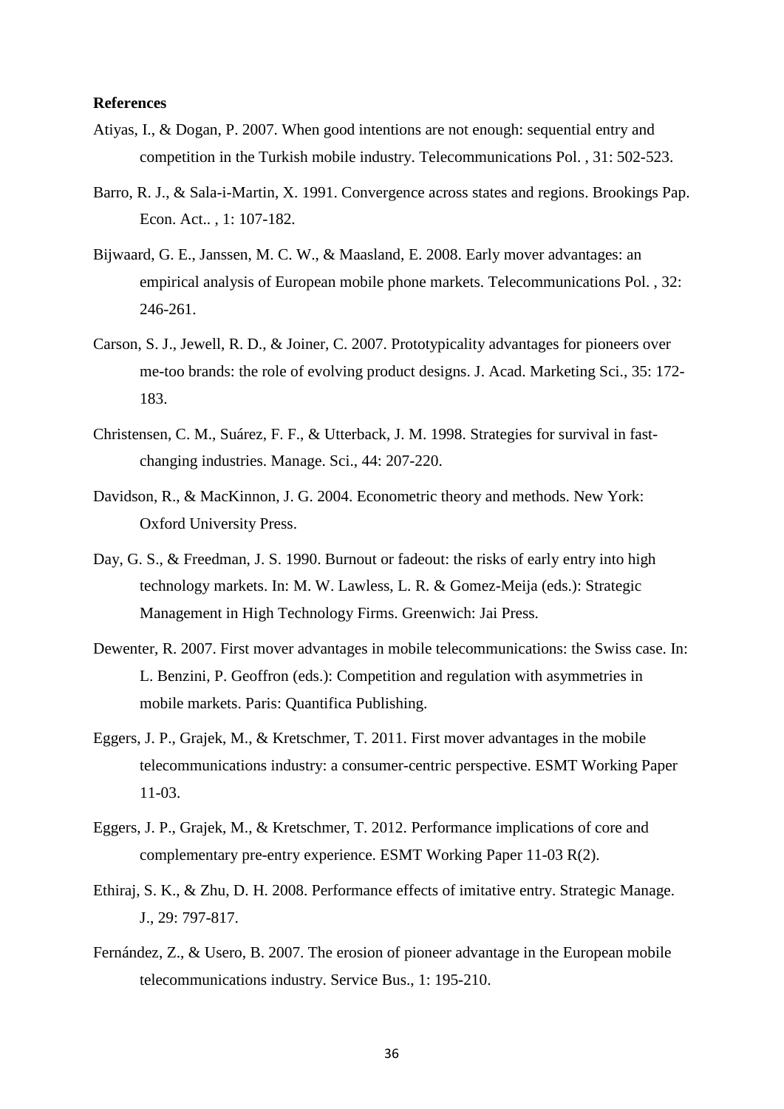### **References**

- Atiyas, I., & Dogan, P. 2007. When good intentions are not enough: sequential entry and competition in the Turkish mobile industry. Telecommunications Pol. , 31: 502-523.
- Barro, R. J., & Sala-i-Martin, X. 1991. Convergence across states and regions. Brookings Pap. Econ. Act.. , 1: 107-182.
- Bijwaard, G. E., Janssen, M. C. W., & Maasland, E. 2008. Early mover advantages: an empirical analysis of European mobile phone markets. Telecommunications Pol. , 32: 246-261.
- Carson, S. J., Jewell, R. D., & Joiner, C. 2007. Prototypicality advantages for pioneers over me-too brands: the role of evolving product designs. J. Acad. Marketing Sci., 35: 172- 183.
- Christensen, C. M., Suárez, F. F., & Utterback, J. M. 1998. Strategies for survival in fastchanging industries. Manage. Sci., 44: 207-220.
- Davidson, R., & MacKinnon, J. G. 2004. Econometric theory and methods. New York: Oxford University Press.
- Day, G. S., & Freedman, J. S. 1990. Burnout or fadeout: the risks of early entry into high technology markets. In: M. W. Lawless, L. R. & Gomez-Meija (eds.): Strategic Management in High Technology Firms. Greenwich: Jai Press.
- Dewenter, R. 2007. First mover advantages in mobile telecommunications: the Swiss case. In: L. Benzini, P. Geoffron (eds.): Competition and regulation with asymmetries in mobile markets. Paris: Quantifica Publishing.
- Eggers, J. P., Grajek, M., & Kretschmer, T. 2011. First mover advantages in the mobile telecommunications industry: a consumer-centric perspective. ESMT Working Paper 11-03.
- Eggers, J. P., Grajek, M., & Kretschmer, T. 2012. Performance implications of core and complementary pre-entry experience. ESMT Working Paper 11-03 R(2).
- Ethiraj, S. K., & Zhu, D. H. 2008. Performance effects of imitative entry. Strategic Manage. J., 29: 797-817.
- Fernández, Z., & Usero, B. 2007. The erosion of pioneer advantage in the European mobile telecommunications industry. Service Bus., 1: 195-210.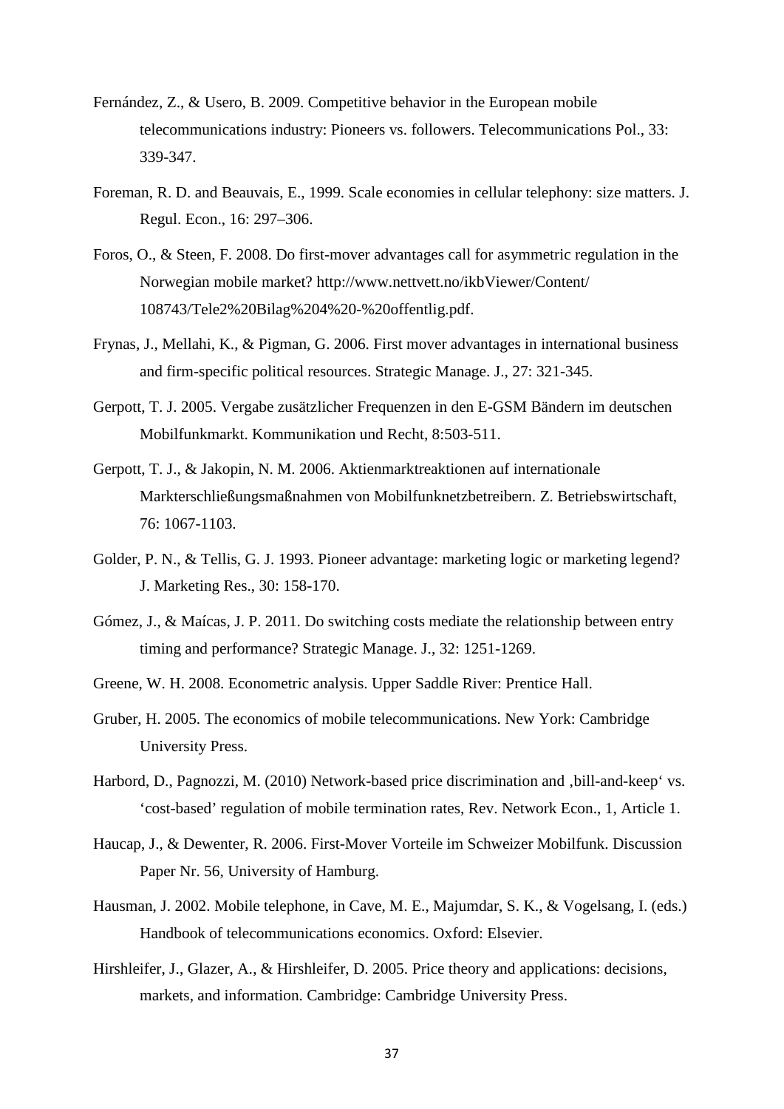- Fernández, Z., & Usero, B. 2009. Competitive behavior in the European mobile telecommunications industry: Pioneers vs. followers. Telecommunications Pol., 33: 339-347.
- Foreman, R. D. and Beauvais, E., 1999. Scale economies in cellular telephony: size matters. J. Regul. Econ., 16: 297–306.
- Foros, O., & Steen, F. 2008. Do first-mover advantages call for asymmetric regulation in the Norwegian mobile market? http://www.nettvett.no/ikbViewer/Content/ 108743/Tele2%20Bilag%204%20-%20offentlig.pdf.
- Frynas, J., Mellahi, K., & Pigman, G. 2006. First mover advantages in international business and firm-specific political resources. Strategic Manage. J., 27: 321-345.
- Gerpott, T. J. 2005. Vergabe zusätzlicher Frequenzen in den E-GSM Bändern im deutschen Mobilfunkmarkt. Kommunikation und Recht, 8:503-511.
- Gerpott, T. J., & Jakopin, N. M. 2006. Aktienmarktreaktionen auf internationale Markterschließungsmaßnahmen von Mobilfunknetzbetreibern. Z. Betriebswirtschaft, 76: 1067-1103.
- Golder, P. N., & Tellis, G. J. 1993. Pioneer advantage: marketing logic or marketing legend? J. Marketing Res., 30: 158-170.
- Gómez, J., & Maícas, J. P. 2011. Do switching costs mediate the relationship between entry timing and performance? Strategic Manage. J., 32: 1251-1269.
- Greene, W. H. 2008. Econometric analysis. Upper Saddle River: Prentice Hall.
- Gruber, H. 2005. The economics of mobile telecommunications. New York: Cambridge University Press.
- Harbord, D., Pagnozzi, M. (2010) Network-based price discrimination and , bill-and-keep' vs. 'cost-based' regulation of mobile termination rates, Rev. Network Econ., 1, Article 1.
- Haucap, J., & Dewenter, R. 2006. First-Mover Vorteile im Schweizer Mobilfunk. Discussion Paper Nr. 56, University of Hamburg.
- Hausman, J. 2002. Mobile telephone, in Cave, M. E., Majumdar, S. K., & Vogelsang, I. (eds.) Handbook of telecommunications economics. Oxford: Elsevier.
- Hirshleifer, J., Glazer, A., & Hirshleifer, D. 2005. Price theory and applications: decisions, markets, and information. Cambridge: Cambridge University Press.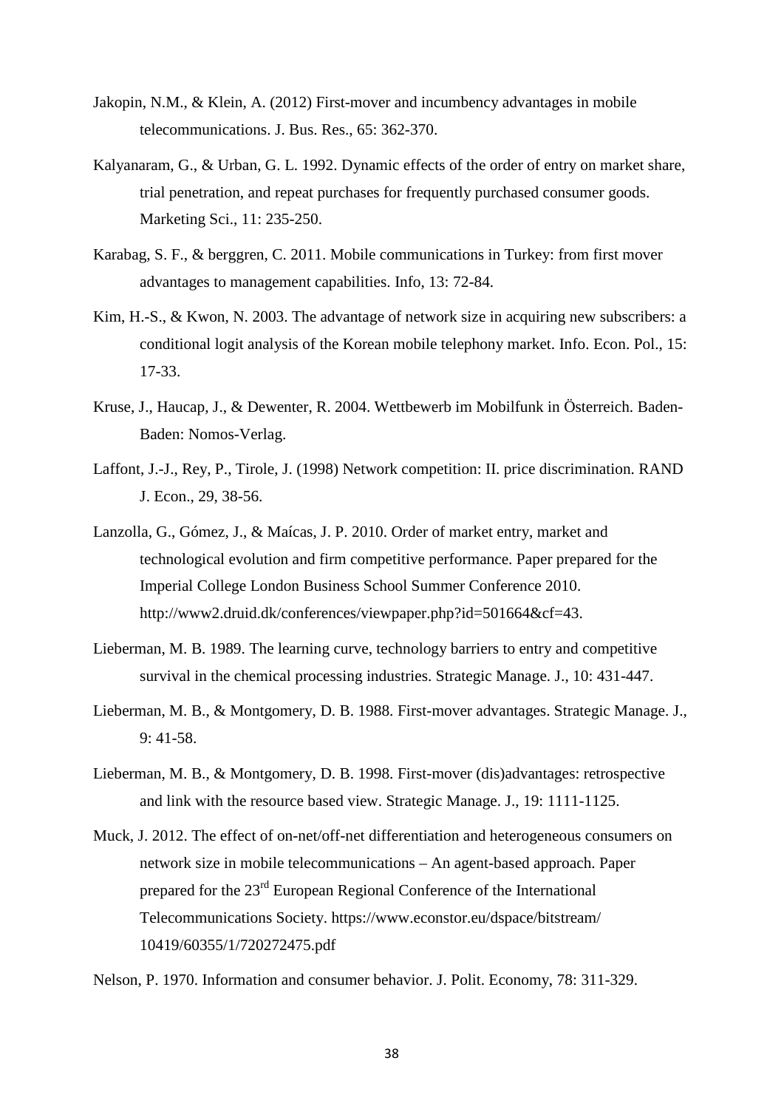- Jakopin, N.M., & Klein, A. (2012) First-mover and incumbency advantages in mobile telecommunications. J. Bus. Res., 65: 362-370.
- Kalyanaram, G., & Urban, G. L. 1992. Dynamic effects of the order of entry on market share, trial penetration, and repeat purchases for frequently purchased consumer goods. Marketing Sci., 11: 235-250.
- Karabag, S. F., & berggren, C. 2011. Mobile communications in Turkey: from first mover advantages to management capabilities. Info, 13: 72-84.
- Kim, H.-S., & Kwon, N. 2003. The advantage of network size in acquiring new subscribers: a conditional logit analysis of the Korean mobile telephony market. Info. Econ. Pol., 15: 17-33.
- Kruse, J., Haucap, J., & Dewenter, R. 2004. Wettbewerb im Mobilfunk in Österreich. Baden-Baden: Nomos-Verlag.
- Laffont, J.-J., Rey, P., Tirole, J. (1998) Network competition: II. price discrimination. RAND J. Econ., 29, 38-56.
- Lanzolla, G., Gómez, J., & Maícas, J. P. 2010. Order of market entry, market and technological evolution and firm competitive performance. Paper prepared for the Imperial College London Business School Summer Conference 2010. http://www2.druid.dk/conferences/viewpaper.php?id=501664&cf=43.
- Lieberman, M. B. 1989. The learning curve, technology barriers to entry and competitive survival in the chemical processing industries. Strategic Manage. J., 10: 431-447.
- Lieberman, M. B., & Montgomery, D. B. 1988. First-mover advantages. Strategic Manage. J., 9: 41-58.
- Lieberman, M. B., & Montgomery, D. B. 1998. First-mover (dis)advantages: retrospective and link with the resource based view. Strategic Manage. J., 19: 1111-1125.
- Muck, J. 2012. The effect of on-net/off-net differentiation and heterogeneous consumers on network size in mobile telecommunications – An agent-based approach. Paper prepared for the 23rd European Regional Conference of the International Telecommunications Society. https://www.econstor.eu/dspace/bitstream/ 10419/60355/1/720272475.pdf

Nelson, P. 1970. Information and consumer behavior. J. Polit. Economy, 78: 311-329.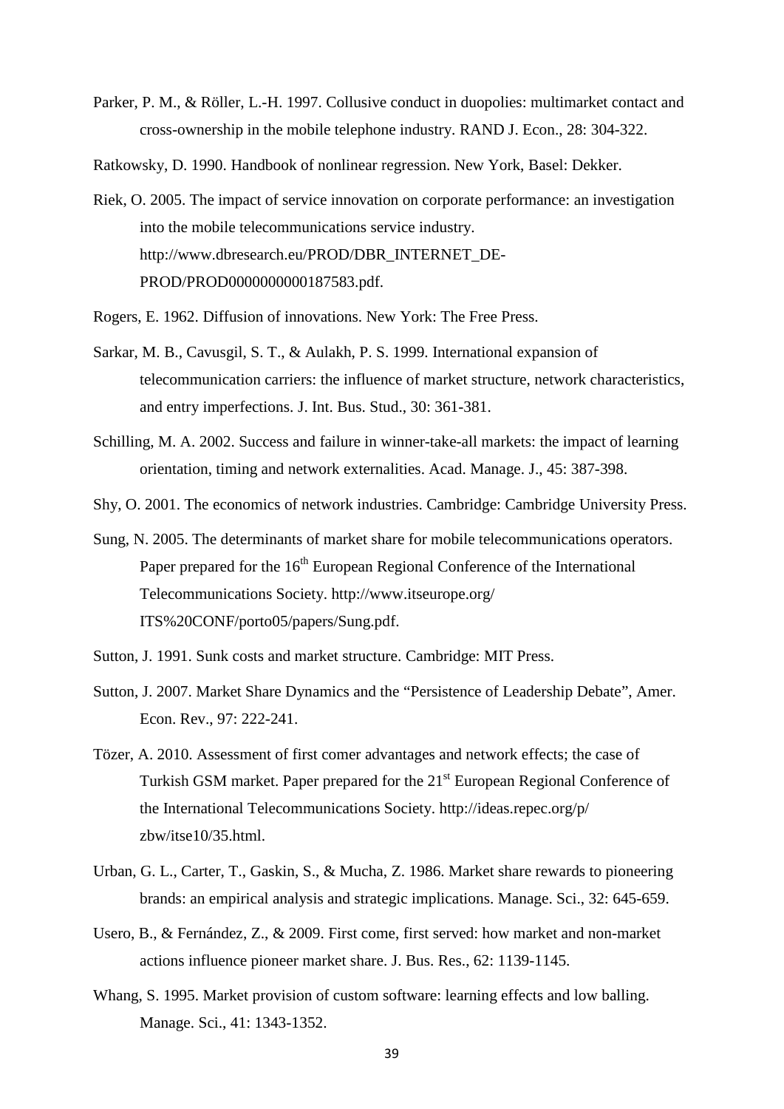- Parker, P. M., & Röller, L.-H. 1997. Collusive conduct in duopolies: multimarket contact and cross-ownership in the mobile telephone industry. RAND J. Econ., 28: 304-322.
- Ratkowsky, D. 1990. Handbook of nonlinear regression. New York, Basel: Dekker.
- Riek, O. 2005. The impact of service innovation on corporate performance: an investigation into the mobile telecommunications service industry. http://www.dbresearch.eu/PROD/DBR\_INTERNET\_DE-PROD/PROD0000000000187583.pdf.
- Rogers, E. 1962. Diffusion of innovations. New York: The Free Press.
- Sarkar, M. B., Cavusgil, S. T., & Aulakh, P. S. 1999. International expansion of telecommunication carriers: the influence of market structure, network characteristics, and entry imperfections. J. Int. Bus. Stud., 30: 361-381.
- Schilling, M. A. 2002. Success and failure in winner-take-all markets: the impact of learning orientation, timing and network externalities. Acad. Manage. J., 45: 387-398.
- Shy, O. 2001. The economics of network industries. Cambridge: Cambridge University Press.
- Sung, N. 2005. The determinants of market share for mobile telecommunications operators. Paper prepared for the 16<sup>th</sup> European Regional Conference of the International Telecommunications Society. http://www.itseurope.org/ ITS%20CONF/porto05/papers/Sung.pdf.
- Sutton, J. 1991. Sunk costs and market structure. Cambridge: MIT Press.
- Sutton, J. 2007. Market Share Dynamics and the "Persistence of Leadership Debate", Amer. Econ. Rev., 97: 222-241.
- Tözer, A. 2010. Assessment of first comer advantages and network effects; the case of Turkish GSM market. Paper prepared for the 21<sup>st</sup> European Regional Conference of the International Telecommunications Society. http://ideas.repec.org/p/ zbw/itse10/35.html.
- Urban, G. L., Carter, T., Gaskin, S., & Mucha, Z. 1986. Market share rewards to pioneering brands: an empirical analysis and strategic implications. Manage. Sci., 32: 645-659.
- Usero, B., & Fernández, Z., & 2009. First come, first served: how market and non-market actions influence pioneer market share. J. Bus. Res., 62: 1139-1145.
- Whang, S. 1995. Market provision of custom software: learning effects and low balling. Manage. Sci., 41: 1343-1352.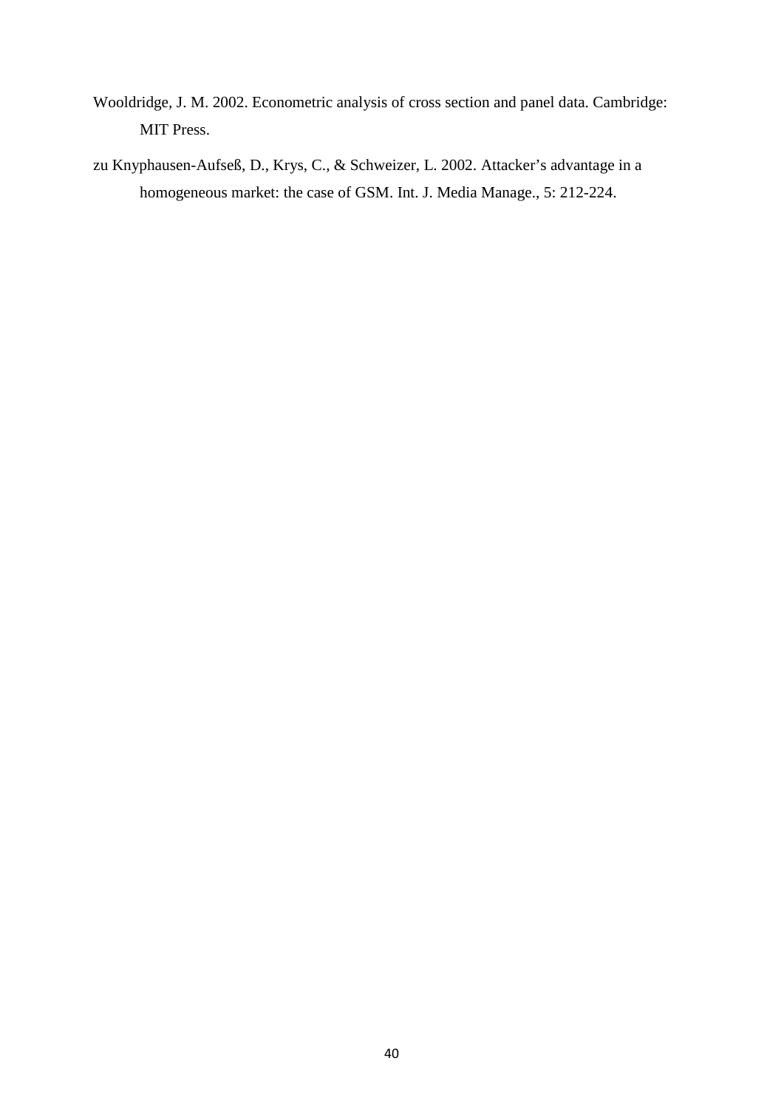- Wooldridge, J. M. 2002. Econometric analysis of cross section and panel data. Cambridge: MIT Press.
- zu Knyphausen-Aufseß, D., Krys, C., & Schweizer, L. 2002. Attacker's advantage in a homogeneous market: the case of GSM. Int. J. Media Manage., 5: 212-224.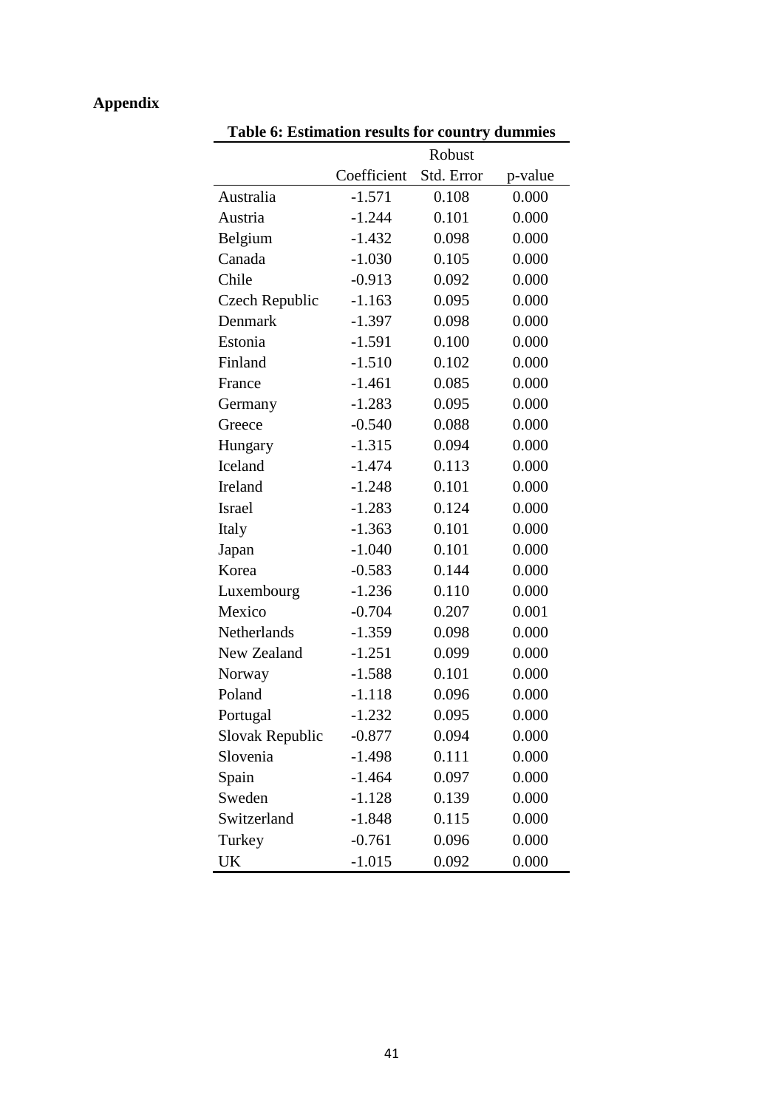# **Appendix**

| Table 6: Estimation results for country dummies |             |            |         |  |  |  |  |
|-------------------------------------------------|-------------|------------|---------|--|--|--|--|
|                                                 |             | Robust     |         |  |  |  |  |
|                                                 | Coefficient | Std. Error | p-value |  |  |  |  |
| Australia                                       | $-1.571$    | 0.108      | 0.000   |  |  |  |  |
| Austria                                         | $-1.244$    | 0.101      | 0.000   |  |  |  |  |
| Belgium                                         | $-1.432$    | 0.098      | 0.000   |  |  |  |  |
| Canada                                          | $-1.030$    | 0.105      | 0.000   |  |  |  |  |
| Chile                                           | $-0.913$    | 0.092      | 0.000   |  |  |  |  |
| Czech Republic                                  | $-1.163$    | 0.095      | 0.000   |  |  |  |  |
| Denmark                                         | $-1.397$    | 0.098      | 0.000   |  |  |  |  |
| Estonia                                         | $-1.591$    | 0.100      | 0.000   |  |  |  |  |
| Finland                                         | $-1.510$    | 0.102      | 0.000   |  |  |  |  |
| France                                          | $-1.461$    | 0.085      | 0.000   |  |  |  |  |
| Germany                                         | $-1.283$    | 0.095      | 0.000   |  |  |  |  |
| Greece                                          | $-0.540$    | 0.088      | 0.000   |  |  |  |  |
| Hungary                                         | $-1.315$    | 0.094      | 0.000   |  |  |  |  |
| Iceland                                         | $-1.474$    | 0.113      | 0.000   |  |  |  |  |
| <b>Ireland</b>                                  | $-1.248$    | 0.101      | 0.000   |  |  |  |  |
| Israel                                          | $-1.283$    | 0.124      | 0.000   |  |  |  |  |
| Italy                                           | $-1.363$    | 0.101      | 0.000   |  |  |  |  |
| Japan                                           | $-1.040$    | 0.101      | 0.000   |  |  |  |  |
| Korea                                           | $-0.583$    | 0.144      | 0.000   |  |  |  |  |
| Luxembourg                                      | $-1.236$    | 0.110      | 0.000   |  |  |  |  |
| Mexico                                          | $-0.704$    | 0.207      | 0.001   |  |  |  |  |
| Netherlands                                     | $-1.359$    | 0.098      | 0.000   |  |  |  |  |
| New Zealand                                     | $-1.251$    | 0.099      | 0.000   |  |  |  |  |
| Norway                                          | $-1.588$    | 0.101      | 0.000   |  |  |  |  |
| Poland                                          | $-1.118$    | 0.096      | 0.000   |  |  |  |  |
| Portugal                                        | $-1.232$    | 0.095      | 0.000   |  |  |  |  |
| Slovak Republic                                 | $-0.877$    | 0.094      | 0.000   |  |  |  |  |
| Slovenia                                        | $-1.498$    | 0.111      | 0.000   |  |  |  |  |
| Spain                                           | $-1.464$    | 0.097      | 0.000   |  |  |  |  |
| Sweden                                          | $-1.128$    | 0.139      | 0.000   |  |  |  |  |
| Switzerland                                     | $-1.848$    | 0.115      | 0.000   |  |  |  |  |
| Turkey                                          | $-0.761$    | 0.096      | 0.000   |  |  |  |  |
| UK                                              | $-1.015$    | 0.092      | 0.000   |  |  |  |  |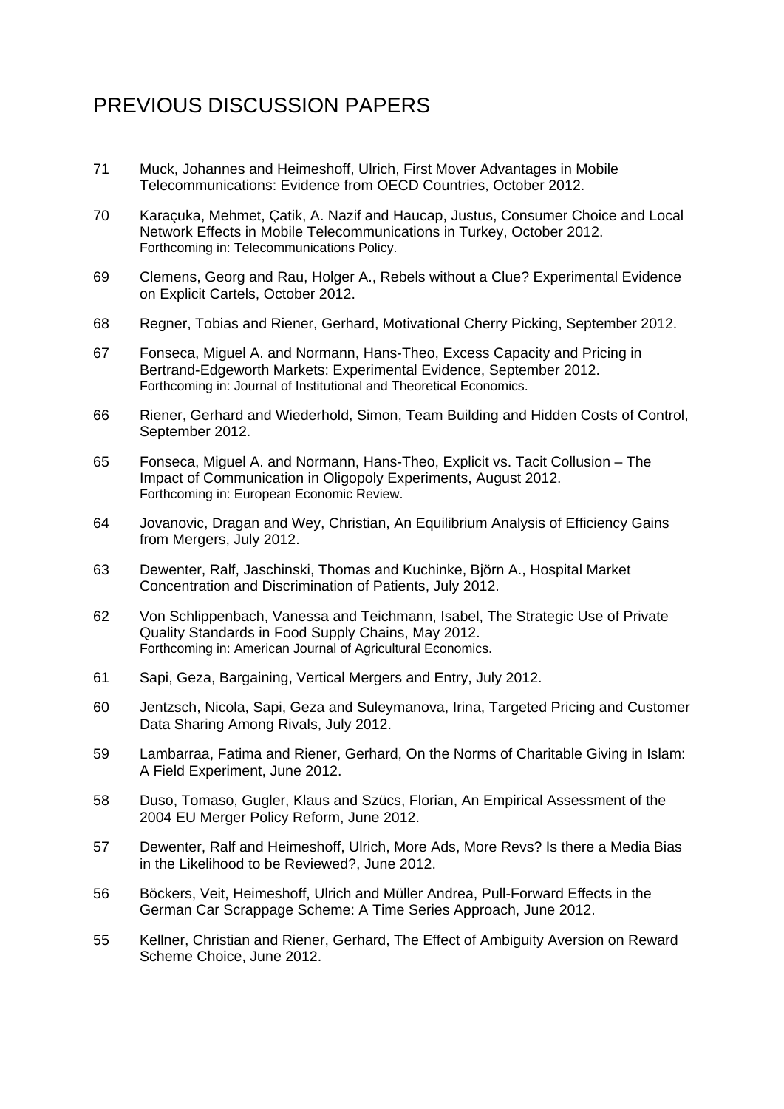# PREVIOUS DISCUSSION PAPERS

- 71 Muck, Johannes and Heimeshoff, Ulrich, First Mover Advantages in Mobile Telecommunications: Evidence from OECD Countries, October 2012.
- 70 Karaçuka, Mehmet, Çatik, A. Nazif and Haucap, Justus, Consumer Choice and Local Network Effects in Mobile Telecommunications in Turkey, October 2012. Forthcoming in: Telecommunications Policy.
- 69 Clemens, Georg and Rau, Holger A., Rebels without a Clue? Experimental Evidence on Explicit Cartels, October 2012.
- 68 Regner, Tobias and Riener, Gerhard, Motivational Cherry Picking, September 2012.
- 67 Fonseca, Miguel A. and Normann, Hans-Theo, Excess Capacity and Pricing in Bertrand-Edgeworth Markets: Experimental Evidence, September 2012. Forthcoming in: Journal of Institutional and Theoretical Economics.
- 66 Riener, Gerhard and Wiederhold, Simon, Team Building and Hidden Costs of Control, September 2012.
- 65 Fonseca, Miguel A. and Normann, Hans-Theo, Explicit vs. Tacit Collusion The Impact of Communication in Oligopoly Experiments, August 2012. Forthcoming in: European Economic Review.
- 64 Jovanovic, Dragan and Wey, Christian, An Equilibrium Analysis of Efficiency Gains from Mergers, July 2012.
- 63 Dewenter, Ralf, Jaschinski, Thomas and Kuchinke, Björn A., Hospital Market Concentration and Discrimination of Patients, July 2012.
- 62 Von Schlippenbach, Vanessa and Teichmann, Isabel, The Strategic Use of Private Quality Standards in Food Supply Chains, May 2012. Forthcoming in: American Journal of Agricultural Economics.
- 61 Sapi, Geza, Bargaining, Vertical Mergers and Entry, July 2012.
- 60 Jentzsch, Nicola, Sapi, Geza and Suleymanova, Irina, Targeted Pricing and Customer Data Sharing Among Rivals, July 2012.
- 59 Lambarraa, Fatima and Riener, Gerhard, On the Norms of Charitable Giving in Islam: A Field Experiment, June 2012.
- 58 Duso, Tomaso, Gugler, Klaus and Szücs, Florian, An Empirical Assessment of the 2004 EU Merger Policy Reform, June 2012.
- 57 Dewenter, Ralf and Heimeshoff, Ulrich, More Ads, More Revs? Is there a Media Bias in the Likelihood to be Reviewed?, June 2012.
- 56 Böckers, Veit, Heimeshoff, Ulrich and Müller Andrea, Pull-Forward Effects in the German Car Scrappage Scheme: A Time Series Approach, June 2012.
- 55 Kellner, Christian and Riener, Gerhard, The Effect of Ambiguity Aversion on Reward Scheme Choice, June 2012.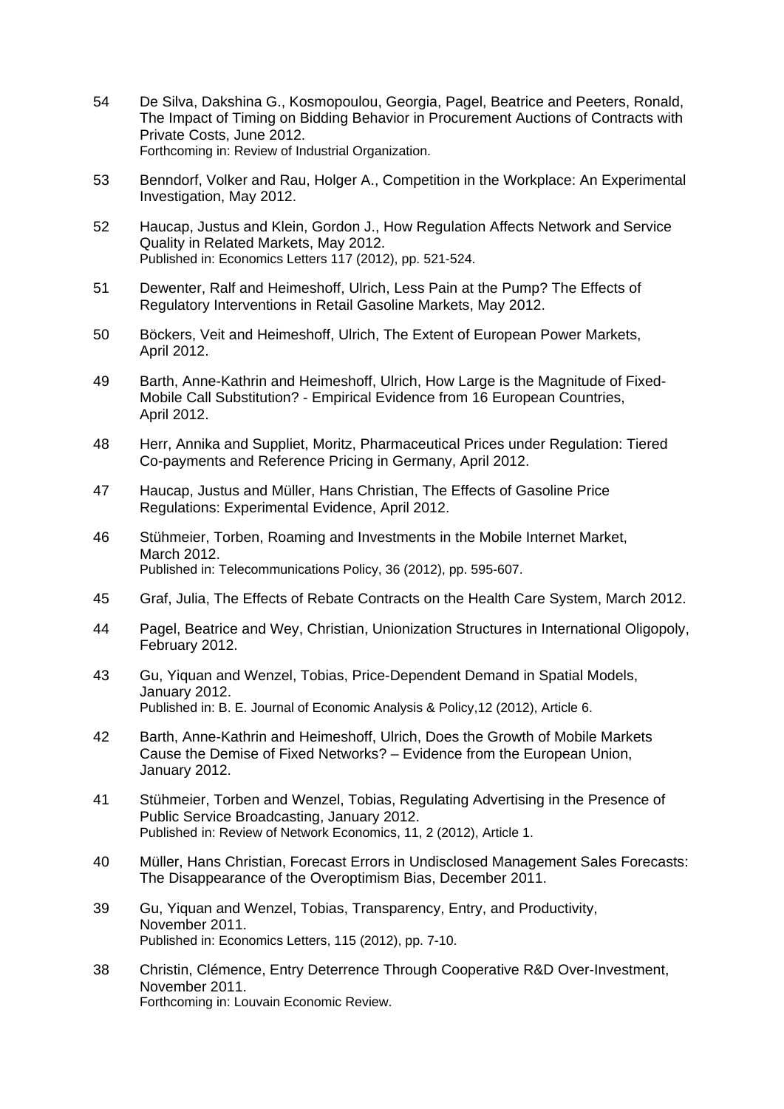- 54 De Silva, Dakshina G., Kosmopoulou, Georgia, Pagel, Beatrice and Peeters, Ronald, The Impact of Timing on Bidding Behavior in Procurement Auctions of Contracts with Private Costs, June 2012. Forthcoming in: Review of Industrial Organization.
- 53 Benndorf, Volker and Rau, Holger A., Competition in the Workplace: An Experimental Investigation, May 2012.
- 52 Haucap, Justus and Klein, Gordon J., How Regulation Affects Network and Service Quality in Related Markets, May 2012. Published in: Economics Letters 117 (2012), pp. 521-524.
- 51 Dewenter, Ralf and Heimeshoff, Ulrich, Less Pain at the Pump? The Effects of Regulatory Interventions in Retail Gasoline Markets, May 2012.
- 50 Böckers, Veit and Heimeshoff, Ulrich, The Extent of European Power Markets, April 2012.
- 49 Barth, Anne-Kathrin and Heimeshoff, Ulrich, How Large is the Magnitude of Fixed-Mobile Call Substitution? - Empirical Evidence from 16 European Countries, April 2012.
- 48 Herr, Annika and Suppliet, Moritz, Pharmaceutical Prices under Regulation: Tiered Co-payments and Reference Pricing in Germany, April 2012.
- 47 Haucap, Justus and Müller, Hans Christian, The Effects of Gasoline Price Regulations: Experimental Evidence, April 2012.
- 46 Stühmeier, Torben, Roaming and Investments in the Mobile Internet Market, March 2012. Published in: Telecommunications Policy, 36 (2012), pp. 595-607.
- 45 Graf, Julia, The Effects of Rebate Contracts on the Health Care System, March 2012.
- 44 Pagel, Beatrice and Wey, Christian, Unionization Structures in International Oligopoly, February 2012.
- 43 Gu, Yiquan and Wenzel, Tobias, Price-Dependent Demand in Spatial Models, January 2012. Published in: B. E. Journal of Economic Analysis & Policy,12 (2012), Article 6.
- 42 Barth, Anne-Kathrin and Heimeshoff, Ulrich, Does the Growth of Mobile Markets Cause the Demise of Fixed Networks? – Evidence from the European Union, January 2012.
- 41 Stühmeier, Torben and Wenzel, Tobias, Regulating Advertising in the Presence of Public Service Broadcasting, January 2012. Published in: Review of Network Economics, 11, 2 (2012), Article 1.
- 40 Müller, Hans Christian, Forecast Errors in Undisclosed Management Sales Forecasts: The Disappearance of the Overoptimism Bias, December 2011.
- 39 Gu, Yiquan and Wenzel, Tobias, Transparency, Entry, and Productivity, November 2011. Published in: Economics Letters, 115 (2012), pp. 7-10.
- 38 Christin, Clémence, Entry Deterrence Through Cooperative R&D Over-Investment, November 2011. Forthcoming in: Louvain Economic Review.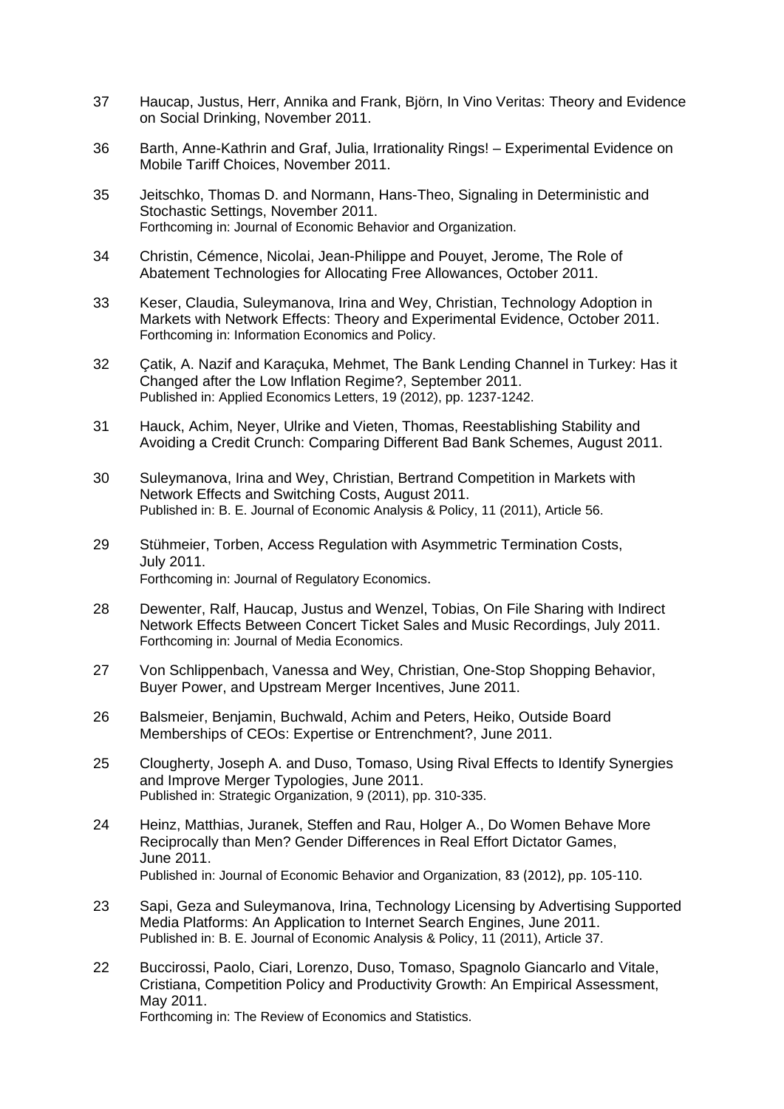- 37 Haucap, Justus, Herr, Annika and Frank, Björn, In Vino Veritas: Theory and Evidence on Social Drinking, November 2011.
- 36 Barth, Anne-Kathrin and Graf, Julia, Irrationality Rings! Experimental Evidence on Mobile Tariff Choices, November 2011.
- 35 Jeitschko, Thomas D. and Normann, Hans-Theo, Signaling in Deterministic and Stochastic Settings, November 2011. Forthcoming in: Journal of Economic Behavior and Organization.
- 34 Christin, Cémence, Nicolai, Jean-Philippe and Pouyet, Jerome, The Role of Abatement Technologies for Allocating Free Allowances, October 2011.
- 33 Keser, Claudia, Suleymanova, Irina and Wey, Christian, Technology Adoption in Markets with Network Effects: Theory and Experimental Evidence, October 2011. Forthcoming in: Information Economics and Policy.
- 32 Çatik, A. Nazif and Karaçuka, Mehmet, The Bank Lending Channel in Turkey: Has it Changed after the Low Inflation Regime?, September 2011. Published in: Applied Economics Letters, 19 (2012), pp. 1237-1242.
- 31 Hauck, Achim, Neyer, Ulrike and Vieten, Thomas, Reestablishing Stability and Avoiding a Credit Crunch: Comparing Different Bad Bank Schemes, August 2011.
- 30 Suleymanova, Irina and Wey, Christian, Bertrand Competition in Markets with Network Effects and Switching Costs, August 2011. Published in: B. E. Journal of Economic Analysis & Policy, 11 (2011), Article 56.
- 29 Stühmeier, Torben, Access Regulation with Asymmetric Termination Costs, July 2011. Forthcoming in: Journal of Regulatory Economics.
- 28 Dewenter, Ralf, Haucap, Justus and Wenzel, Tobias, On File Sharing with Indirect Network Effects Between Concert Ticket Sales and Music Recordings, July 2011. Forthcoming in: Journal of Media Economics.
- 27 Von Schlippenbach, Vanessa and Wey, Christian, One-Stop Shopping Behavior, Buyer Power, and Upstream Merger Incentives, June 2011.
- 26 Balsmeier, Benjamin, Buchwald, Achim and Peters, Heiko, Outside Board Memberships of CEOs: Expertise or Entrenchment?, June 2011.
- 25 Clougherty, Joseph A. and Duso, Tomaso, Using Rival Effects to Identify Synergies and Improve Merger Typologies, June 2011. Published in: Strategic Organization, 9 (2011), pp. 310-335.
- 24 Heinz, Matthias, Juranek, Steffen and Rau, Holger A., Do Women Behave More Reciprocally than Men? Gender Differences in Real Effort Dictator Games, June 2011. Published in: Journal of Economic Behavior and Organization, 83 (2012), pp. 105‐110.
- 23 Sapi, Geza and Suleymanova, Irina, Technology Licensing by Advertising Supported Media Platforms: An Application to Internet Search Engines, June 2011. Published in: B. E. Journal of Economic Analysis & Policy, 11 (2011), Article 37.
- 22 Buccirossi, Paolo, Ciari, Lorenzo, Duso, Tomaso, Spagnolo Giancarlo and Vitale, Cristiana, Competition Policy and Productivity Growth: An Empirical Assessment, May 2011.

Forthcoming in: The Review of Economics and Statistics.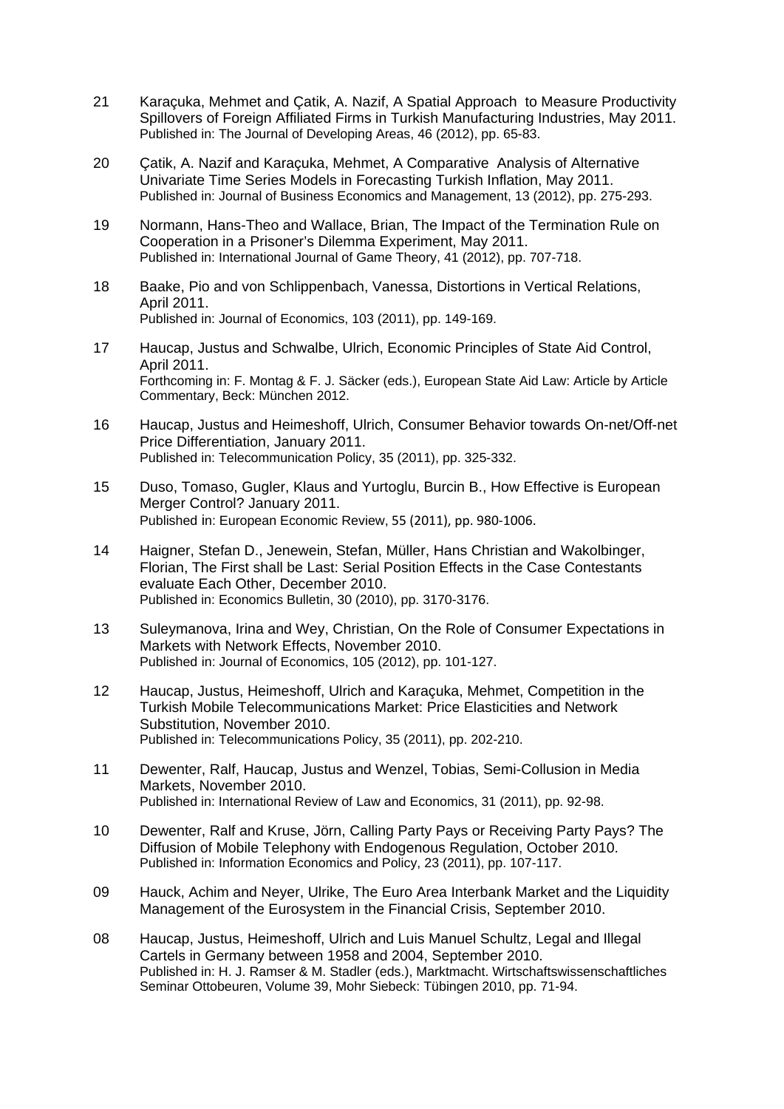- 21 Karaçuka, Mehmet and Çatik, A. Nazif, A Spatial Approach to Measure Productivity Spillovers of Foreign Affiliated Firms in Turkish Manufacturing Industries, May 2011. Published in: The Journal of Developing Areas, 46 (2012), pp. 65-83.
- 20 Çatik, A. Nazif and Karaçuka, Mehmet, A Comparative Analysis of Alternative Univariate Time Series Models in Forecasting Turkish Inflation, May 2011. Published in: Journal of Business Economics and Management, 13 (2012), pp. 275-293.
- 19 Normann, Hans-Theo and Wallace, Brian, The Impact of the Termination Rule on Cooperation in a Prisoner's Dilemma Experiment, May 2011. Published in: International Journal of Game Theory, 41 (2012), pp. 707-718.
- 18 Baake, Pio and von Schlippenbach, Vanessa, Distortions in Vertical Relations, April 2011. Published in: Journal of Economics, 103 (2011), pp. 149-169.
- 17 Haucap, Justus and Schwalbe, Ulrich, Economic Principles of State Aid Control, April 2011. Forthcoming in: F. Montag & F. J. Säcker (eds.), European State Aid Law: Article by Article Commentary, Beck: München 2012.
- 16 Haucap, Justus and Heimeshoff, Ulrich, Consumer Behavior towards On-net/Off-net Price Differentiation, January 2011. Published in: Telecommunication Policy, 35 (2011), pp. 325-332.
- 15 Duso, Tomaso, Gugler, Klaus and Yurtoglu, Burcin B., How Effective is European Merger Control? January 2011. Published in: European Economic Review, 55 (2011), pp. 980‐1006.
- 14 Haigner, Stefan D., Jenewein, Stefan, Müller, Hans Christian and Wakolbinger, Florian, The First shall be Last: Serial Position Effects in the Case Contestants evaluate Each Other, December 2010. Published in: Economics Bulletin, 30 (2010), pp. 3170-3176.
- 13 Suleymanova, Irina and Wey, Christian, On the Role of Consumer Expectations in Markets with Network Effects, November 2010. Published in: Journal of Economics, 105 (2012), pp. 101-127.
- 12 Haucap, Justus, Heimeshoff, Ulrich and Karaçuka, Mehmet, Competition in the Turkish Mobile Telecommunications Market: Price Elasticities and Network Substitution, November 2010. Published in: Telecommunications Policy, 35 (2011), pp. 202-210.
- 11 Dewenter, Ralf, Haucap, Justus and Wenzel, Tobias, Semi-Collusion in Media Markets, November 2010. Published in: International Review of Law and Economics, 31 (2011), pp. 92-98.
- 10 Dewenter, Ralf and Kruse, Jörn, Calling Party Pays or Receiving Party Pays? The Diffusion of Mobile Telephony with Endogenous Regulation, October 2010. Published in: Information Economics and Policy, 23 (2011), pp. 107-117.
- 09 Hauck, Achim and Neyer, Ulrike, The Euro Area Interbank Market and the Liquidity Management of the Eurosystem in the Financial Crisis, September 2010.
- 08 Haucap, Justus, Heimeshoff, Ulrich and Luis Manuel Schultz, Legal and Illegal Cartels in Germany between 1958 and 2004, September 2010. Published in: H. J. Ramser & M. Stadler (eds.), Marktmacht. Wirtschaftswissenschaftliches Seminar Ottobeuren, Volume 39, Mohr Siebeck: Tübingen 2010, pp. 71-94.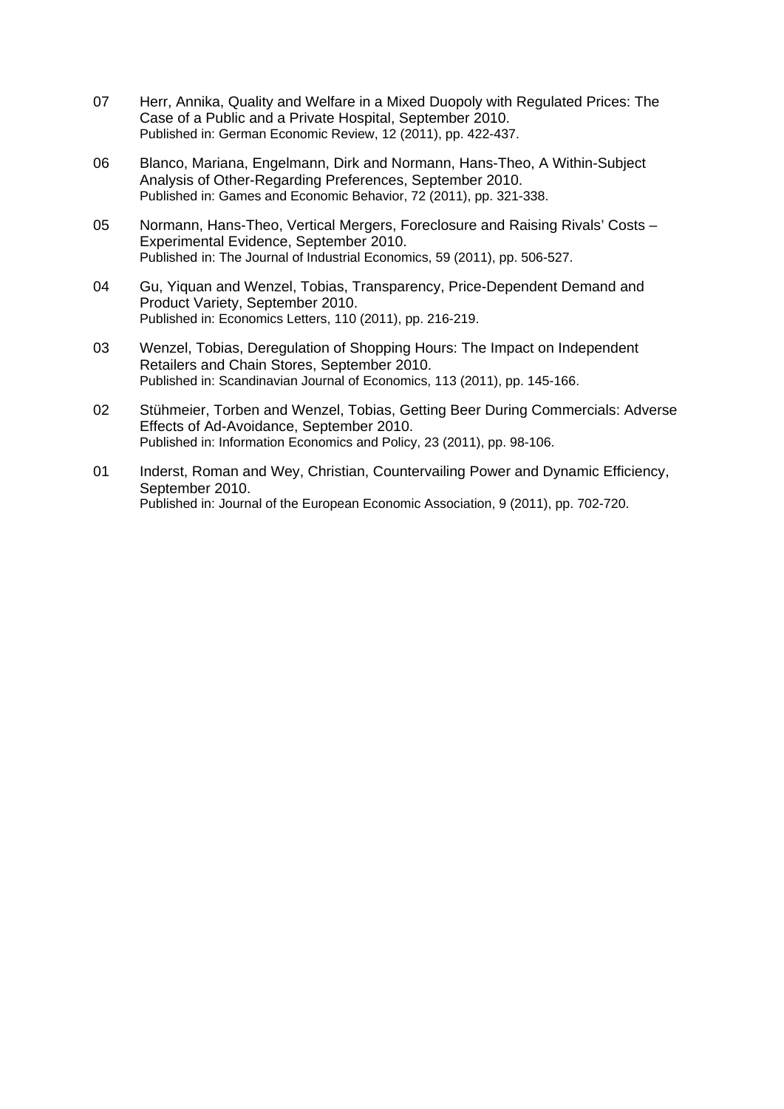- 07 Herr, Annika, Quality and Welfare in a Mixed Duopoly with Regulated Prices: The Case of a Public and a Private Hospital, September 2010. Published in: German Economic Review, 12 (2011), pp. 422-437.
- 06 Blanco, Mariana, Engelmann, Dirk and Normann, Hans-Theo, A Within-Subject Analysis of Other-Regarding Preferences, September 2010. Published in: Games and Economic Behavior, 72 (2011), pp. 321-338.
- 05 Normann, Hans-Theo, Vertical Mergers, Foreclosure and Raising Rivals' Costs Experimental Evidence, September 2010. Published in: The Journal of Industrial Economics, 59 (2011), pp. 506-527.
- 04 Gu, Yiquan and Wenzel, Tobias, Transparency, Price-Dependent Demand and Product Variety, September 2010. Published in: Economics Letters, 110 (2011), pp. 216-219.
- 03 Wenzel, Tobias, Deregulation of Shopping Hours: The Impact on Independent Retailers and Chain Stores, September 2010. Published in: Scandinavian Journal of Economics, 113 (2011), pp. 145-166.
- 02 Stühmeier, Torben and Wenzel, Tobias, Getting Beer During Commercials: Adverse Effects of Ad-Avoidance, September 2010. Published in: Information Economics and Policy, 23 (2011), pp. 98-106.
- 01 Inderst, Roman and Wey, Christian, Countervailing Power and Dynamic Efficiency, September 2010. Published in: Journal of the European Economic Association, 9 (2011), pp. 702-720.